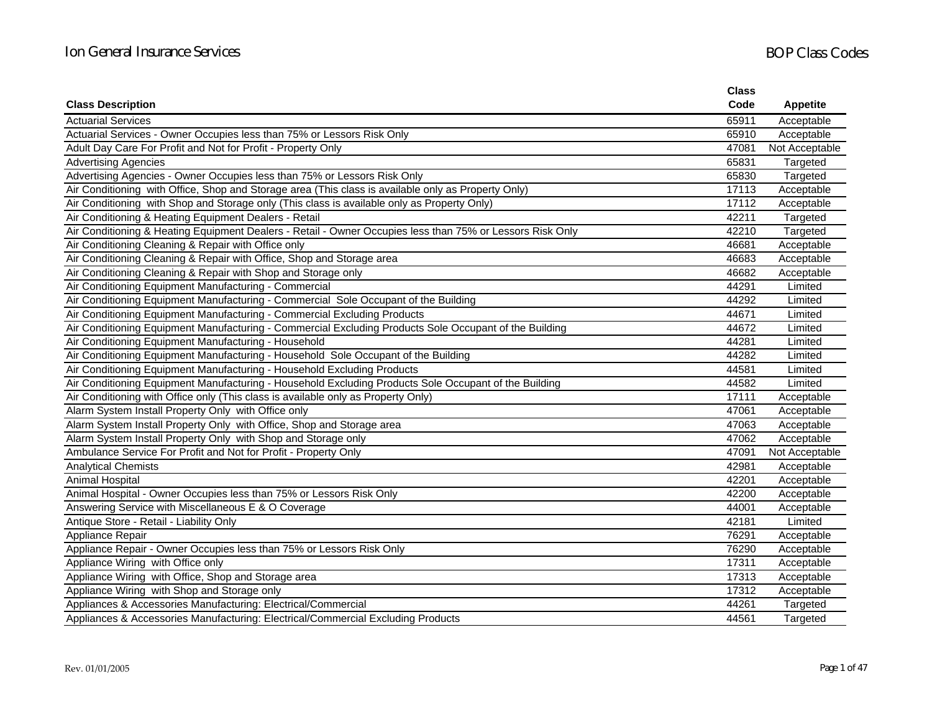|                                                                                                           | <b>Class</b> |                 |
|-----------------------------------------------------------------------------------------------------------|--------------|-----------------|
| <b>Class Description</b>                                                                                  | Code         | <b>Appetite</b> |
| <b>Actuarial Services</b>                                                                                 | 65911        | Acceptable      |
| Actuarial Services - Owner Occupies less than 75% or Lessors Risk Only                                    | 65910        | Acceptable      |
| Adult Day Care For Profit and Not for Profit - Property Only                                              | 47081        | Not Acceptable  |
| <b>Advertising Agencies</b>                                                                               | 65831        | Targeted        |
| Advertising Agencies - Owner Occupies less than 75% or Lessors Risk Only                                  | 65830        | Targeted        |
| Air Conditioning with Office, Shop and Storage area (This class is available only as Property Only)       | 17113        | Acceptable      |
| Air Conditioning with Shop and Storage only (This class is available only as Property Only)               | 17112        | Acceptable      |
| Air Conditioning & Heating Equipment Dealers - Retail                                                     | 42211        | Targeted        |
| Air Conditioning & Heating Equipment Dealers - Retail - Owner Occupies less than 75% or Lessors Risk Only | 42210        | Targeted        |
| Air Conditioning Cleaning & Repair with Office only                                                       | 46681        | Acceptable      |
| Air Conditioning Cleaning & Repair with Office, Shop and Storage area                                     | 46683        | Acceptable      |
| Air Conditioning Cleaning & Repair with Shop and Storage only                                             | 46682        | Acceptable      |
| Air Conditioning Equipment Manufacturing - Commercial                                                     | 44291        | Limited         |
| Air Conditioning Equipment Manufacturing - Commercial Sole Occupant of the Building                       | 44292        | Limited         |
| Air Conditioning Equipment Manufacturing - Commercial Excluding Products                                  | 44671        | Limited         |
| Air Conditioning Equipment Manufacturing - Commercial Excluding Products Sole Occupant of the Building    | 44672        | Limited         |
| Air Conditioning Equipment Manufacturing - Household                                                      | 44281        | Limited         |
| Air Conditioning Equipment Manufacturing - Household Sole Occupant of the Building                        | 44282        | Limited         |
| Air Conditioning Equipment Manufacturing - Household Excluding Products                                   | 44581        | Limited         |
| Air Conditioning Equipment Manufacturing - Household Excluding Products Sole Occupant of the Building     | 44582        | Limited         |
| Air Conditioning with Office only (This class is available only as Property Only)                         | 17111        | Acceptable      |
| Alarm System Install Property Only with Office only                                                       | 47061        | Acceptable      |
| Alarm System Install Property Only with Office, Shop and Storage area                                     | 47063        | Acceptable      |
| Alarm System Install Property Only with Shop and Storage only                                             | 47062        | Acceptable      |
| Ambulance Service For Profit and Not for Profit - Property Only                                           | 47091        | Not Acceptable  |
| <b>Analytical Chemists</b>                                                                                | 42981        | Acceptable      |
| <b>Animal Hospital</b>                                                                                    | 42201        | Acceptable      |
| Animal Hospital - Owner Occupies less than 75% or Lessors Risk Only                                       | 42200        | Acceptable      |
| Answering Service with Miscellaneous E & O Coverage                                                       | 44001        | Acceptable      |
| Antique Store - Retail - Liability Only                                                                   | 42181        | Limited         |
| Appliance Repair                                                                                          | 76291        | Acceptable      |
| Appliance Repair - Owner Occupies less than 75% or Lessors Risk Only                                      | 76290        | Acceptable      |
| Appliance Wiring with Office only                                                                         | 17311        | Acceptable      |
| Appliance Wiring with Office, Shop and Storage area                                                       | 17313        | Acceptable      |
| Appliance Wiring with Shop and Storage only                                                               | 17312        | Acceptable      |
| Appliances & Accessories Manufacturing: Electrical/Commercial                                             | 44261        | Targeted        |
| Appliances & Accessories Manufacturing: Electrical/Commercial Excluding Products                          | 44561        | Targeted        |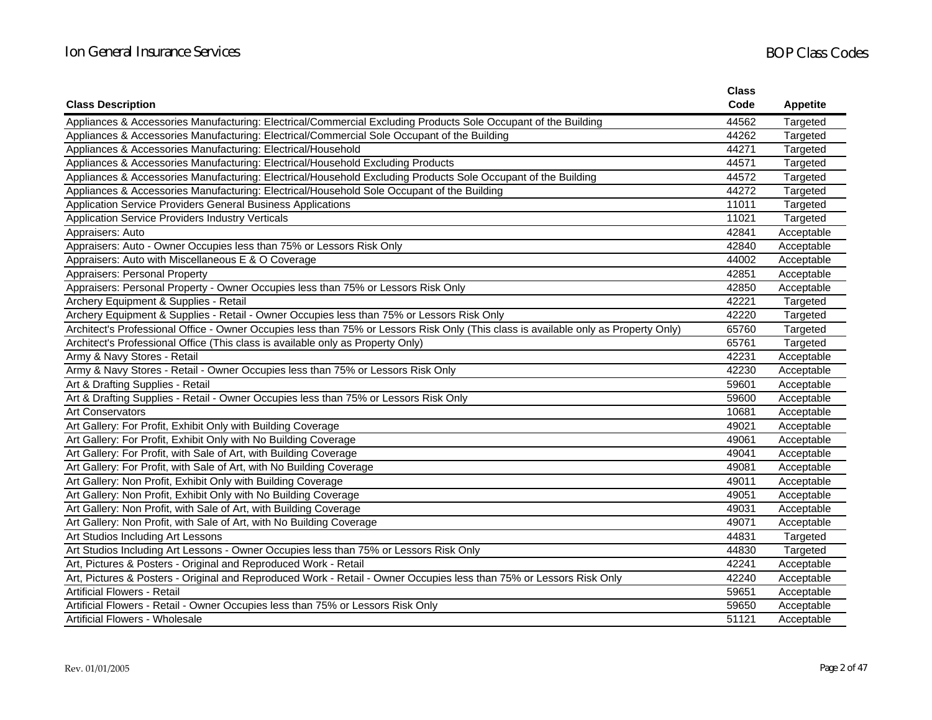|                                                                                                                                     | <b>Class</b> |                 |
|-------------------------------------------------------------------------------------------------------------------------------------|--------------|-----------------|
| <b>Class Description</b>                                                                                                            | Code         | <b>Appetite</b> |
| Appliances & Accessories Manufacturing: Electrical/Commercial Excluding Products Sole Occupant of the Building                      | 44562        | Targeted        |
| Appliances & Accessories Manufacturing: Electrical/Commercial Sole Occupant of the Building                                         | 44262        | Targeted        |
| Appliances & Accessories Manufacturing: Electrical/Household                                                                        | 44271        | Targeted        |
| Appliances & Accessories Manufacturing: Electrical/Household Excluding Products                                                     | 44571        | Targeted        |
| Appliances & Accessories Manufacturing: Electrical/Household Excluding Products Sole Occupant of the Building                       | 44572        | Targeted        |
| Appliances & Accessories Manufacturing: Electrical/Household Sole Occupant of the Building                                          | 44272        | Targeted        |
| Application Service Providers General Business Applications                                                                         | 11011        | Targeted        |
| Application Service Providers Industry Verticals                                                                                    | 11021        | Targeted        |
| Appraisers: Auto                                                                                                                    | 42841        | Acceptable      |
| Appraisers: Auto - Owner Occupies less than 75% or Lessors Risk Only                                                                | 42840        | Acceptable      |
| Appraisers: Auto with Miscellaneous E & O Coverage                                                                                  | 44002        | Acceptable      |
| Appraisers: Personal Property                                                                                                       | 42851        | Acceptable      |
| Appraisers: Personal Property - Owner Occupies less than 75% or Lessors Risk Only                                                   | 42850        | Acceptable      |
| Archery Equipment & Supplies - Retail                                                                                               | 42221        | Targeted        |
| Archery Equipment & Supplies - Retail - Owner Occupies less than 75% or Lessors Risk Only                                           | 42220        | Targeted        |
| Architect's Professional Office - Owner Occupies less than 75% or Lessors Risk Only (This class is available only as Property Only) | 65760        | Targeted        |
| Architect's Professional Office (This class is available only as Property Only)                                                     | 65761        | Targeted        |
| Army & Navy Stores - Retail                                                                                                         | 42231        | Acceptable      |
| Army & Navy Stores - Retail - Owner Occupies less than 75% or Lessors Risk Only                                                     | 42230        | Acceptable      |
| Art & Drafting Supplies - Retail                                                                                                    | 59601        | Acceptable      |
| Art & Drafting Supplies - Retail - Owner Occupies less than 75% or Lessors Risk Only                                                | 59600        | Acceptable      |
| <b>Art Conservators</b>                                                                                                             | 10681        | Acceptable      |
| Art Gallery: For Profit, Exhibit Only with Building Coverage                                                                        | 49021        | Acceptable      |
| Art Gallery: For Profit, Exhibit Only with No Building Coverage                                                                     | 49061        | Acceptable      |
| Art Gallery: For Profit, with Sale of Art, with Building Coverage                                                                   | 49041        | Acceptable      |
| Art Gallery: For Profit, with Sale of Art, with No Building Coverage                                                                | 49081        | Acceptable      |
| Art Gallery: Non Profit, Exhibit Only with Building Coverage                                                                        | 49011        | Acceptable      |
| Art Gallery: Non Profit, Exhibit Only with No Building Coverage                                                                     | 49051        | Acceptable      |
| Art Gallery: Non Profit, with Sale of Art, with Building Coverage                                                                   | 49031        | Acceptable      |
| Art Gallery: Non Profit, with Sale of Art, with No Building Coverage                                                                | 49071        | Acceptable      |
| Art Studios Including Art Lessons                                                                                                   | 44831        | Targeted        |
| Art Studios Including Art Lessons - Owner Occupies less than 75% or Lessors Risk Only                                               | 44830        | Targeted        |
| Art, Pictures & Posters - Original and Reproduced Work - Retail                                                                     | 42241        | Acceptable      |
| Art, Pictures & Posters - Original and Reproduced Work - Retail - Owner Occupies less than 75% or Lessors Risk Only                 | 42240        | Acceptable      |
| <b>Artificial Flowers - Retail</b>                                                                                                  | 59651        | Acceptable      |
| Artificial Flowers - Retail - Owner Occupies less than 75% or Lessors Risk Only                                                     | 59650        | Acceptable      |
| <b>Artificial Flowers - Wholesale</b>                                                                                               | 51121        | Acceptable      |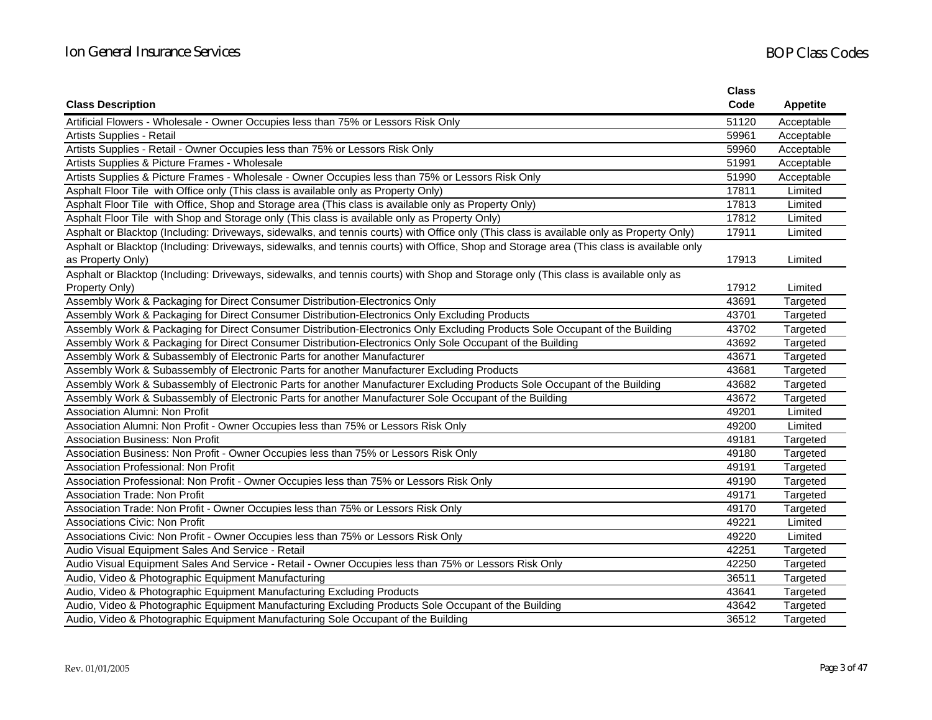|                                                                                                                                           | <b>Class</b> |                 |
|-------------------------------------------------------------------------------------------------------------------------------------------|--------------|-----------------|
| <b>Class Description</b>                                                                                                                  | Code         | <b>Appetite</b> |
| Artificial Flowers - Wholesale - Owner Occupies less than 75% or Lessors Risk Only                                                        | 51120        | Acceptable      |
| Artists Supplies - Retail                                                                                                                 | 59961        | Acceptable      |
| Artists Supplies - Retail - Owner Occupies less than 75% or Lessors Risk Only                                                             | 59960        | Acceptable      |
| Artists Supplies & Picture Frames - Wholesale                                                                                             | 51991        | Acceptable      |
| Artists Supplies & Picture Frames - Wholesale - Owner Occupies less than 75% or Lessors Risk Only                                         | 51990        | Acceptable      |
| Asphalt Floor Tile with Office only (This class is available only as Property Only)                                                       | 17811        | Limited         |
| Asphalt Floor Tile with Office, Shop and Storage area (This class is available only as Property Only)                                     | 17813        | Limited         |
| Asphalt Floor Tile with Shop and Storage only (This class is available only as Property Only)                                             | 17812        | Limited         |
| Asphalt or Blacktop (Including: Driveways, sidewalks, and tennis courts) with Office only (This class is available only as Property Only) | 17911        | Limited         |
| Asphalt or Blacktop (Including: Driveways, sidewalks, and tennis courts) with Office, Shop and Storage area (This class is available only |              |                 |
| as Property Only)                                                                                                                         | 17913        | Limited         |
| Asphalt or Blacktop (Including: Driveways, sidewalks, and tennis courts) with Shop and Storage only (This class is available only as      |              |                 |
| Property Only)                                                                                                                            | 17912        | Limited         |
| Assembly Work & Packaging for Direct Consumer Distribution-Electronics Only                                                               | 43691        | Targeted        |
| Assembly Work & Packaging for Direct Consumer Distribution-Electronics Only Excluding Products                                            | 43701        | Targeted        |
| Assembly Work & Packaging for Direct Consumer Distribution-Electronics Only Excluding Products Sole Occupant of the Building              | 43702        | Targeted        |
| Assembly Work & Packaging for Direct Consumer Distribution-Electronics Only Sole Occupant of the Building                                 | 43692        | Targeted        |
| Assembly Work & Subassembly of Electronic Parts for another Manufacturer                                                                  | 43671        | Targeted        |
| Assembly Work & Subassembly of Electronic Parts for another Manufacturer Excluding Products                                               | 43681        | Targeted        |
| Assembly Work & Subassembly of Electronic Parts for another Manufacturer Excluding Products Sole Occupant of the Building                 | 43682        | Targeted        |
| Assembly Work & Subassembly of Electronic Parts for another Manufacturer Sole Occupant of the Building                                    | 43672        | Targeted        |
| Association Alumni: Non Profit                                                                                                            | 49201        | Limited         |
| Association Alumni: Non Profit - Owner Occupies less than 75% or Lessors Risk Only                                                        | 49200        | Limited         |
| <b>Association Business: Non Profit</b>                                                                                                   | 49181        | Targeted        |
| Association Business: Non Profit - Owner Occupies less than 75% or Lessors Risk Only                                                      | 49180        | Targeted        |
| <b>Association Professional: Non Profit</b>                                                                                               | 49191        | Targeted        |
| Association Professional: Non Profit - Owner Occupies less than 75% or Lessors Risk Only                                                  | 49190        | Targeted        |
| <b>Association Trade: Non Profit</b>                                                                                                      | 49171        | Targeted        |
| Association Trade: Non Profit - Owner Occupies less than 75% or Lessors Risk Only                                                         | 49170        | Targeted        |
| <b>Associations Civic: Non Profit</b>                                                                                                     | 49221        | Limited         |
| Associations Civic: Non Profit - Owner Occupies less than 75% or Lessors Risk Only                                                        | 49220        | Limited         |
| Audio Visual Equipment Sales And Service - Retail                                                                                         | 42251        | Targeted        |
| Audio Visual Equipment Sales And Service - Retail - Owner Occupies less than 75% or Lessors Risk Only                                     | 42250        | Targeted        |
| Audio, Video & Photographic Equipment Manufacturing                                                                                       | 36511        | Targeted        |
| Audio, Video & Photographic Equipment Manufacturing Excluding Products                                                                    | 43641        | Targeted        |
| Audio, Video & Photographic Equipment Manufacturing Excluding Products Sole Occupant of the Building                                      | 43642        | Targeted        |
| Audio, Video & Photographic Equipment Manufacturing Sole Occupant of the Building                                                         | 36512        | Targeted        |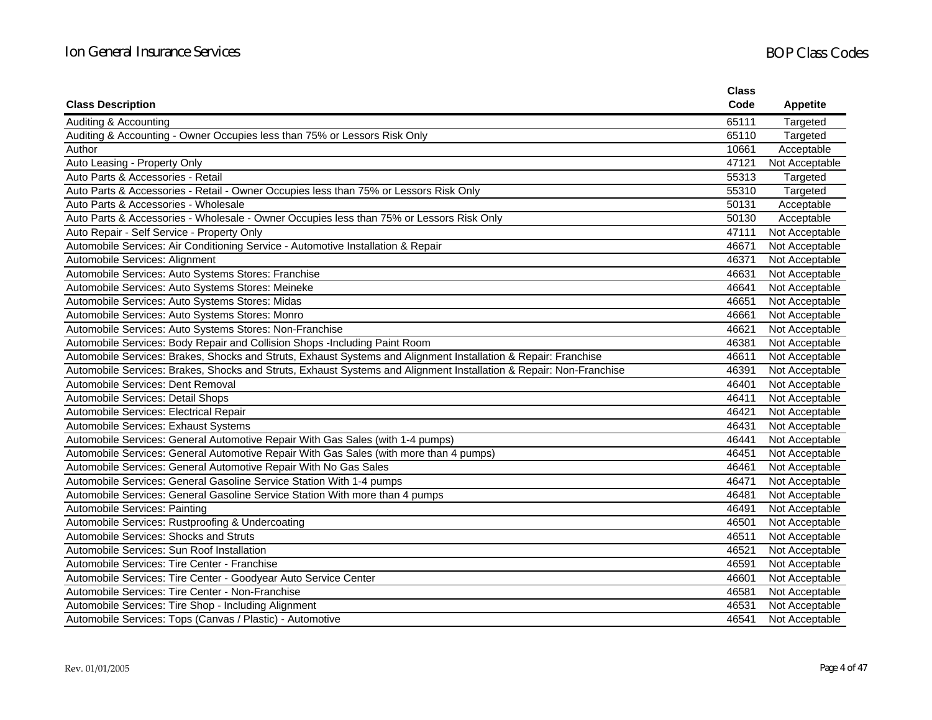|                                                                                                                    | <b>Class</b> |                 |
|--------------------------------------------------------------------------------------------------------------------|--------------|-----------------|
| <b>Class Description</b>                                                                                           | Code         | <b>Appetite</b> |
| Auditing & Accounting                                                                                              | 65111        | Targeted        |
| Auditing & Accounting - Owner Occupies less than 75% or Lessors Risk Only                                          | 65110        | Targeted        |
| Author                                                                                                             | 10661        | Acceptable      |
| Auto Leasing - Property Only                                                                                       | 47121        | Not Acceptable  |
| Auto Parts & Accessories - Retail                                                                                  | 55313        | Targeted        |
| Auto Parts & Accessories - Retail - Owner Occupies less than 75% or Lessors Risk Only                              | 55310        | Targeted        |
| Auto Parts & Accessories - Wholesale                                                                               | 50131        | Acceptable      |
| Auto Parts & Accessories - Wholesale - Owner Occupies less than 75% or Lessors Risk Only                           | 50130        | Acceptable      |
| Auto Repair - Self Service - Property Only                                                                         | 47111        | Not Acceptable  |
| Automobile Services: Air Conditioning Service - Automotive Installation & Repair                                   | 46671        | Not Acceptable  |
| Automobile Services: Alignment                                                                                     | 46371        | Not Acceptable  |
| Automobile Services: Auto Systems Stores: Franchise                                                                | 46631        | Not Acceptable  |
| Automobile Services: Auto Systems Stores: Meineke                                                                  | 46641        | Not Acceptable  |
| Automobile Services: Auto Systems Stores: Midas                                                                    | 46651        | Not Acceptable  |
| Automobile Services: Auto Systems Stores: Monro                                                                    | 46661        | Not Acceptable  |
| Automobile Services: Auto Systems Stores: Non-Franchise                                                            | 46621        | Not Acceptable  |
| Automobile Services: Body Repair and Collision Shops -Including Paint Room                                         | 46381        | Not Acceptable  |
| Automobile Services: Brakes, Shocks and Struts, Exhaust Systems and Alignment Installation & Repair: Franchise     | 46611        | Not Acceptable  |
| Automobile Services: Brakes, Shocks and Struts, Exhaust Systems and Alignment Installation & Repair: Non-Franchise | 46391        | Not Acceptable  |
| Automobile Services: Dent Removal                                                                                  | 46401        | Not Acceptable  |
| Automobile Services: Detail Shops                                                                                  | 46411        | Not Acceptable  |
| Automobile Services: Electrical Repair                                                                             | 46421        | Not Acceptable  |
| Automobile Services: Exhaust Systems                                                                               | 46431        | Not Acceptable  |
| Automobile Services: General Automotive Repair With Gas Sales (with 1-4 pumps)                                     | 46441        | Not Acceptable  |
| Automobile Services: General Automotive Repair With Gas Sales (with more than 4 pumps)                             | 46451        | Not Acceptable  |
| Automobile Services: General Automotive Repair With No Gas Sales                                                   | 46461        | Not Acceptable  |
| Automobile Services: General Gasoline Service Station With 1-4 pumps                                               | 46471        | Not Acceptable  |
| Automobile Services: General Gasoline Service Station With more than 4 pumps                                       | 46481        | Not Acceptable  |
| Automobile Services: Painting                                                                                      | 46491        | Not Acceptable  |
| Automobile Services: Rustproofing & Undercoating                                                                   | 46501        | Not Acceptable  |
| Automobile Services: Shocks and Struts                                                                             | 46511        | Not Acceptable  |
| Automobile Services: Sun Roof Installation                                                                         | 46521        | Not Acceptable  |
| Automobile Services: Tire Center - Franchise                                                                       | 46591        | Not Acceptable  |
| Automobile Services: Tire Center - Goodyear Auto Service Center                                                    | 46601        | Not Acceptable  |
| Automobile Services: Tire Center - Non-Franchise                                                                   | 46581        | Not Acceptable  |
| Automobile Services: Tire Shop - Including Alignment                                                               | 46531        | Not Acceptable  |
| Automobile Services: Tops (Canvas / Plastic) - Automotive                                                          | 46541        | Not Acceptable  |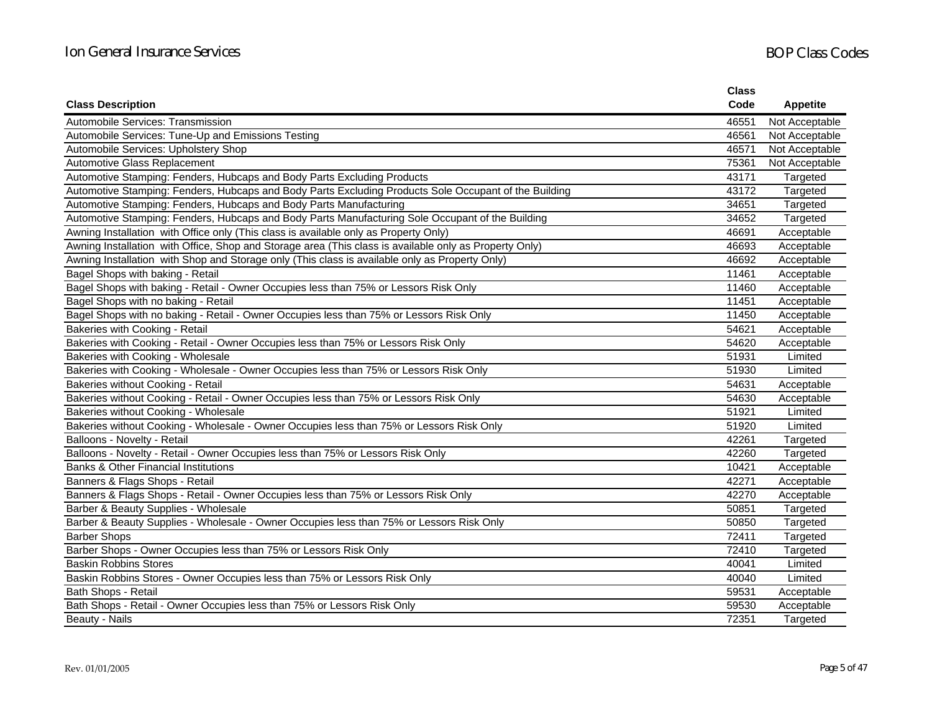|                                                                                                        | <b>Class</b> |                 |
|--------------------------------------------------------------------------------------------------------|--------------|-----------------|
| <b>Class Description</b>                                                                               | Code         | <b>Appetite</b> |
| Automobile Services: Transmission                                                                      | 46551        | Not Acceptable  |
| Automobile Services: Tune-Up and Emissions Testing                                                     | 46561        | Not Acceptable  |
| Automobile Services: Upholstery Shop                                                                   | 46571        | Not Acceptable  |
| Automotive Glass Replacement                                                                           | 75361        | Not Acceptable  |
| Automotive Stamping: Fenders, Hubcaps and Body Parts Excluding Products                                | 43171        | Targeted        |
| Automotive Stamping: Fenders, Hubcaps and Body Parts Excluding Products Sole Occupant of the Building  | 43172        | Targeted        |
| Automotive Stamping: Fenders, Hubcaps and Body Parts Manufacturing                                     | 34651        | Targeted        |
| Automotive Stamping: Fenders, Hubcaps and Body Parts Manufacturing Sole Occupant of the Building       | 34652        | Targeted        |
| Awning Installation with Office only (This class is available only as Property Only)                   | 46691        | Acceptable      |
| Awning Installation with Office, Shop and Storage area (This class is available only as Property Only) | 46693        | Acceptable      |
| Awning Installation with Shop and Storage only (This class is available only as Property Only)         | 46692        | Acceptable      |
| Bagel Shops with baking - Retail                                                                       | 11461        | Acceptable      |
| Bagel Shops with baking - Retail - Owner Occupies less than 75% or Lessors Risk Only                   | 11460        | Acceptable      |
| Bagel Shops with no baking - Retail                                                                    | 11451        | Acceptable      |
| Bagel Shops with no baking - Retail - Owner Occupies less than 75% or Lessors Risk Only                | 11450        | Acceptable      |
| Bakeries with Cooking - Retail                                                                         | 54621        | Acceptable      |
| Bakeries with Cooking - Retail - Owner Occupies less than 75% or Lessors Risk Only                     | 54620        | Acceptable      |
| Bakeries with Cooking - Wholesale                                                                      | 51931        | Limited         |
| Bakeries with Cooking - Wholesale - Owner Occupies less than 75% or Lessors Risk Only                  | 51930        | Limited         |
| Bakeries without Cooking - Retail                                                                      | 54631        | Acceptable      |
| Bakeries without Cooking - Retail - Owner Occupies less than 75% or Lessors Risk Only                  | 54630        | Acceptable      |
| Bakeries without Cooking - Wholesale                                                                   | 51921        | Limited         |
| Bakeries without Cooking - Wholesale - Owner Occupies less than 75% or Lessors Risk Only               | 51920        | Limited         |
| Balloons - Novelty - Retail                                                                            | 42261        | Targeted        |
| Balloons - Novelty - Retail - Owner Occupies less than 75% or Lessors Risk Only                        | 42260        | Targeted        |
| <b>Banks &amp; Other Financial Institutions</b>                                                        | 10421        | Acceptable      |
| Banners & Flags Shops - Retail                                                                         | 42271        | Acceptable      |
| Banners & Flags Shops - Retail - Owner Occupies less than 75% or Lessors Risk Only                     | 42270        | Acceptable      |
| Barber & Beauty Supplies - Wholesale                                                                   | 50851        | Targeted        |
| Barber & Beauty Supplies - Wholesale - Owner Occupies less than 75% or Lessors Risk Only               | 50850        | Targeted        |
| <b>Barber Shops</b>                                                                                    | 72411        | Targeted        |
| Barber Shops - Owner Occupies less than 75% or Lessors Risk Only                                       | 72410        | Targeted        |
| <b>Baskin Robbins Stores</b>                                                                           | 40041        | Limited         |
| Baskin Robbins Stores - Owner Occupies less than 75% or Lessors Risk Only                              | 40040        | Limited         |
| Bath Shops - Retail                                                                                    | 59531        | Acceptable      |
| Bath Shops - Retail - Owner Occupies less than 75% or Lessors Risk Only                                | 59530        | Acceptable      |
| Beauty - Nails                                                                                         | 72351        | Targeted        |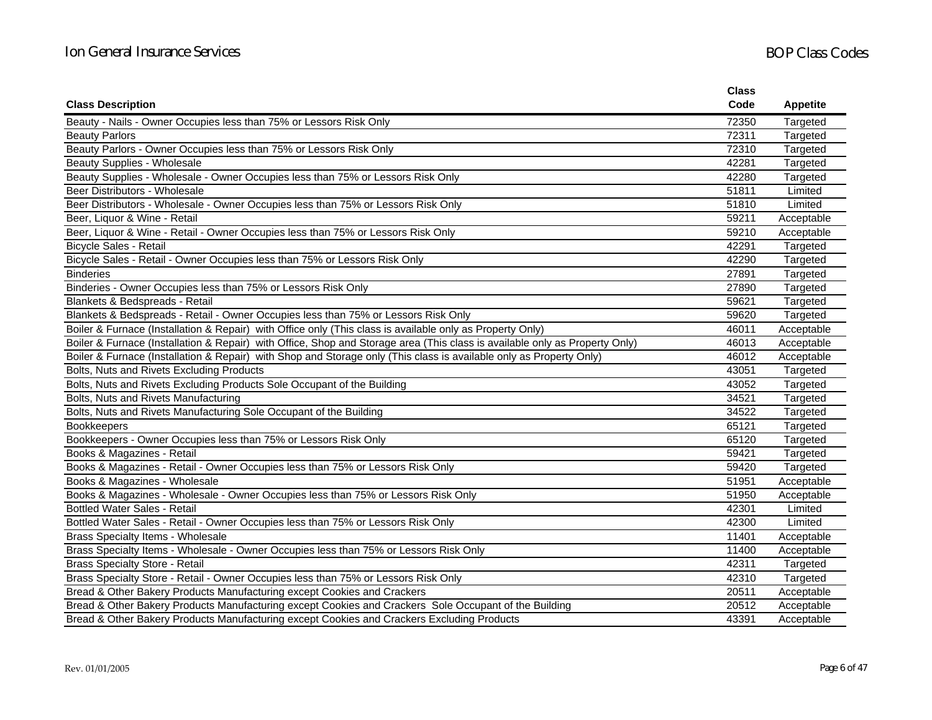|                                                                                                                             | <b>Class</b> |                 |
|-----------------------------------------------------------------------------------------------------------------------------|--------------|-----------------|
| <b>Class Description</b>                                                                                                    | Code         | <b>Appetite</b> |
| Beauty - Nails - Owner Occupies less than 75% or Lessors Risk Only                                                          | 72350        | Targeted        |
| <b>Beauty Parlors</b>                                                                                                       | 72311        | Targeted        |
| Beauty Parlors - Owner Occupies less than 75% or Lessors Risk Only                                                          | 72310        | Targeted        |
| Beauty Supplies - Wholesale                                                                                                 | 42281        | Targeted        |
| Beauty Supplies - Wholesale - Owner Occupies less than 75% or Lessors Risk Only                                             | 42280        | Targeted        |
| Beer Distributors - Wholesale                                                                                               | 51811        | Limited         |
| Beer Distributors - Wholesale - Owner Occupies less than 75% or Lessors Risk Only                                           | 51810        | Limited         |
| Beer, Liquor & Wine - Retail                                                                                                | 59211        | Acceptable      |
| Beer, Liquor & Wine - Retail - Owner Occupies less than 75% or Lessors Risk Only                                            | 59210        | Acceptable      |
| <b>Bicycle Sales - Retail</b>                                                                                               | 42291        | Targeted        |
| Bicycle Sales - Retail - Owner Occupies less than 75% or Lessors Risk Only                                                  | 42290        | Targeted        |
| <b>Binderies</b>                                                                                                            | 27891        | Targeted        |
| Binderies - Owner Occupies less than 75% or Lessors Risk Only                                                               | 27890        | Targeted        |
| Blankets & Bedspreads - Retail                                                                                              | 59621        | Targeted        |
| Blankets & Bedspreads - Retail - Owner Occupies less than 75% or Lessors Risk Only                                          | 59620        | Targeted        |
| Boiler & Furnace (Installation & Repair) with Office only (This class is available only as Property Only)                   | 46011        | Acceptable      |
| Boiler & Furnace (Installation & Repair) with Office, Shop and Storage area (This class is available only as Property Only) | 46013        | Acceptable      |
| Boiler & Furnace (Installation & Repair) with Shop and Storage only (This class is available only as Property Only)         | 46012        | Acceptable      |
| Bolts, Nuts and Rivets Excluding Products                                                                                   | 43051        | Targeted        |
| Bolts, Nuts and Rivets Excluding Products Sole Occupant of the Building                                                     | 43052        | Targeted        |
| Bolts, Nuts and Rivets Manufacturing                                                                                        | 34521        | Targeted        |
| Bolts, Nuts and Rivets Manufacturing Sole Occupant of the Building                                                          | 34522        | Targeted        |
| <b>Bookkeepers</b>                                                                                                          | 65121        | Targeted        |
| Bookkeepers - Owner Occupies less than 75% or Lessors Risk Only                                                             | 65120        | Targeted        |
| Books & Magazines - Retail                                                                                                  | 59421        | Targeted        |
| Books & Magazines - Retail - Owner Occupies less than 75% or Lessors Risk Only                                              | 59420        | Targeted        |
| Books & Magazines - Wholesale                                                                                               | 51951        | Acceptable      |
| Books & Magazines - Wholesale - Owner Occupies less than 75% or Lessors Risk Only                                           | 51950        | Acceptable      |
| <b>Bottled Water Sales - Retail</b>                                                                                         | 42301        | Limited         |
| Bottled Water Sales - Retail - Owner Occupies less than 75% or Lessors Risk Only                                            | 42300        | Limited         |
| Brass Specialty Items - Wholesale                                                                                           | 11401        | Acceptable      |
| Brass Specialty Items - Wholesale - Owner Occupies less than 75% or Lessors Risk Only                                       | 11400        | Acceptable      |
| <b>Brass Specialty Store - Retail</b>                                                                                       | 42311        | Targeted        |
| Brass Specialty Store - Retail - Owner Occupies less than 75% or Lessors Risk Only                                          | 42310        | Targeted        |
| Bread & Other Bakery Products Manufacturing except Cookies and Crackers                                                     | 20511        | Acceptable      |
| Bread & Other Bakery Products Manufacturing except Cookies and Crackers Sole Occupant of the Building                       | 20512        | Acceptable      |
| Bread & Other Bakery Products Manufacturing except Cookies and Crackers Excluding Products                                  | 43391        | Acceptable      |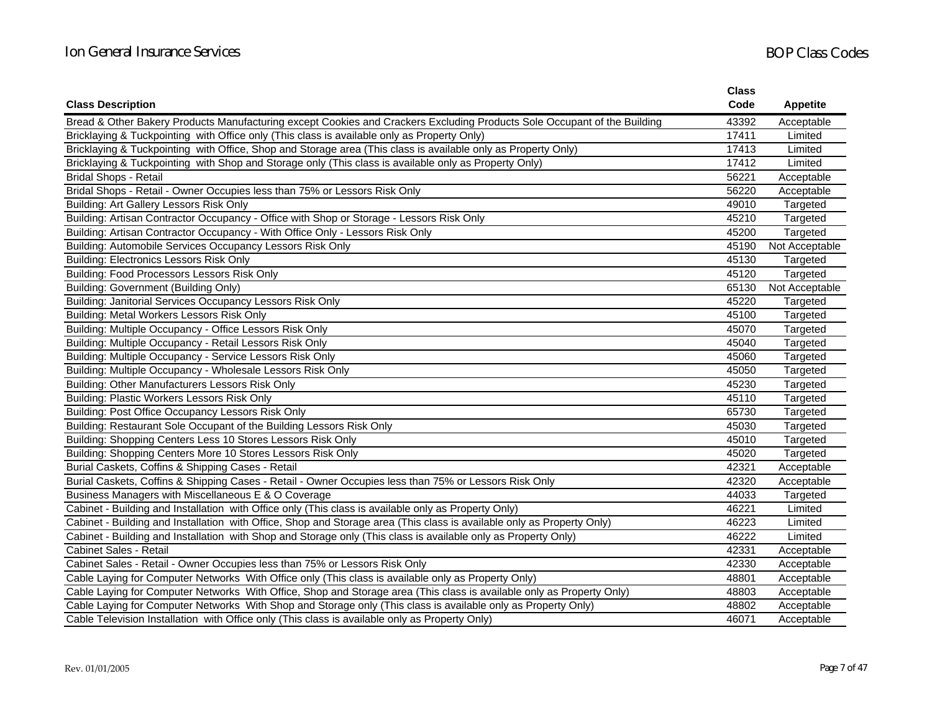|                                                                                                                          | <b>Class</b> |                 |
|--------------------------------------------------------------------------------------------------------------------------|--------------|-----------------|
| <b>Class Description</b>                                                                                                 | Code         | <b>Appetite</b> |
| Bread & Other Bakery Products Manufacturing except Cookies and Crackers Excluding Products Sole Occupant of the Building | 43392        | Acceptable      |
| Bricklaying & Tuckpointing with Office only (This class is available only as Property Only)                              | 17411        | Limited         |
| Bricklaying & Tuckpointing with Office, Shop and Storage area (This class is available only as Property Only)            | 17413        | Limited         |
| Bricklaying & Tuckpointing with Shop and Storage only (This class is available only as Property Only)                    | 17412        | Limited         |
| <b>Bridal Shops - Retail</b>                                                                                             | 56221        | Acceptable      |
| Bridal Shops - Retail - Owner Occupies less than 75% or Lessors Risk Only                                                | 56220        | Acceptable      |
| Building: Art Gallery Lessors Risk Only                                                                                  | 49010        | Targeted        |
| Building: Artisan Contractor Occupancy - Office with Shop or Storage - Lessors Risk Only                                 | 45210        | Targeted        |
| Building: Artisan Contractor Occupancy - With Office Only - Lessors Risk Only                                            | 45200        | Targeted        |
| Building: Automobile Services Occupancy Lessors Risk Only                                                                | 45190        | Not Acceptable  |
| <b>Building: Electronics Lessors Risk Only</b>                                                                           | 45130        | Targeted        |
| Building: Food Processors Lessors Risk Only                                                                              | 45120        | Targeted        |
| Building: Government (Building Only)                                                                                     | 65130        | Not Acceptable  |
| Building: Janitorial Services Occupancy Lessors Risk Only                                                                | 45220        | Targeted        |
| Building: Metal Workers Lessors Risk Only                                                                                | 45100        | Targeted        |
| Building: Multiple Occupancy - Office Lessors Risk Only                                                                  | 45070        | Targeted        |
| Building: Multiple Occupancy - Retail Lessors Risk Only                                                                  | 45040        | Targeted        |
| Building: Multiple Occupancy - Service Lessors Risk Only                                                                 | 45060        | Targeted        |
| Building: Multiple Occupancy - Wholesale Lessors Risk Only                                                               | 45050        | Targeted        |
| Building: Other Manufacturers Lessors Risk Only                                                                          | 45230        | Targeted        |
| Building: Plastic Workers Lessors Risk Only                                                                              | 45110        | Targeted        |
| Building: Post Office Occupancy Lessors Risk Only                                                                        | 65730        | Targeted        |
| Building: Restaurant Sole Occupant of the Building Lessors Risk Only                                                     | 45030        | Targeted        |
| Building: Shopping Centers Less 10 Stores Lessors Risk Only                                                              | 45010        | Targeted        |
| Building: Shopping Centers More 10 Stores Lessors Risk Only                                                              | 45020        | Targeted        |
| Burial Caskets, Coffins & Shipping Cases - Retail                                                                        | 42321        | Acceptable      |
| Burial Caskets, Coffins & Shipping Cases - Retail - Owner Occupies less than 75% or Lessors Risk Only                    | 42320        | Acceptable      |
| Business Managers with Miscellaneous E & O Coverage                                                                      | 44033        | Targeted        |
| Cabinet - Building and Installation with Office only (This class is available only as Property Only)                     | 46221        | Limited         |
| Cabinet - Building and Installation with Office, Shop and Storage area (This class is available only as Property Only)   | 46223        | Limited         |
| Cabinet - Building and Installation with Shop and Storage only (This class is available only as Property Only)           | 46222        | Limited         |
| <b>Cabinet Sales - Retail</b>                                                                                            | 42331        | Acceptable      |
| Cabinet Sales - Retail - Owner Occupies less than 75% or Lessors Risk Only                                               | 42330        | Acceptable      |
| Cable Laying for Computer Networks With Office only (This class is available only as Property Only)                      | 48801        | Acceptable      |
| Cable Laying for Computer Networks With Office, Shop and Storage area (This class is available only as Property Only)    | 48803        | Acceptable      |
| Cable Laying for Computer Networks With Shop and Storage only (This class is available only as Property Only)            | 48802        | Acceptable      |
| Cable Television Installation with Office only (This class is available only as Property Only)                           | 46071        | Acceptable      |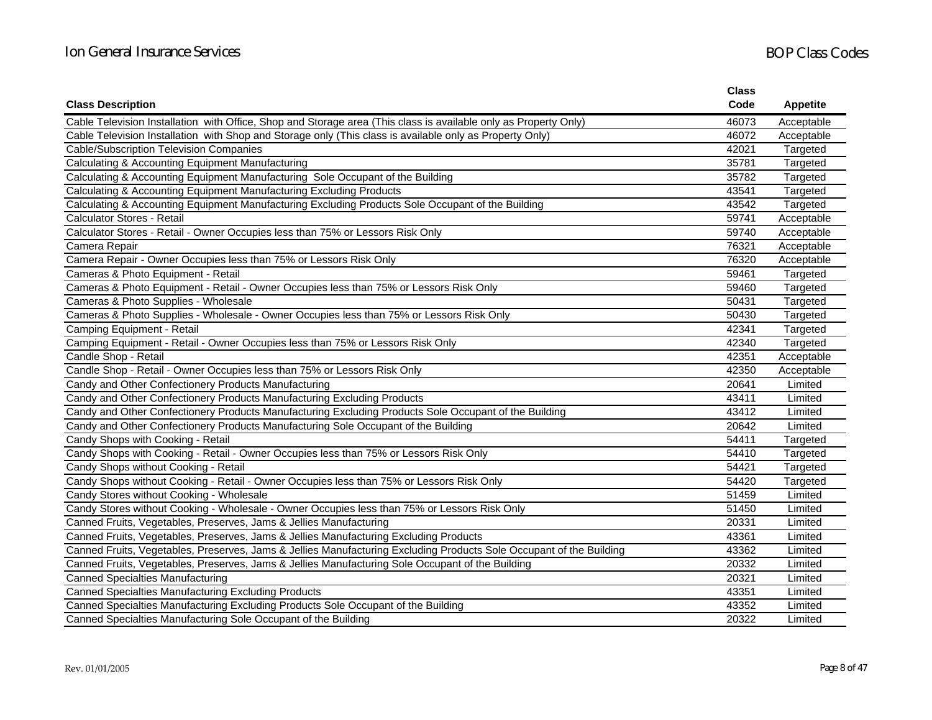|                                                                                                                     | <b>Class</b> |                 |
|---------------------------------------------------------------------------------------------------------------------|--------------|-----------------|
| <b>Class Description</b>                                                                                            | Code         | <b>Appetite</b> |
| Cable Television Installation with Office, Shop and Storage area (This class is available only as Property Only)    | 46073        | Acceptable      |
| Cable Television Installation with Shop and Storage only (This class is available only as Property Only)            | 46072        | Acceptable      |
| <b>Cable/Subscription Television Companies</b>                                                                      | 42021        | Targeted        |
| Calculating & Accounting Equipment Manufacturing                                                                    | 35781        | Targeted        |
| Calculating & Accounting Equipment Manufacturing Sole Occupant of the Building                                      | 35782        | Targeted        |
| Calculating & Accounting Equipment Manufacturing Excluding Products                                                 | 43541        | Targeted        |
| Calculating & Accounting Equipment Manufacturing Excluding Products Sole Occupant of the Building                   | 43542        | Targeted        |
| <b>Calculator Stores - Retail</b>                                                                                   | 59741        | Acceptable      |
| Calculator Stores - Retail - Owner Occupies less than 75% or Lessors Risk Only                                      | 59740        | Acceptable      |
| Camera Repair                                                                                                       | 76321        | Acceptable      |
| Camera Repair - Owner Occupies less than 75% or Lessors Risk Only                                                   | 76320        | Acceptable      |
| Cameras & Photo Equipment - Retail                                                                                  | 59461        | Targeted        |
| Cameras & Photo Equipment - Retail - Owner Occupies less than 75% or Lessors Risk Only                              | 59460        | Targeted        |
| Cameras & Photo Supplies - Wholesale                                                                                | 50431        | Targeted        |
| Cameras & Photo Supplies - Wholesale - Owner Occupies less than 75% or Lessors Risk Only                            | 50430        | Targeted        |
| Camping Equipment - Retail                                                                                          | 42341        | Targeted        |
| Camping Equipment - Retail - Owner Occupies less than 75% or Lessors Risk Only                                      | 42340        | Targeted        |
| Candle Shop - Retail                                                                                                | 42351        | Acceptable      |
| Candle Shop - Retail - Owner Occupies less than 75% or Lessors Risk Only                                            | 42350        | Acceptable      |
| Candy and Other Confectionery Products Manufacturing                                                                | 20641        | Limited         |
| Candy and Other Confectionery Products Manufacturing Excluding Products                                             | 43411        | Limited         |
| Candy and Other Confectionery Products Manufacturing Excluding Products Sole Occupant of the Building               | 43412        | Limited         |
| Candy and Other Confectionery Products Manufacturing Sole Occupant of the Building                                  | 20642        | Limited         |
| Candy Shops with Cooking - Retail                                                                                   | 54411        | Targeted        |
| Candy Shops with Cooking - Retail - Owner Occupies less than 75% or Lessors Risk Only                               | 54410        | Targeted        |
| Candy Shops without Cooking - Retail                                                                                | 54421        | Targeted        |
| Candy Shops without Cooking - Retail - Owner Occupies less than 75% or Lessors Risk Only                            | 54420        | Targeted        |
| Candy Stores without Cooking - Wholesale                                                                            | 51459        | Limited         |
| Candy Stores without Cooking - Wholesale - Owner Occupies less than 75% or Lessors Risk Only                        | 51450        | Limited         |
| Canned Fruits, Vegetables, Preserves, Jams & Jellies Manufacturing                                                  | 20331        | Limited         |
| Canned Fruits, Vegetables, Preserves, Jams & Jellies Manufacturing Excluding Products                               | 43361        | Limited         |
| Canned Fruits, Vegetables, Preserves, Jams & Jellies Manufacturing Excluding Products Sole Occupant of the Building | 43362        | Limited         |
| Canned Fruits, Vegetables, Preserves, Jams & Jellies Manufacturing Sole Occupant of the Building                    | 20332        | Limited         |
| <b>Canned Specialties Manufacturing</b>                                                                             | 20321        | Limited         |
| <b>Canned Specialties Manufacturing Excluding Products</b>                                                          | 43351        | Limited         |
| Canned Specialties Manufacturing Excluding Products Sole Occupant of the Building                                   | 43352        | Limited         |
| Canned Specialties Manufacturing Sole Occupant of the Building                                                      | 20322        | Limited         |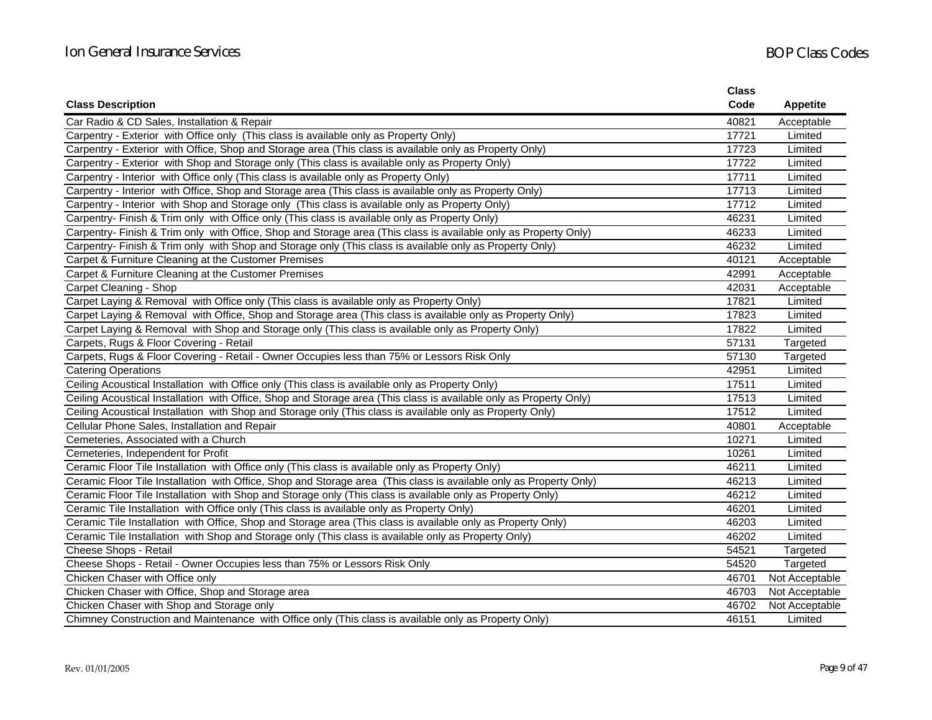|                                                                                                                    | <b>Class</b> |                 |
|--------------------------------------------------------------------------------------------------------------------|--------------|-----------------|
| <b>Class Description</b>                                                                                           | Code         | <b>Appetite</b> |
| Car Radio & CD Sales, Installation & Repair                                                                        | 40821        | Acceptable      |
| Carpentry - Exterior with Office only (This class is available only as Property Only)                              | 17721        | Limited         |
| Carpentry - Exterior with Office, Shop and Storage area (This class is available only as Property Only)            | 17723        | Limited         |
| Carpentry - Exterior with Shop and Storage only (This class is available only as Property Only)                    | 17722        | Limited         |
| Carpentry - Interior with Office only (This class is available only as Property Only)                              | 17711        | Limited         |
| Carpentry - Interior with Office, Shop and Storage area (This class is available only as Property Only)            | 17713        | Limited         |
| Carpentry - Interior with Shop and Storage only (This class is available only as Property Only)                    | 17712        | Limited         |
| Carpentry- Finish & Trim only with Office only (This class is available only as Property Only)                     | 46231        | Limited         |
| Carpentry- Finish & Trim only with Office, Shop and Storage area (This class is available only as Property Only)   | 46233        | Limited         |
| Carpentry- Finish & Trim only with Shop and Storage only (This class is available only as Property Only)           | 46232        | Limited         |
| Carpet & Furniture Cleaning at the Customer Premises                                                               | 40121        | Acceptable      |
| Carpet & Furniture Cleaning at the Customer Premises                                                               | 42991        | Acceptable      |
| Carpet Cleaning - Shop                                                                                             | 42031        | Acceptable      |
| Carpet Laying & Removal with Office only (This class is available only as Property Only)                           | 17821        | Limited         |
| Carpet Laying & Removal with Office, Shop and Storage area (This class is available only as Property Only)         | 17823        | Limited         |
| Carpet Laying & Removal with Shop and Storage only (This class is available only as Property Only)                 | 17822        | Limited         |
| Carpets, Rugs & Floor Covering - Retail                                                                            | 57131        | Targeted        |
| Carpets, Rugs & Floor Covering - Retail - Owner Occupies less than 75% or Lessors Risk Only                        | 57130        | Targeted        |
| <b>Catering Operations</b>                                                                                         | 42951        | Limited         |
| Ceiling Acoustical Installation with Office only (This class is available only as Property Only)                   | 17511        | Limited         |
| Ceiling Acoustical Installation with Office, Shop and Storage area (This class is available only as Property Only) | 17513        | Limited         |
| Ceiling Acoustical Installation with Shop and Storage only (This class is available only as Property Only)         | 17512        | Limited         |
| Cellular Phone Sales, Installation and Repair                                                                      | 40801        | Acceptable      |
| Cemeteries, Associated with a Church                                                                               | 10271        | Limited         |
| Cemeteries, Independent for Profit                                                                                 | 10261        | Limited         |
| Ceramic Floor Tile Installation with Office only (This class is available only as Property Only)                   | 46211        | Limited         |
| Ceramic Floor Tile Installation with Office, Shop and Storage area (This class is available only as Property Only) | 46213        | Limited         |
| Ceramic Floor Tile Installation with Shop and Storage only (This class is available only as Property Only)         | 46212        | Limited         |
| Ceramic Tile Installation with Office only (This class is available only as Property Only)                         | 46201        | Limited         |
| Ceramic Tile Installation with Office, Shop and Storage area (This class is available only as Property Only)       | 46203        | Limited         |
| Ceramic Tile Installation with Shop and Storage only (This class is available only as Property Only)               | 46202        | Limited         |
| Cheese Shops - Retail                                                                                              | 54521        | Targeted        |
| Cheese Shops - Retail - Owner Occupies less than 75% or Lessors Risk Only                                          | 54520        | Targeted        |
| Chicken Chaser with Office only                                                                                    | 46701        | Not Acceptable  |
| Chicken Chaser with Office, Shop and Storage area                                                                  | 46703        | Not Acceptable  |
| Chicken Chaser with Shop and Storage only                                                                          | 46702        | Not Acceptable  |
| Chimney Construction and Maintenance with Office only (This class is available only as Property Only)              | 46151        | Limited         |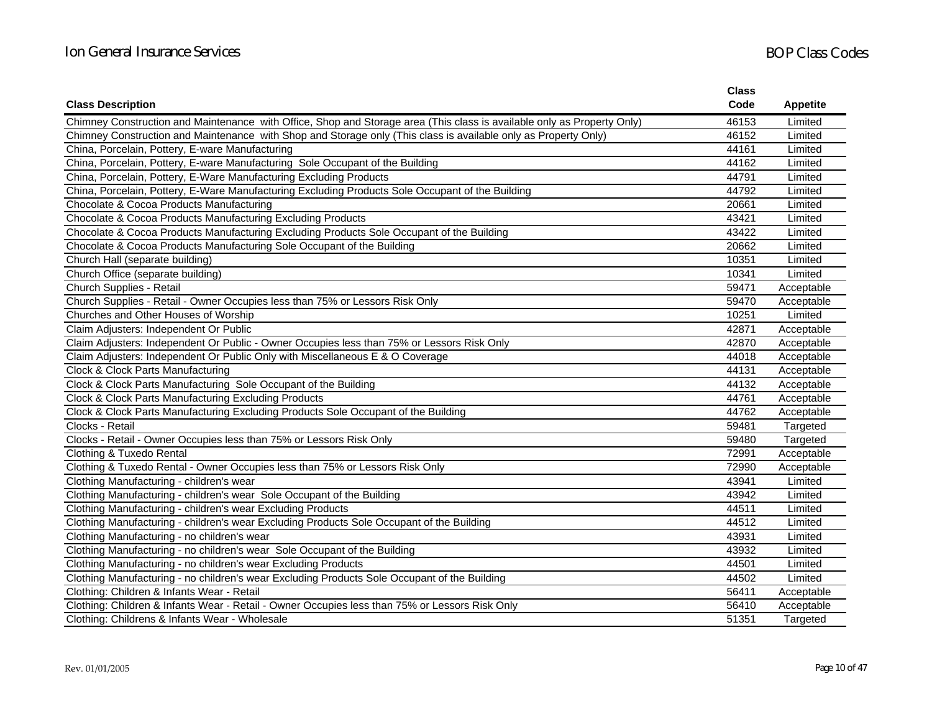|                                                                                                                         | <b>Class</b> |                 |
|-------------------------------------------------------------------------------------------------------------------------|--------------|-----------------|
| <b>Class Description</b>                                                                                                | Code         | <b>Appetite</b> |
| Chimney Construction and Maintenance with Office, Shop and Storage area (This class is available only as Property Only) | 46153        | Limited         |
| Chimney Construction and Maintenance with Shop and Storage only (This class is available only as Property Only)         | 46152        | Limited         |
| China, Porcelain, Pottery, E-ware Manufacturing                                                                         | 44161        | Limited         |
| China, Porcelain, Pottery, E-ware Manufacturing Sole Occupant of the Building                                           | 44162        | Limited         |
| China, Porcelain, Pottery, E-Ware Manufacturing Excluding Products                                                      | 44791        | Limited         |
| China, Porcelain, Pottery, E-Ware Manufacturing Excluding Products Sole Occupant of the Building                        | 44792        | Limited         |
| Chocolate & Cocoa Products Manufacturing                                                                                | 20661        | Limited         |
| Chocolate & Cocoa Products Manufacturing Excluding Products                                                             | 43421        | Limited         |
| Chocolate & Cocoa Products Manufacturing Excluding Products Sole Occupant of the Building                               | 43422        | Limited         |
| Chocolate & Cocoa Products Manufacturing Sole Occupant of the Building                                                  | 20662        | Limited         |
| Church Hall (separate building)                                                                                         | 10351        | Limited         |
| Church Office (separate building)                                                                                       | 10341        | Limited         |
| Church Supplies - Retail                                                                                                | 59471        | Acceptable      |
| Church Supplies - Retail - Owner Occupies less than 75% or Lessors Risk Only                                            | 59470        | Acceptable      |
| Churches and Other Houses of Worship                                                                                    | 10251        | Limited         |
| Claim Adjusters: Independent Or Public                                                                                  | 42871        | Acceptable      |
| Claim Adjusters: Independent Or Public - Owner Occupies less than 75% or Lessors Risk Only                              | 42870        | Acceptable      |
| Claim Adjusters: Independent Or Public Only with Miscellaneous E & O Coverage                                           | 44018        | Acceptable      |
| Clock & Clock Parts Manufacturing                                                                                       | 44131        | Acceptable      |
| Clock & Clock Parts Manufacturing Sole Occupant of the Building                                                         | 44132        | Acceptable      |
| Clock & Clock Parts Manufacturing Excluding Products                                                                    | 44761        | Acceptable      |
| Clock & Clock Parts Manufacturing Excluding Products Sole Occupant of the Building                                      | 44762        | Acceptable      |
| Clocks - Retail                                                                                                         | 59481        | Targeted        |
| Clocks - Retail - Owner Occupies less than 75% or Lessors Risk Only                                                     | 59480        | Targeted        |
| Clothing & Tuxedo Rental                                                                                                | 72991        | Acceptable      |
| Clothing & Tuxedo Rental - Owner Occupies less than 75% or Lessors Risk Only                                            | 72990        | Acceptable      |
| Clothing Manufacturing - children's wear                                                                                | 43941        | Limited         |
| Clothing Manufacturing - children's wear Sole Occupant of the Building                                                  | 43942        | Limited         |
| Clothing Manufacturing - children's wear Excluding Products                                                             | 44511        | Limited         |
| Clothing Manufacturing - children's wear Excluding Products Sole Occupant of the Building                               | 44512        | Limited         |
| Clothing Manufacturing - no children's wear                                                                             | 43931        | Limited         |
| Clothing Manufacturing - no children's wear Sole Occupant of the Building                                               | 43932        | Limited         |
| Clothing Manufacturing - no children's wear Excluding Products                                                          | 44501        | Limited         |
| Clothing Manufacturing - no children's wear Excluding Products Sole Occupant of the Building                            | 44502        | Limited         |
| Clothing: Children & Infants Wear - Retail                                                                              | 56411        | Acceptable      |
| Clothing: Children & Infants Wear - Retail - Owner Occupies less than 75% or Lessors Risk Only                          | 56410        | Acceptable      |
| Clothing: Childrens & Infants Wear - Wholesale                                                                          | 51351        | Targeted        |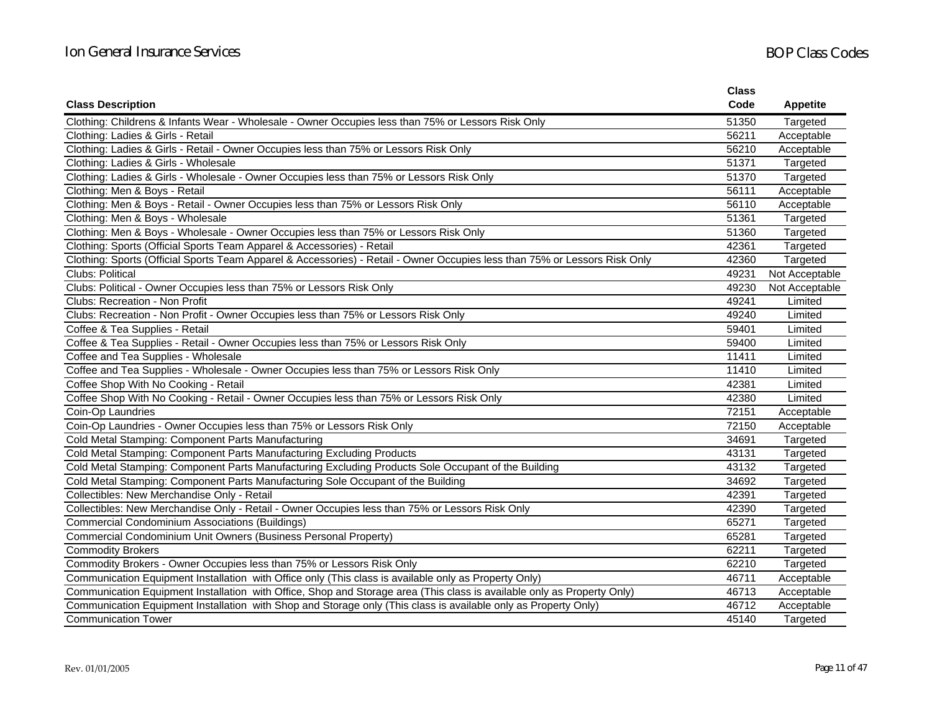|                                                                                                                            | <b>Class</b> |                 |
|----------------------------------------------------------------------------------------------------------------------------|--------------|-----------------|
| <b>Class Description</b>                                                                                                   | Code         | <b>Appetite</b> |
| Clothing: Childrens & Infants Wear - Wholesale - Owner Occupies less than 75% or Lessors Risk Only                         | 51350        | Targeted        |
| Clothing: Ladies & Girls - Retail                                                                                          | 56211        | Acceptable      |
| Clothing: Ladies & Girls - Retail - Owner Occupies less than 75% or Lessors Risk Only                                      | 56210        | Acceptable      |
| Clothing: Ladies & Girls - Wholesale                                                                                       | 51371        | Targeted        |
| Clothing: Ladies & Girls - Wholesale - Owner Occupies less than 75% or Lessors Risk Only                                   | 51370        | Targeted        |
| Clothing: Men & Boys - Retail                                                                                              | 56111        | Acceptable      |
| Clothing: Men & Boys - Retail - Owner Occupies less than 75% or Lessors Risk Only                                          | 56110        | Acceptable      |
| Clothing: Men & Boys - Wholesale                                                                                           | 51361        | Targeted        |
| Clothing: Men & Boys - Wholesale - Owner Occupies less than 75% or Lessors Risk Only                                       | 51360        | Targeted        |
| Clothing: Sports (Official Sports Team Apparel & Accessories) - Retail                                                     | 42361        | Targeted        |
| Clothing: Sports (Official Sports Team Apparel & Accessories) - Retail - Owner Occupies less than 75% or Lessors Risk Only | 42360        | Targeted        |
| Clubs: Political                                                                                                           | 49231        | Not Acceptable  |
| Clubs: Political - Owner Occupies less than 75% or Lessors Risk Only                                                       | 49230        | Not Acceptable  |
| <b>Clubs: Recreation - Non Profit</b>                                                                                      | 49241        | Limited         |
| Clubs: Recreation - Non Profit - Owner Occupies less than 75% or Lessors Risk Only                                         | 49240        | Limited         |
| Coffee & Tea Supplies - Retail                                                                                             | 59401        | Limited         |
| Coffee & Tea Supplies - Retail - Owner Occupies less than 75% or Lessors Risk Only                                         | 59400        | Limited         |
| Coffee and Tea Supplies - Wholesale                                                                                        | 11411        | Limited         |
| Coffee and Tea Supplies - Wholesale - Owner Occupies less than 75% or Lessors Risk Only                                    | 11410        | Limited         |
| Coffee Shop With No Cooking - Retail                                                                                       | 42381        | Limited         |
| Coffee Shop With No Cooking - Retail - Owner Occupies less than 75% or Lessors Risk Only                                   | 42380        | Limited         |
| Coin-Op Laundries                                                                                                          | 72151        | Acceptable      |
| Coin-Op Laundries - Owner Occupies less than 75% or Lessors Risk Only                                                      | 72150        | Acceptable      |
| Cold Metal Stamping: Component Parts Manufacturing                                                                         | 34691        | Targeted        |
| Cold Metal Stamping: Component Parts Manufacturing Excluding Products                                                      | 43131        | Targeted        |
| Cold Metal Stamping: Component Parts Manufacturing Excluding Products Sole Occupant of the Building                        | 43132        | Targeted        |
| Cold Metal Stamping: Component Parts Manufacturing Sole Occupant of the Building                                           | 34692        | Targeted        |
| Collectibles: New Merchandise Only - Retail                                                                                | 42391        | Targeted        |
| Collectibles: New Merchandise Only - Retail - Owner Occupies less than 75% or Lessors Risk Only                            | 42390        | Targeted        |
| <b>Commercial Condominium Associations (Buildings)</b>                                                                     | 65271        | Targeted        |
| Commercial Condominium Unit Owners (Business Personal Property)                                                            | 65281        | Targeted        |
| <b>Commodity Brokers</b>                                                                                                   | 62211        | Targeted        |
| Commodity Brokers - Owner Occupies less than 75% or Lessors Risk Only                                                      | 62210        | Targeted        |
| Communication Equipment Installation with Office only (This class is available only as Property Only)                      | 46711        | Acceptable      |
| Communication Equipment Installation with Office, Shop and Storage area (This class is available only as Property Only)    | 46713        | Acceptable      |
| Communication Equipment Installation with Shop and Storage only (This class is available only as Property Only)            | 46712        | Acceptable      |
| <b>Communication Tower</b>                                                                                                 | 45140        | Targeted        |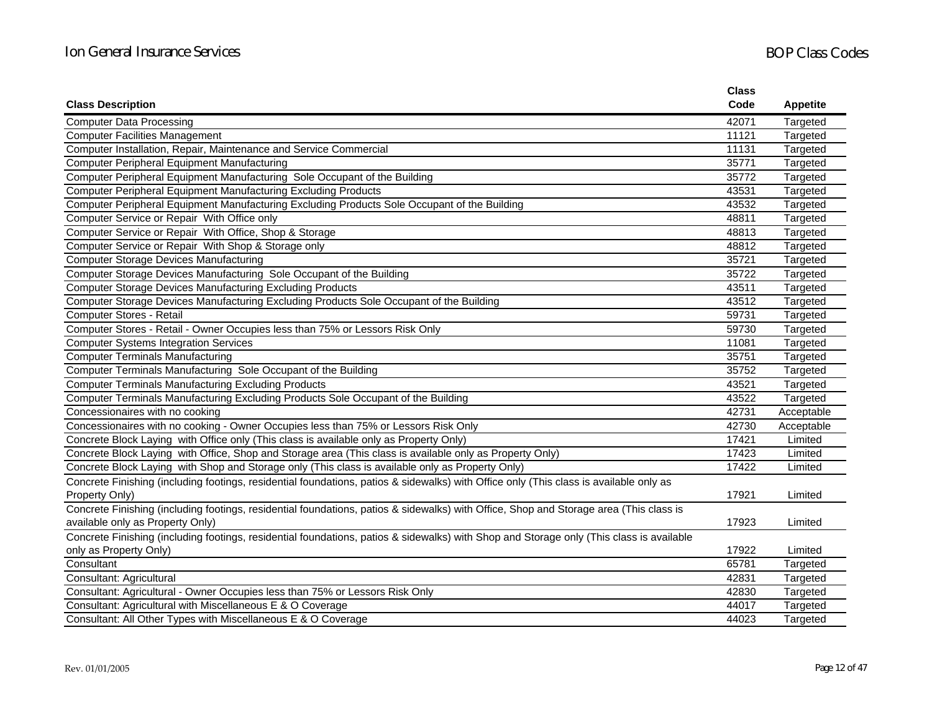|                                                                                                                                          | <b>Class</b> |                 |
|------------------------------------------------------------------------------------------------------------------------------------------|--------------|-----------------|
| <b>Class Description</b>                                                                                                                 | Code         | <b>Appetite</b> |
| <b>Computer Data Processing</b>                                                                                                          | 42071        | Targeted        |
| <b>Computer Facilities Management</b>                                                                                                    | 11121        | Targeted        |
| Computer Installation, Repair, Maintenance and Service Commercial                                                                        | 11131        | Targeted        |
| <b>Computer Peripheral Equipment Manufacturing</b>                                                                                       | 35771        | Targeted        |
| Computer Peripheral Equipment Manufacturing Sole Occupant of the Building                                                                | 35772        | Targeted        |
| <b>Computer Peripheral Equipment Manufacturing Excluding Products</b>                                                                    | 43531        | Targeted        |
| Computer Peripheral Equipment Manufacturing Excluding Products Sole Occupant of the Building                                             | 43532        | Targeted        |
| Computer Service or Repair With Office only                                                                                              | 48811        | Targeted        |
| Computer Service or Repair With Office, Shop & Storage                                                                                   | 48813        | Targeted        |
| Computer Service or Repair With Shop & Storage only                                                                                      | 48812        | Targeted        |
| <b>Computer Storage Devices Manufacturing</b>                                                                                            | 35721        | Targeted        |
| Computer Storage Devices Manufacturing Sole Occupant of the Building                                                                     | 35722        | Targeted        |
| <b>Computer Storage Devices Manufacturing Excluding Products</b>                                                                         | 43511        | Targeted        |
| Computer Storage Devices Manufacturing Excluding Products Sole Occupant of the Building                                                  | 43512        | Targeted        |
| Computer Stores - Retail                                                                                                                 | 59731        | Targeted        |
| Computer Stores - Retail - Owner Occupies less than 75% or Lessors Risk Only                                                             | 59730        | Targeted        |
| <b>Computer Systems Integration Services</b>                                                                                             | 11081        | Targeted        |
| <b>Computer Terminals Manufacturing</b>                                                                                                  | 35751        | Targeted        |
| Computer Terminals Manufacturing Sole Occupant of the Building                                                                           | 35752        | Targeted        |
| <b>Computer Terminals Manufacturing Excluding Products</b>                                                                               | 43521        | Targeted        |
| Computer Terminals Manufacturing Excluding Products Sole Occupant of the Building                                                        | 43522        | Targeted        |
| Concessionaires with no cooking                                                                                                          | 42731        | Acceptable      |
| Concessionaires with no cooking - Owner Occupies less than 75% or Lessors Risk Only                                                      | 42730        | Acceptable      |
| Concrete Block Laying with Office only (This class is available only as Property Only)                                                   | 17421        | Limited         |
| Concrete Block Laying with Office, Shop and Storage area (This class is available only as Property Only)                                 | 17423        | Limited         |
| Concrete Block Laying with Shop and Storage only (This class is available only as Property Only)                                         | 17422        | Limited         |
| Concrete Finishing (including footings, residential foundations, patios & sidewalks) with Office only (This class is available only as   |              |                 |
| Property Only)                                                                                                                           | 17921        | Limited         |
| Concrete Finishing (including footings, residential foundations, patios & sidewalks) with Office, Shop and Storage area (This class is   |              |                 |
| available only as Property Only)                                                                                                         | 17923        | Limited         |
| Concrete Finishing (including footings, residential foundations, patios & sidewalks) with Shop and Storage only (This class is available |              |                 |
| only as Property Only)                                                                                                                   | 17922        | Limited         |
| Consultant                                                                                                                               | 65781        | Targeted        |
| Consultant: Agricultural                                                                                                                 | 42831        | Targeted        |
| Consultant: Agricultural - Owner Occupies less than 75% or Lessors Risk Only                                                             | 42830        | Targeted        |
| Consultant: Agricultural with Miscellaneous E & O Coverage                                                                               | 44017        | Targeted        |
| Consultant: All Other Types with Miscellaneous E & O Coverage                                                                            | 44023        | Targeted        |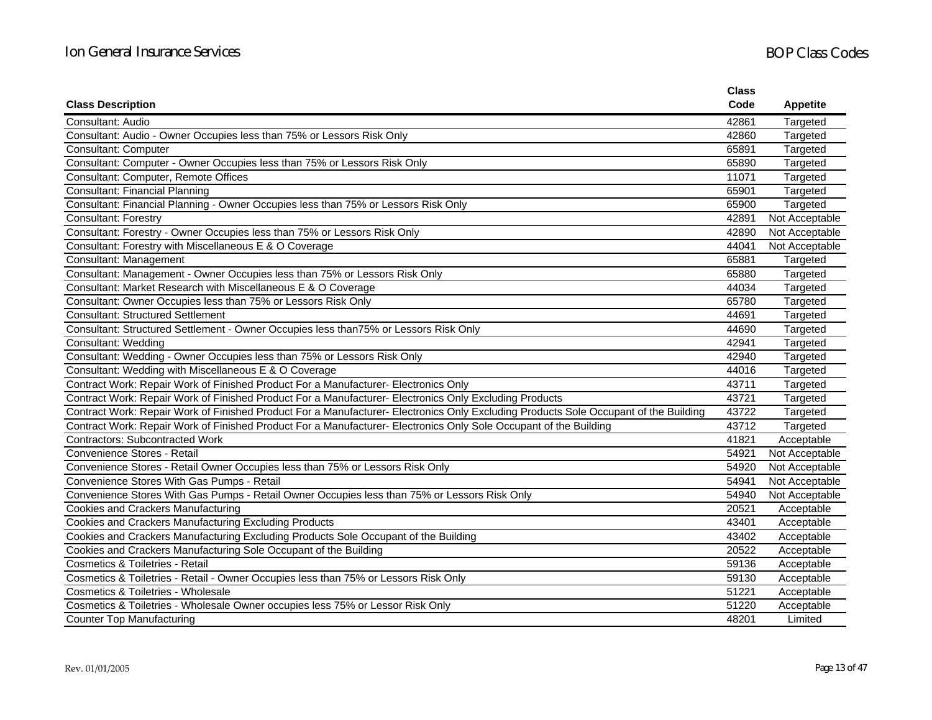|                                                                                                                                      | <b>Class</b> |                 |
|--------------------------------------------------------------------------------------------------------------------------------------|--------------|-----------------|
| <b>Class Description</b>                                                                                                             | Code         | <b>Appetite</b> |
| Consultant: Audio                                                                                                                    | 42861        | Targeted        |
| Consultant: Audio - Owner Occupies less than 75% or Lessors Risk Only                                                                | 42860        | Targeted        |
| Consultant: Computer                                                                                                                 | 65891        | Targeted        |
| Consultant: Computer - Owner Occupies less than 75% or Lessors Risk Only                                                             | 65890        | Targeted        |
| Consultant: Computer, Remote Offices                                                                                                 | 11071        | Targeted        |
| <b>Consultant: Financial Planning</b>                                                                                                | 65901        | Targeted        |
| Consultant: Financial Planning - Owner Occupies less than 75% or Lessors Risk Only                                                   | 65900        | Targeted        |
| <b>Consultant: Forestry</b>                                                                                                          | 42891        | Not Acceptable  |
| Consultant: Forestry - Owner Occupies less than 75% or Lessors Risk Only                                                             | 42890        | Not Acceptable  |
| Consultant: Forestry with Miscellaneous E & O Coverage                                                                               | 44041        | Not Acceptable  |
| Consultant: Management                                                                                                               | 65881        | Targeted        |
| Consultant: Management - Owner Occupies less than 75% or Lessors Risk Only                                                           | 65880        | Targeted        |
| Consultant: Market Research with Miscellaneous E & O Coverage                                                                        | 44034        | Targeted        |
| Consultant: Owner Occupies less than 75% or Lessors Risk Only                                                                        | 65780        | Targeted        |
| <b>Consultant: Structured Settlement</b>                                                                                             | 44691        | Targeted        |
| Consultant: Structured Settlement - Owner Occupies less than 75% or Lessors Risk Only                                                | 44690        | Targeted        |
| <b>Consultant: Wedding</b>                                                                                                           | 42941        | Targeted        |
| Consultant: Wedding - Owner Occupies less than 75% or Lessors Risk Only                                                              | 42940        | Targeted        |
| Consultant: Wedding with Miscellaneous E & O Coverage                                                                                | 44016        | Targeted        |
| Contract Work: Repair Work of Finished Product For a Manufacturer- Electronics Only                                                  | 43711        | Targeted        |
| Contract Work: Repair Work of Finished Product For a Manufacturer- Electronics Only Excluding Products                               | 43721        | Targeted        |
| Contract Work: Repair Work of Finished Product For a Manufacturer- Electronics Only Excluding Products Sole Occupant of the Building | 43722        | Targeted        |
| Contract Work: Repair Work of Finished Product For a Manufacturer- Electronics Only Sole Occupant of the Building                    | 43712        | Targeted        |
| <b>Contractors: Subcontracted Work</b>                                                                                               | 41821        | Acceptable      |
| Convenience Stores - Retail                                                                                                          | 54921        | Not Acceptable  |
| Convenience Stores - Retail Owner Occupies less than 75% or Lessors Risk Only                                                        | 54920        | Not Acceptable  |
| Convenience Stores With Gas Pumps - Retail                                                                                           | 54941        | Not Acceptable  |
| Convenience Stores With Gas Pumps - Retail Owner Occupies less than 75% or Lessors Risk Only                                         | 54940        | Not Acceptable  |
| <b>Cookies and Crackers Manufacturing</b>                                                                                            | 20521        | Acceptable      |
| Cookies and Crackers Manufacturing Excluding Products                                                                                | 43401        | Acceptable      |
| Cookies and Crackers Manufacturing Excluding Products Sole Occupant of the Building                                                  | 43402        | Acceptable      |
| Cookies and Crackers Manufacturing Sole Occupant of the Building                                                                     | 20522        | Acceptable      |
| <b>Cosmetics &amp; Toiletries - Retail</b>                                                                                           | 59136        | Acceptable      |
| Cosmetics & Toiletries - Retail - Owner Occupies less than 75% or Lessors Risk Only                                                  | 59130        | Acceptable      |
| Cosmetics & Toiletries - Wholesale                                                                                                   | 51221        | Acceptable      |
| Cosmetics & Toiletries - Wholesale Owner occupies less 75% or Lessor Risk Only                                                       | 51220        | Acceptable      |
| <b>Counter Top Manufacturing</b>                                                                                                     | 48201        | Limited         |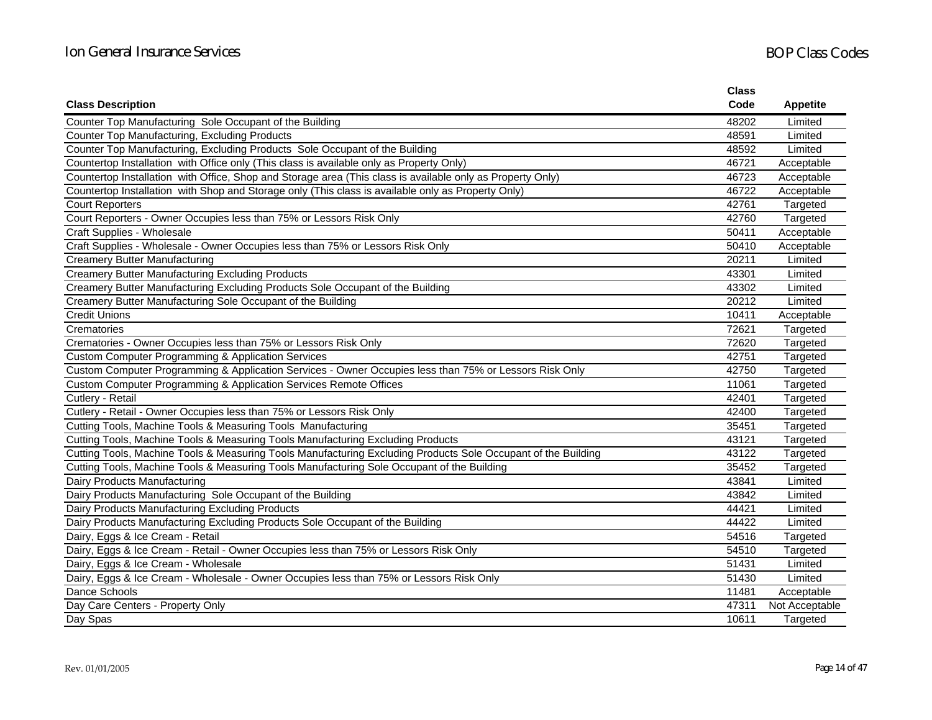|                                                                                                               | <b>Class</b> |                 |
|---------------------------------------------------------------------------------------------------------------|--------------|-----------------|
| <b>Class Description</b>                                                                                      | Code         | <b>Appetite</b> |
| Counter Top Manufacturing Sole Occupant of the Building                                                       | 48202        | Limited         |
| Counter Top Manufacturing, Excluding Products                                                                 | 48591        | Limited         |
| Counter Top Manufacturing, Excluding Products Sole Occupant of the Building                                   | 48592        | Limited         |
| Countertop Installation with Office only (This class is available only as Property Only)                      | 46721        | Acceptable      |
| Countertop Installation with Office, Shop and Storage area (This class is available only as Property Only)    | 46723        | Acceptable      |
| Countertop Installation with Shop and Storage only (This class is available only as Property Only)            | 46722        | Acceptable      |
| <b>Court Reporters</b>                                                                                        | 42761        | Targeted        |
| Court Reporters - Owner Occupies less than 75% or Lessors Risk Only                                           | 42760        | Targeted        |
| Craft Supplies - Wholesale                                                                                    | 50411        | Acceptable      |
| Craft Supplies - Wholesale - Owner Occupies less than 75% or Lessors Risk Only                                | 50410        | Acceptable      |
| <b>Creamery Butter Manufacturing</b>                                                                          | 20211        | Limited         |
| <b>Creamery Butter Manufacturing Excluding Products</b>                                                       | 43301        | Limited         |
| Creamery Butter Manufacturing Excluding Products Sole Occupant of the Building                                | 43302        | Limited         |
| Creamery Butter Manufacturing Sole Occupant of the Building                                                   | 20212        | Limited         |
| <b>Credit Unions</b>                                                                                          | 10411        | Acceptable      |
| Crematories                                                                                                   | 72621        | Targeted        |
| Crematories - Owner Occupies less than 75% or Lessors Risk Only                                               | 72620        | Targeted        |
| <b>Custom Computer Programming &amp; Application Services</b>                                                 | 42751        | Targeted        |
| Custom Computer Programming & Application Services - Owner Occupies less than 75% or Lessors Risk Only        | 42750        | Targeted        |
| Custom Computer Programming & Application Services Remote Offices                                             | 11061        | Targeted        |
| Cutlery - Retail                                                                                              | 42401        | Targeted        |
| Cutlery - Retail - Owner Occupies less than 75% or Lessors Risk Only                                          | 42400        | Targeted        |
| Cutting Tools, Machine Tools & Measuring Tools Manufacturing                                                  | 35451        | Targeted        |
| Cutting Tools, Machine Tools & Measuring Tools Manufacturing Excluding Products                               | 43121        | Targeted        |
| Cutting Tools, Machine Tools & Measuring Tools Manufacturing Excluding Products Sole Occupant of the Building | 43122        | Targeted        |
| Cutting Tools, Machine Tools & Measuring Tools Manufacturing Sole Occupant of the Building                    | 35452        | Targeted        |
| Dairy Products Manufacturing                                                                                  | 43841        | Limited         |
| Dairy Products Manufacturing Sole Occupant of the Building                                                    | 43842        | Limited         |
| Dairy Products Manufacturing Excluding Products                                                               | 44421        | Limited         |
| Dairy Products Manufacturing Excluding Products Sole Occupant of the Building                                 | 44422        | Limited         |
| Dairy, Eggs & Ice Cream - Retail                                                                              | 54516        | Targeted        |
| Dairy, Eggs & Ice Cream - Retail - Owner Occupies less than 75% or Lessors Risk Only                          | 54510        | Targeted        |
| Dairy, Eggs & Ice Cream - Wholesale                                                                           | 51431        | Limited         |
| Dairy, Eggs & Ice Cream - Wholesale - Owner Occupies less than 75% or Lessors Risk Only                       | 51430        | Limited         |
| Dance Schools                                                                                                 | 11481        | Acceptable      |
| Day Care Centers - Property Only                                                                              | 47311        | Not Acceptable  |
| Day Spas                                                                                                      | 10611        | Targeted        |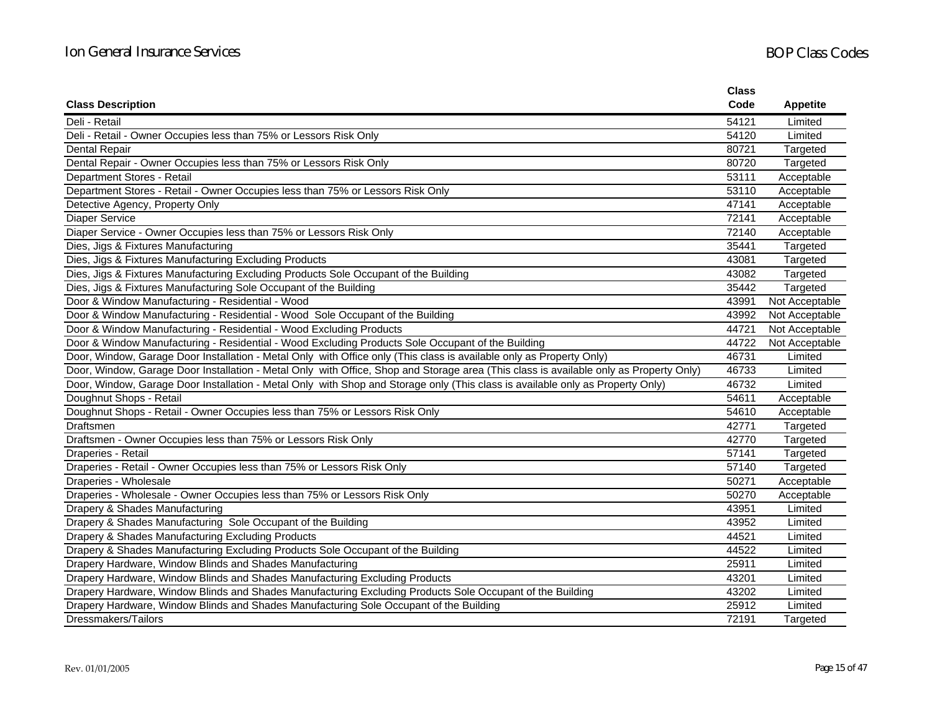|                                                                                                                                        | <b>Class</b> |                 |
|----------------------------------------------------------------------------------------------------------------------------------------|--------------|-----------------|
| <b>Class Description</b>                                                                                                               | Code         | <b>Appetite</b> |
| Deli - Retail                                                                                                                          | 54121        | Limited         |
| Deli - Retail - Owner Occupies less than 75% or Lessors Risk Only                                                                      | 54120        | Limited         |
| Dental Repair                                                                                                                          | 80721        | Targeted        |
| Dental Repair - Owner Occupies less than 75% or Lessors Risk Only                                                                      | 80720        | Targeted        |
| Department Stores - Retail                                                                                                             | 53111        | Acceptable      |
| Department Stores - Retail - Owner Occupies less than 75% or Lessors Risk Only                                                         | 53110        | Acceptable      |
| Detective Agency, Property Only                                                                                                        | 47141        | Acceptable      |
| <b>Diaper Service</b>                                                                                                                  | 72141        | Acceptable      |
| Diaper Service - Owner Occupies less than 75% or Lessors Risk Only                                                                     | 72140        | Acceptable      |
| Dies, Jigs & Fixtures Manufacturing                                                                                                    | 35441        | Targeted        |
| Dies, Jigs & Fixtures Manufacturing Excluding Products                                                                                 | 43081        | Targeted        |
| Dies, Jigs & Fixtures Manufacturing Excluding Products Sole Occupant of the Building                                                   | 43082        | Targeted        |
| Dies, Jigs & Fixtures Manufacturing Sole Occupant of the Building                                                                      | 35442        | Targeted        |
| Door & Window Manufacturing - Residential - Wood                                                                                       | 43991        | Not Acceptable  |
| Door & Window Manufacturing - Residential - Wood Sole Occupant of the Building                                                         | 43992        | Not Acceptable  |
| Door & Window Manufacturing - Residential - Wood Excluding Products                                                                    | 44721        | Not Acceptable  |
| Door & Window Manufacturing - Residential - Wood Excluding Products Sole Occupant of the Building                                      | 44722        | Not Acceptable  |
| Door, Window, Garage Door Installation - Metal Only with Office only (This class is available only as Property Only)                   | 46731        | Limited         |
| Door, Window, Garage Door Installation - Metal Only with Office, Shop and Storage area (This class is available only as Property Only) | 46733        | Limited         |
| Door, Window, Garage Door Installation - Metal Only with Shop and Storage only (This class is available only as Property Only)         | 46732        | Limited         |
| Doughnut Shops - Retail                                                                                                                | 54611        | Acceptable      |
| Doughnut Shops - Retail - Owner Occupies less than 75% or Lessors Risk Only                                                            | 54610        | Acceptable      |
| Draftsmen                                                                                                                              | 42771        | Targeted        |
| Draftsmen - Owner Occupies less than 75% or Lessors Risk Only                                                                          | 42770        | Targeted        |
| Draperies - Retail                                                                                                                     | 57141        | Targeted        |
| Draperies - Retail - Owner Occupies less than 75% or Lessors Risk Only                                                                 | 57140        | Targeted        |
| Draperies - Wholesale                                                                                                                  | 50271        | Acceptable      |
| Draperies - Wholesale - Owner Occupies less than 75% or Lessors Risk Only                                                              | 50270        | Acceptable      |
| Drapery & Shades Manufacturing                                                                                                         | 43951        | Limited         |
| Drapery & Shades Manufacturing Sole Occupant of the Building                                                                           | 43952        | Limited         |
| Drapery & Shades Manufacturing Excluding Products                                                                                      | 44521        | Limited         |
| Drapery & Shades Manufacturing Excluding Products Sole Occupant of the Building                                                        | 44522        | Limited         |
| Drapery Hardware, Window Blinds and Shades Manufacturing                                                                               | 25911        | Limited         |
| Drapery Hardware, Window Blinds and Shades Manufacturing Excluding Products                                                            | 43201        | Limited         |
| Drapery Hardware, Window Blinds and Shades Manufacturing Excluding Products Sole Occupant of the Building                              | 43202        | Limited         |
| Drapery Hardware, Window Blinds and Shades Manufacturing Sole Occupant of the Building                                                 | 25912        | Limited         |
| Dressmakers/Tailors                                                                                                                    | 72191        | Targeted        |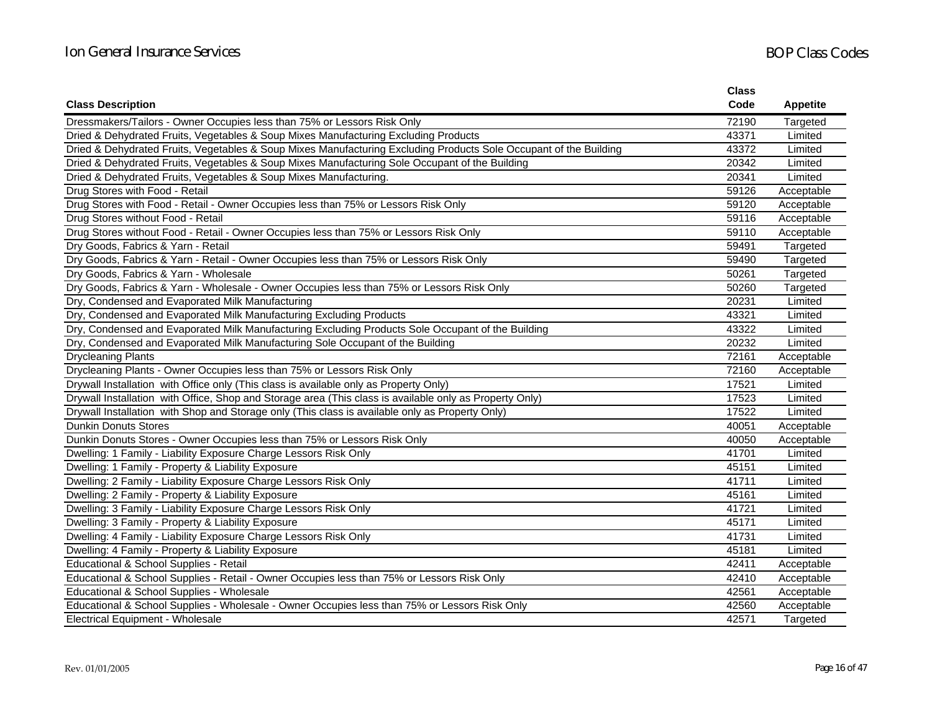|                                                                                                                   | <b>Class</b> |                 |
|-------------------------------------------------------------------------------------------------------------------|--------------|-----------------|
| <b>Class Description</b>                                                                                          | Code         | <b>Appetite</b> |
| Dressmakers/Tailors - Owner Occupies less than 75% or Lessors Risk Only                                           | 72190        | Targeted        |
| Dried & Dehydrated Fruits, Vegetables & Soup Mixes Manufacturing Excluding Products                               | 43371        | Limited         |
| Dried & Dehydrated Fruits, Vegetables & Soup Mixes Manufacturing Excluding Products Sole Occupant of the Building | 43372        | Limited         |
| Dried & Dehydrated Fruits, Vegetables & Soup Mixes Manufacturing Sole Occupant of the Building                    | 20342        | Limited         |
| Dried & Dehydrated Fruits, Vegetables & Soup Mixes Manufacturing.                                                 | 20341        | Limited         |
| Drug Stores with Food - Retail                                                                                    | 59126        | Acceptable      |
| Drug Stores with Food - Retail - Owner Occupies less than 75% or Lessors Risk Only                                | 59120        | Acceptable      |
| Drug Stores without Food - Retail                                                                                 | 59116        | Acceptable      |
| Drug Stores without Food - Retail - Owner Occupies less than 75% or Lessors Risk Only                             | 59110        | Acceptable      |
| Dry Goods, Fabrics & Yarn - Retail                                                                                | 59491        | Targeted        |
| Dry Goods, Fabrics & Yarn - Retail - Owner Occupies less than 75% or Lessors Risk Only                            | 59490        | Targeted        |
| Dry Goods, Fabrics & Yarn - Wholesale                                                                             | 50261        | Targeted        |
| Dry Goods, Fabrics & Yarn - Wholesale - Owner Occupies less than 75% or Lessors Risk Only                         | 50260        | Targeted        |
| Dry, Condensed and Evaporated Milk Manufacturing                                                                  | 20231        | Limited         |
| Dry, Condensed and Evaporated Milk Manufacturing Excluding Products                                               | 43321        | Limited         |
| Dry, Condensed and Evaporated Milk Manufacturing Excluding Products Sole Occupant of the Building                 | 43322        | Limited         |
| Dry, Condensed and Evaporated Milk Manufacturing Sole Occupant of the Building                                    | 20232        | Limited         |
| <b>Drycleaning Plants</b>                                                                                         | 72161        | Acceptable      |
| Drycleaning Plants - Owner Occupies less than 75% or Lessors Risk Only                                            | 72160        | Acceptable      |
| Drywall Installation with Office only (This class is available only as Property Only)                             | 17521        | Limited         |
| Drywall Installation with Office, Shop and Storage area (This class is available only as Property Only)           | 17523        | Limited         |
| Drywall Installation with Shop and Storage only (This class is available only as Property Only)                   | 17522        | Limited         |
| <b>Dunkin Donuts Stores</b>                                                                                       | 40051        | Acceptable      |
| Dunkin Donuts Stores - Owner Occupies less than 75% or Lessors Risk Only                                          | 40050        | Acceptable      |
| Dwelling: 1 Family - Liability Exposure Charge Lessors Risk Only                                                  | 41701        | Limited         |
| Dwelling: 1 Family - Property & Liability Exposure                                                                | 45151        | Limited         |
| Dwelling: 2 Family - Liability Exposure Charge Lessors Risk Only                                                  | 41711        | Limited         |
| Dwelling: 2 Family - Property & Liability Exposure                                                                | 45161        | Limited         |
| Dwelling: 3 Family - Liability Exposure Charge Lessors Risk Only                                                  | 41721        | Limited         |
| Dwelling: 3 Family - Property & Liability Exposure                                                                | 45171        | Limited         |
| Dwelling: 4 Family - Liability Exposure Charge Lessors Risk Only                                                  | 41731        | Limited         |
| Dwelling: 4 Family - Property & Liability Exposure                                                                | 45181        | Limited         |
| Educational & School Supplies - Retail                                                                            | 42411        | Acceptable      |
| Educational & School Supplies - Retail - Owner Occupies less than 75% or Lessors Risk Only                        | 42410        | Acceptable      |
| Educational & School Supplies - Wholesale                                                                         | 42561        | Acceptable      |
| Educational & School Supplies - Wholesale - Owner Occupies less than 75% or Lessors Risk Only                     | 42560        | Acceptable      |
| Electrical Equipment - Wholesale                                                                                  | 42571        | Targeted        |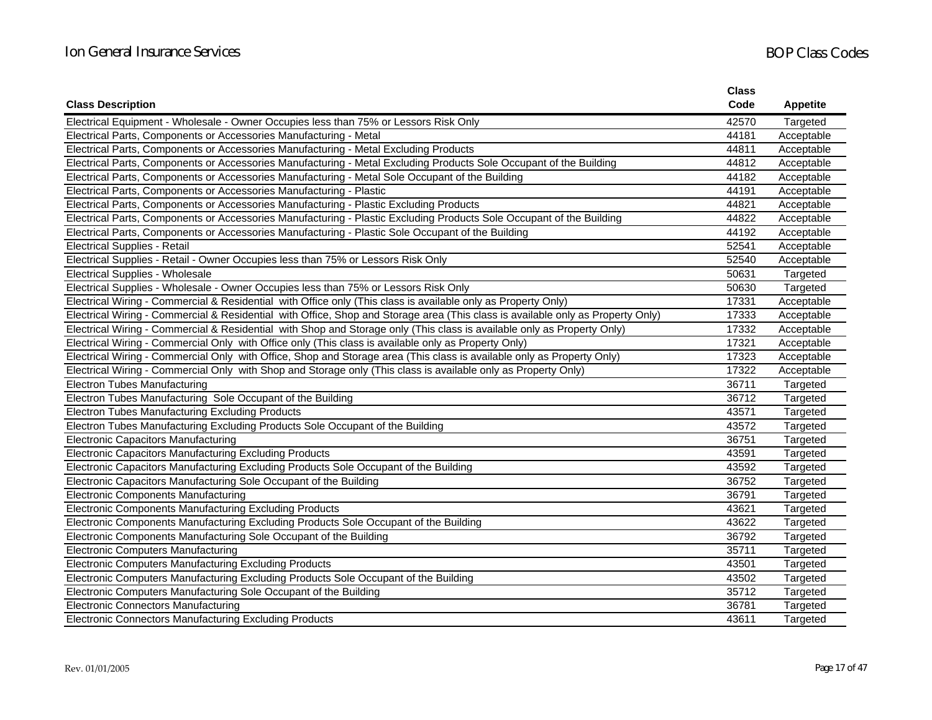|                                                                                                                                 | Class |                 |
|---------------------------------------------------------------------------------------------------------------------------------|-------|-----------------|
| <b>Class Description</b>                                                                                                        | Code  | <b>Appetite</b> |
| Electrical Equipment - Wholesale - Owner Occupies less than 75% or Lessors Risk Only                                            | 42570 | Targeted        |
| Electrical Parts, Components or Accessories Manufacturing - Metal                                                               | 44181 | Acceptable      |
| Electrical Parts, Components or Accessories Manufacturing - Metal Excluding Products                                            | 44811 | Acceptable      |
| Electrical Parts, Components or Accessories Manufacturing - Metal Excluding Products Sole Occupant of the Building              | 44812 | Acceptable      |
| Electrical Parts, Components or Accessories Manufacturing - Metal Sole Occupant of the Building                                 | 44182 | Acceptable      |
| Electrical Parts, Components or Accessories Manufacturing - Plastic                                                             | 44191 | Acceptable      |
| Electrical Parts, Components or Accessories Manufacturing - Plastic Excluding Products                                          | 44821 | Acceptable      |
| Electrical Parts, Components or Accessories Manufacturing - Plastic Excluding Products Sole Occupant of the Building            | 44822 | Acceptable      |
| Electrical Parts, Components or Accessories Manufacturing - Plastic Sole Occupant of the Building                               | 44192 | Acceptable      |
| <b>Electrical Supplies - Retail</b>                                                                                             | 52541 | Acceptable      |
| Electrical Supplies - Retail - Owner Occupies less than 75% or Lessors Risk Only                                                | 52540 | Acceptable      |
| Electrical Supplies - Wholesale                                                                                                 | 50631 | Targeted        |
| Electrical Supplies - Wholesale - Owner Occupies less than 75% or Lessors Risk Only                                             | 50630 | Targeted        |
| Electrical Wiring - Commercial & Residential with Office only (This class is available only as Property Only)                   | 17331 | Acceptable      |
| Electrical Wiring - Commercial & Residential with Office, Shop and Storage area (This class is available only as Property Only) | 17333 | Acceptable      |
| Electrical Wiring - Commercial & Residential with Shop and Storage only (This class is available only as Property Only)         | 17332 | Acceptable      |
| Electrical Wiring - Commercial Only with Office only (This class is available only as Property Only)                            | 17321 | Acceptable      |
| Electrical Wiring - Commercial Only with Office, Shop and Storage area (This class is available only as Property Only)          | 17323 | Acceptable      |
| Electrical Wiring - Commercial Only with Shop and Storage only (This class is available only as Property Only)                  | 17322 | Acceptable      |
| <b>Electron Tubes Manufacturing</b>                                                                                             | 36711 | Targeted        |
| Electron Tubes Manufacturing Sole Occupant of the Building                                                                      | 36712 | Targeted        |
| Electron Tubes Manufacturing Excluding Products                                                                                 | 43571 | Targeted        |
| Electron Tubes Manufacturing Excluding Products Sole Occupant of the Building                                                   | 43572 | Targeted        |
| <b>Electronic Capacitors Manufacturing</b>                                                                                      | 36751 | Targeted        |
| Electronic Capacitors Manufacturing Excluding Products                                                                          | 43591 | Targeted        |
| Electronic Capacitors Manufacturing Excluding Products Sole Occupant of the Building                                            | 43592 | Targeted        |
| Electronic Capacitors Manufacturing Sole Occupant of the Building                                                               | 36752 | Targeted        |
| <b>Electronic Components Manufacturing</b>                                                                                      | 36791 | Targeted        |
| Electronic Components Manufacturing Excluding Products                                                                          | 43621 | Targeted        |
| Electronic Components Manufacturing Excluding Products Sole Occupant of the Building                                            | 43622 | Targeted        |
| Electronic Components Manufacturing Sole Occupant of the Building                                                               | 36792 | Targeted        |
| <b>Electronic Computers Manufacturing</b>                                                                                       | 35711 | Targeted        |
| Electronic Computers Manufacturing Excluding Products                                                                           | 43501 | Targeted        |
| Electronic Computers Manufacturing Excluding Products Sole Occupant of the Building                                             | 43502 | Targeted        |
| Electronic Computers Manufacturing Sole Occupant of the Building                                                                | 35712 | Targeted        |
| <b>Electronic Connectors Manufacturing</b>                                                                                      | 36781 | Targeted        |
| <b>Electronic Connectors Manufacturing Excluding Products</b>                                                                   | 43611 | Targeted        |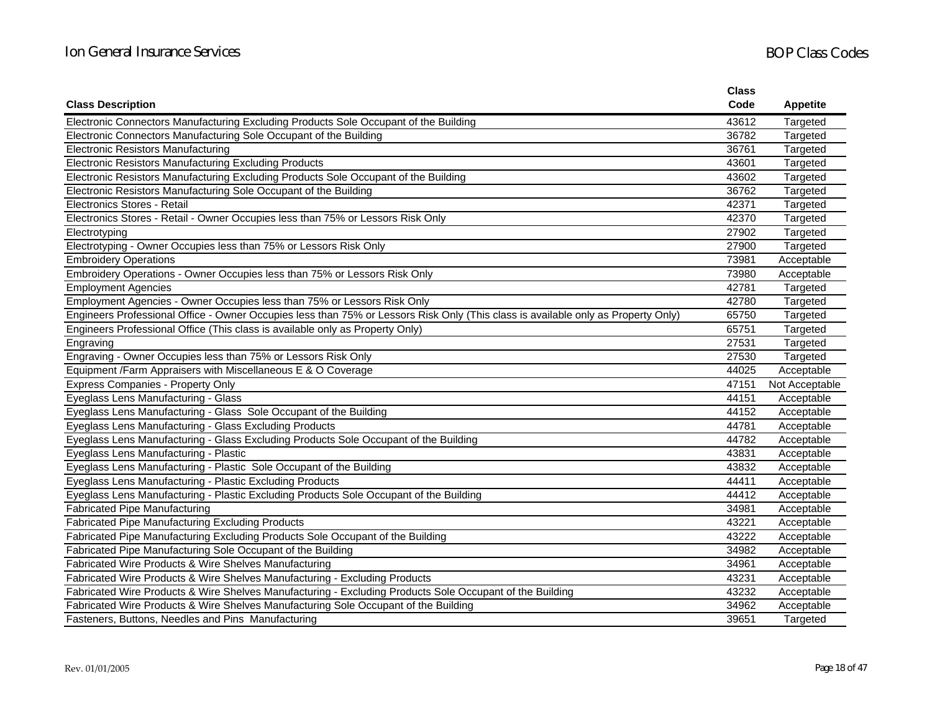|                                                                                                                                   | <b>Class</b> |                 |
|-----------------------------------------------------------------------------------------------------------------------------------|--------------|-----------------|
| <b>Class Description</b>                                                                                                          | Code         | <b>Appetite</b> |
| Electronic Connectors Manufacturing Excluding Products Sole Occupant of the Building                                              | 43612        | Targeted        |
| Electronic Connectors Manufacturing Sole Occupant of the Building                                                                 | 36782        | Targeted        |
| <b>Electronic Resistors Manufacturing</b>                                                                                         | 36761        | Targeted        |
| Electronic Resistors Manufacturing Excluding Products                                                                             | 43601        | Targeted        |
| Electronic Resistors Manufacturing Excluding Products Sole Occupant of the Building                                               | 43602        | Targeted        |
| Electronic Resistors Manufacturing Sole Occupant of the Building                                                                  | 36762        | Targeted        |
| Electronics Stores - Retail                                                                                                       | 42371        | Targeted        |
| Electronics Stores - Retail - Owner Occupies less than 75% or Lessors Risk Only                                                   | 42370        | Targeted        |
| Electrotyping                                                                                                                     | 27902        | Targeted        |
| Electrotyping - Owner Occupies less than 75% or Lessors Risk Only                                                                 | 27900        | Targeted        |
| <b>Embroidery Operations</b>                                                                                                      | 73981        | Acceptable      |
| Embroidery Operations - Owner Occupies less than 75% or Lessors Risk Only                                                         | 73980        | Acceptable      |
| <b>Employment Agencies</b>                                                                                                        | 42781        | Targeted        |
| Employment Agencies - Owner Occupies less than 75% or Lessors Risk Only                                                           | 42780        | Targeted        |
| Engineers Professional Office - Owner Occupies less than 75% or Lessors Risk Only (This class is available only as Property Only) | 65750        | Targeted        |
| Engineers Professional Office (This class is available only as Property Only)                                                     | 65751        | Targeted        |
| Engraving                                                                                                                         | 27531        | Targeted        |
| Engraving - Owner Occupies less than 75% or Lessors Risk Only                                                                     | 27530        | Targeted        |
| Equipment /Farm Appraisers with Miscellaneous E & O Coverage                                                                      | 44025        | Acceptable      |
| <b>Express Companies - Property Only</b>                                                                                          | 47151        | Not Acceptable  |
| Eyeglass Lens Manufacturing - Glass                                                                                               | 44151        | Acceptable      |
| Eyeglass Lens Manufacturing - Glass Sole Occupant of the Building                                                                 | 44152        | Acceptable      |
| Eyeglass Lens Manufacturing - Glass Excluding Products                                                                            | 44781        | Acceptable      |
| Eyeglass Lens Manufacturing - Glass Excluding Products Sole Occupant of the Building                                              | 44782        | Acceptable      |
| Eyeglass Lens Manufacturing - Plastic                                                                                             | 43831        | Acceptable      |
| Eyeglass Lens Manufacturing - Plastic Sole Occupant of the Building                                                               | 43832        | Acceptable      |
| Eyeglass Lens Manufacturing - Plastic Excluding Products                                                                          | 44411        | Acceptable      |
| Eyeglass Lens Manufacturing - Plastic Excluding Products Sole Occupant of the Building                                            | 44412        | Acceptable      |
| <b>Fabricated Pipe Manufacturing</b>                                                                                              | 34981        | Acceptable      |
| <b>Fabricated Pipe Manufacturing Excluding Products</b>                                                                           | 43221        | Acceptable      |
| Fabricated Pipe Manufacturing Excluding Products Sole Occupant of the Building                                                    | 43222        | Acceptable      |
| Fabricated Pipe Manufacturing Sole Occupant of the Building                                                                       | 34982        | Acceptable      |
| Fabricated Wire Products & Wire Shelves Manufacturing                                                                             | 34961        | Acceptable      |
| Fabricated Wire Products & Wire Shelves Manufacturing - Excluding Products                                                        | 43231        | Acceptable      |
| Fabricated Wire Products & Wire Shelves Manufacturing - Excluding Products Sole Occupant of the Building                          | 43232        | Acceptable      |
| Fabricated Wire Products & Wire Shelves Manufacturing Sole Occupant of the Building                                               | 34962        | Acceptable      |
| Fasteners, Buttons, Needles and Pins Manufacturing                                                                                | 39651        | Targeted        |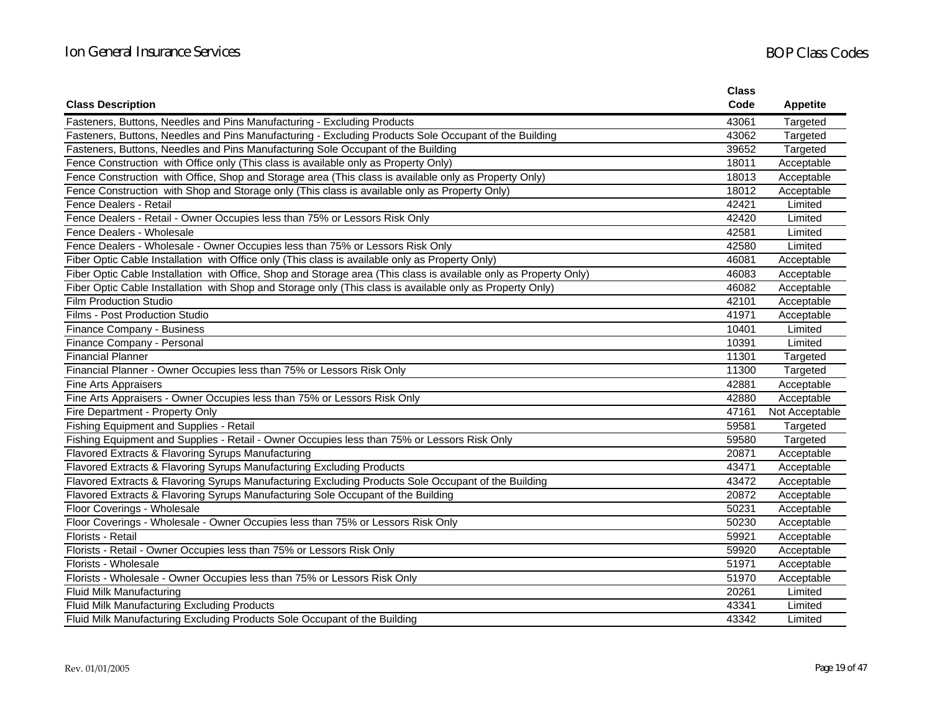|                                                                                                                   | <b>Class</b> |                 |
|-------------------------------------------------------------------------------------------------------------------|--------------|-----------------|
| <b>Class Description</b>                                                                                          | Code         | <b>Appetite</b> |
| Fasteners, Buttons, Needles and Pins Manufacturing - Excluding Products                                           | 43061        | Targeted        |
| Fasteners, Buttons, Needles and Pins Manufacturing - Excluding Products Sole Occupant of the Building             | 43062        | Targeted        |
| Fasteners, Buttons, Needles and Pins Manufacturing Sole Occupant of the Building                                  | 39652        | Targeted        |
| Fence Construction with Office only (This class is available only as Property Only)                               | 18011        | Acceptable      |
| Fence Construction with Office, Shop and Storage area (This class is available only as Property Only)             | 18013        | Acceptable      |
| Fence Construction with Shop and Storage only (This class is available only as Property Only)                     | 18012        | Acceptable      |
| Fence Dealers - Retail                                                                                            | 42421        | Limited         |
| Fence Dealers - Retail - Owner Occupies less than 75% or Lessors Risk Only                                        | 42420        | Limited         |
| Fence Dealers - Wholesale                                                                                         | 42581        | Limited         |
| Fence Dealers - Wholesale - Owner Occupies less than 75% or Lessors Risk Only                                     | 42580        | Limited         |
| Fiber Optic Cable Installation with Office only (This class is available only as Property Only)                   | 46081        | Acceptable      |
| Fiber Optic Cable Installation with Office, Shop and Storage area (This class is available only as Property Only) | 46083        | Acceptable      |
| Fiber Optic Cable Installation with Shop and Storage only (This class is available only as Property Only)         | 46082        | Acceptable      |
| <b>Film Production Studio</b>                                                                                     | 42101        | Acceptable      |
| Films - Post Production Studio                                                                                    | 41971        | Acceptable      |
| Finance Company - Business                                                                                        | 10401        | Limited         |
| Finance Company - Personal                                                                                        | 10391        | Limited         |
| <b>Financial Planner</b>                                                                                          | 11301        | Targeted        |
| Financial Planner - Owner Occupies less than 75% or Lessors Risk Only                                             | 11300        | Targeted        |
| <b>Fine Arts Appraisers</b>                                                                                       | 42881        | Acceptable      |
| Fine Arts Appraisers - Owner Occupies less than 75% or Lessors Risk Only                                          | 42880        | Acceptable      |
| Fire Department - Property Only                                                                                   | 47161        | Not Acceptable  |
| Fishing Equipment and Supplies - Retail                                                                           | 59581        | Targeted        |
| Fishing Equipment and Supplies - Retail - Owner Occupies less than 75% or Lessors Risk Only                       | 59580        | Targeted        |
| Flavored Extracts & Flavoring Syrups Manufacturing                                                                | 20871        | Acceptable      |
| Flavored Extracts & Flavoring Syrups Manufacturing Excluding Products                                             | 43471        | Acceptable      |
| Flavored Extracts & Flavoring Syrups Manufacturing Excluding Products Sole Occupant of the Building               | 43472        | Acceptable      |
| Flavored Extracts & Flavoring Syrups Manufacturing Sole Occupant of the Building                                  | 20872        | Acceptable      |
| Floor Coverings - Wholesale                                                                                       | 50231        | Acceptable      |
| Floor Coverings - Wholesale - Owner Occupies less than 75% or Lessors Risk Only                                   | 50230        | Acceptable      |
| Florists - Retail                                                                                                 | 59921        | Acceptable      |
| Florists - Retail - Owner Occupies less than 75% or Lessors Risk Only                                             | 59920        | Acceptable      |
| Florists - Wholesale                                                                                              | 51971        | Acceptable      |
| Florists - Wholesale - Owner Occupies less than 75% or Lessors Risk Only                                          | 51970        | Acceptable      |
| Fluid Milk Manufacturing                                                                                          | 20261        | Limited         |
| Fluid Milk Manufacturing Excluding Products                                                                       | 43341        | Limited         |
| Fluid Milk Manufacturing Excluding Products Sole Occupant of the Building                                         | 43342        | Limited         |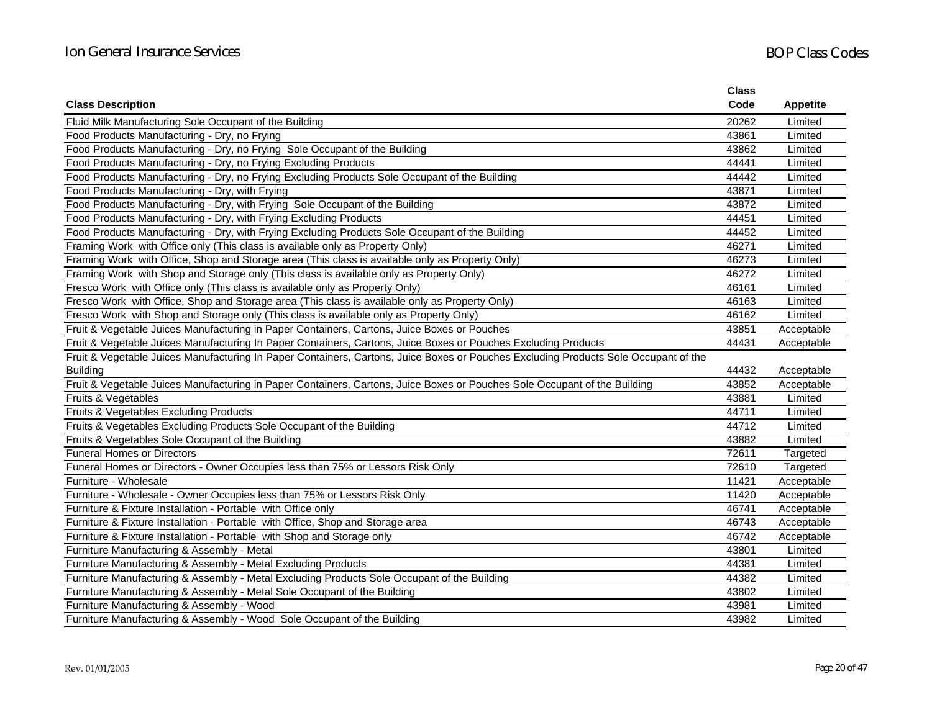|                                                                                                                                     | <b>Class</b> |                 |
|-------------------------------------------------------------------------------------------------------------------------------------|--------------|-----------------|
| <b>Class Description</b>                                                                                                            | Code         | <b>Appetite</b> |
| Fluid Milk Manufacturing Sole Occupant of the Building                                                                              | 20262        | Limited         |
| Food Products Manufacturing - Dry, no Frying                                                                                        | 43861        | Limited         |
| Food Products Manufacturing - Dry, no Frying Sole Occupant of the Building                                                          | 43862        | Limited         |
| Food Products Manufacturing - Dry, no Frying Excluding Products                                                                     | 44441        | Limited         |
| Food Products Manufacturing - Dry, no Frying Excluding Products Sole Occupant of the Building                                       | 44442        | Limited         |
| Food Products Manufacturing - Dry, with Frying                                                                                      | 43871        | Limited         |
| Food Products Manufacturing - Dry, with Frying Sole Occupant of the Building                                                        | 43872        | Limited         |
| Food Products Manufacturing - Dry, with Frying Excluding Products                                                                   | 44451        | Limited         |
| Food Products Manufacturing - Dry, with Frying Excluding Products Sole Occupant of the Building                                     | 44452        | Limited         |
| Framing Work with Office only (This class is available only as Property Only)                                                       | 46271        | Limited         |
| Framing Work with Office, Shop and Storage area (This class is available only as Property Only)                                     | 46273        | Limited         |
| Framing Work with Shop and Storage only (This class is available only as Property Only)                                             | 46272        | Limited         |
| Fresco Work with Office only (This class is available only as Property Only)                                                        | 46161        | Limited         |
| Fresco Work with Office, Shop and Storage area (This class is available only as Property Only)                                      | 46163        | Limited         |
| Fresco Work with Shop and Storage only (This class is available only as Property Only)                                              | 46162        | Limited         |
| Fruit & Vegetable Juices Manufacturing in Paper Containers, Cartons, Juice Boxes or Pouches                                         | 43851        | Acceptable      |
| Fruit & Vegetable Juices Manufacturing In Paper Containers, Cartons, Juice Boxes or Pouches Excluding Products                      | 44431        | Acceptable      |
| Fruit & Vegetable Juices Manufacturing In Paper Containers, Cartons, Juice Boxes or Pouches Excluding Products Sole Occupant of the |              |                 |
| <b>Building</b>                                                                                                                     | 44432        | Acceptable      |
| Fruit & Vegetable Juices Manufacturing in Paper Containers, Cartons, Juice Boxes or Pouches Sole Occupant of the Building           | 43852        | Acceptable      |
| Fruits & Vegetables                                                                                                                 | 43881        | Limited         |
| Fruits & Vegetables Excluding Products                                                                                              | 44711        | Limited         |
| Fruits & Vegetables Excluding Products Sole Occupant of the Building                                                                | 44712        | Limited         |
| Fruits & Vegetables Sole Occupant of the Building                                                                                   | 43882        | Limited         |
| <b>Funeral Homes or Directors</b>                                                                                                   | 72611        | Targeted        |
| Funeral Homes or Directors - Owner Occupies less than 75% or Lessors Risk Only                                                      | 72610        | Targeted        |
| Furniture - Wholesale                                                                                                               | 11421        | Acceptable      |
| Furniture - Wholesale - Owner Occupies less than 75% or Lessors Risk Only                                                           | 11420        | Acceptable      |
| Furniture & Fixture Installation - Portable with Office only                                                                        | 46741        | Acceptable      |
| Furniture & Fixture Installation - Portable with Office, Shop and Storage area                                                      | 46743        | Acceptable      |
| Furniture & Fixture Installation - Portable with Shop and Storage only                                                              | 46742        | Acceptable      |
| Furniture Manufacturing & Assembly - Metal                                                                                          | 43801        | Limited         |
| Furniture Manufacturing & Assembly - Metal Excluding Products                                                                       | 44381        | Limited         |
| Furniture Manufacturing & Assembly - Metal Excluding Products Sole Occupant of the Building                                         | 44382        | Limited         |
| Furniture Manufacturing & Assembly - Metal Sole Occupant of the Building                                                            | 43802        | Limited         |
| Furniture Manufacturing & Assembly - Wood                                                                                           | 43981        | Limited         |
| Furniture Manufacturing & Assembly - Wood Sole Occupant of the Building                                                             | 43982        | Limited         |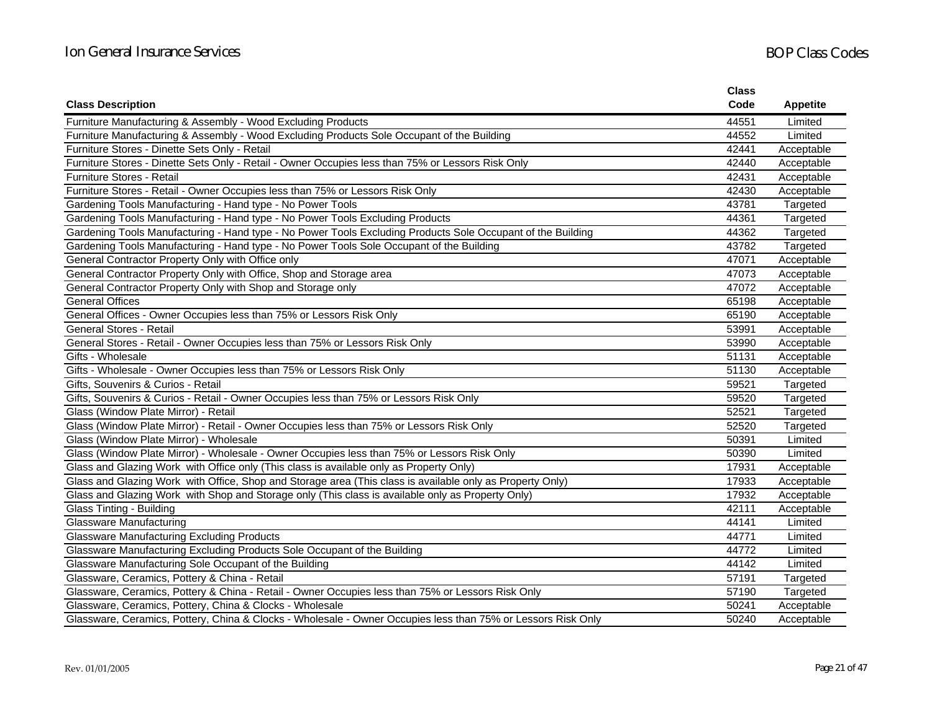|                                                                                                              | <b>Class</b> |                 |
|--------------------------------------------------------------------------------------------------------------|--------------|-----------------|
| <b>Class Description</b>                                                                                     | Code         | <b>Appetite</b> |
| Furniture Manufacturing & Assembly - Wood Excluding Products                                                 | 44551        | Limited         |
| Furniture Manufacturing & Assembly - Wood Excluding Products Sole Occupant of the Building                   | 44552        | Limited         |
| Furniture Stores - Dinette Sets Only - Retail                                                                | 42441        | Acceptable      |
| Furniture Stores - Dinette Sets Only - Retail - Owner Occupies less than 75% or Lessors Risk Only            | 42440        | Acceptable      |
| <b>Furniture Stores - Retail</b>                                                                             | 42431        | Acceptable      |
| Furniture Stores - Retail - Owner Occupies less than 75% or Lessors Risk Only                                | 42430        | Acceptable      |
| Gardening Tools Manufacturing - Hand type - No Power Tools                                                   | 43781        | Targeted        |
| Gardening Tools Manufacturing - Hand type - No Power Tools Excluding Products                                | 44361        | Targeted        |
| Gardening Tools Manufacturing - Hand type - No Power Tools Excluding Products Sole Occupant of the Building  | 44362        | Targeted        |
| Gardening Tools Manufacturing - Hand type - No Power Tools Sole Occupant of the Building                     | 43782        | Targeted        |
| General Contractor Property Only with Office only                                                            | 47071        | Acceptable      |
| General Contractor Property Only with Office, Shop and Storage area                                          | 47073        | Acceptable      |
| General Contractor Property Only with Shop and Storage only                                                  | 47072        | Acceptable      |
| <b>General Offices</b>                                                                                       | 65198        | Acceptable      |
| General Offices - Owner Occupies less than 75% or Lessors Risk Only                                          | 65190        | Acceptable      |
| <b>General Stores - Retail</b>                                                                               | 53991        | Acceptable      |
| General Stores - Retail - Owner Occupies less than 75% or Lessors Risk Only                                  | 53990        | Acceptable      |
| Gifts - Wholesale                                                                                            | 51131        | Acceptable      |
| Gifts - Wholesale - Owner Occupies less than 75% or Lessors Risk Only                                        | 51130        | Acceptable      |
| Gifts, Souvenirs & Curios - Retail                                                                           | 59521        | Targeted        |
| Gifts, Souvenirs & Curios - Retail - Owner Occupies less than 75% or Lessors Risk Only                       | 59520        | Targeted        |
| Glass (Window Plate Mirror) - Retail                                                                         | 52521        | Targeted        |
| Glass (Window Plate Mirror) - Retail - Owner Occupies less than 75% or Lessors Risk Only                     | 52520        | Targeted        |
| Glass (Window Plate Mirror) - Wholesale                                                                      | 50391        | Limited         |
| Glass (Window Plate Mirror) - Wholesale - Owner Occupies less than 75% or Lessors Risk Only                  | 50390        | Limited         |
| Glass and Glazing Work with Office only (This class is available only as Property Only)                      | 17931        | Acceptable      |
| Glass and Glazing Work with Office, Shop and Storage area (This class is available only as Property Only)    | 17933        | Acceptable      |
| Glass and Glazing Work with Shop and Storage only (This class is available only as Property Only)            | 17932        | Acceptable      |
| Glass Tinting - Building                                                                                     | 42111        | Acceptable      |
| <b>Glassware Manufacturing</b>                                                                               | 44141        | Limited         |
| <b>Glassware Manufacturing Excluding Products</b>                                                            | 44771        | Limited         |
| Glassware Manufacturing Excluding Products Sole Occupant of the Building                                     | 44772        | Limited         |
| Glassware Manufacturing Sole Occupant of the Building                                                        | 44142        | Limited         |
| Glassware, Ceramics, Pottery & China - Retail                                                                | 57191        | Targeted        |
| Glassware, Ceramics, Pottery & China - Retail - Owner Occupies less than 75% or Lessors Risk Only            | 57190        | Targeted        |
| Glassware, Ceramics, Pottery, China & Clocks - Wholesale                                                     | 50241        | Acceptable      |
| Glassware, Ceramics, Pottery, China & Clocks - Wholesale - Owner Occupies less than 75% or Lessors Risk Only | 50240        | Acceptable      |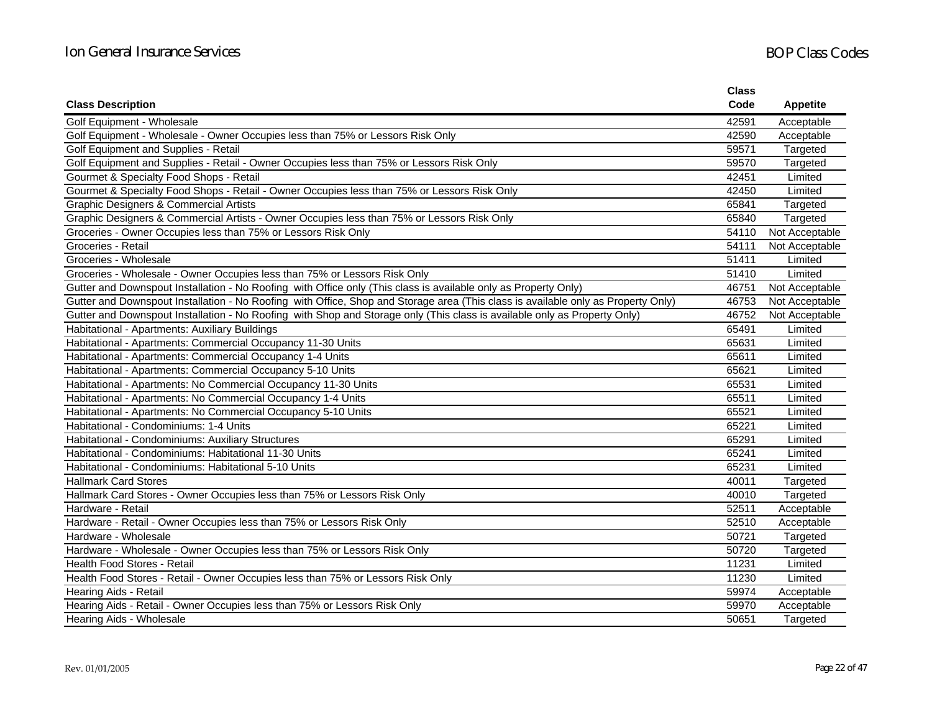|                                                                                                                                   | <b>Class</b> |                 |
|-----------------------------------------------------------------------------------------------------------------------------------|--------------|-----------------|
| <b>Class Description</b>                                                                                                          | Code         | <b>Appetite</b> |
| Golf Equipment - Wholesale                                                                                                        | 42591        | Acceptable      |
| Golf Equipment - Wholesale - Owner Occupies less than 75% or Lessors Risk Only                                                    | 42590        | Acceptable      |
| Golf Equipment and Supplies - Retail                                                                                              | 59571        | Targeted        |
| Golf Equipment and Supplies - Retail - Owner Occupies less than 75% or Lessors Risk Only                                          | 59570        | Targeted        |
| Gourmet & Specialty Food Shops - Retail                                                                                           | 42451        | Limited         |
| Gourmet & Specialty Food Shops - Retail - Owner Occupies less than 75% or Lessors Risk Only                                       | 42450        | Limited         |
| <b>Graphic Designers &amp; Commercial Artists</b>                                                                                 | 65841        | Targeted        |
| Graphic Designers & Commercial Artists - Owner Occupies less than 75% or Lessors Risk Only                                        | 65840        | Targeted        |
| Groceries - Owner Occupies less than 75% or Lessors Risk Only                                                                     | 54110        | Not Acceptable  |
| Groceries - Retail                                                                                                                | 54111        | Not Acceptable  |
| Groceries - Wholesale                                                                                                             | 51411        | Limited         |
| Groceries - Wholesale - Owner Occupies less than 75% or Lessors Risk Only                                                         | 51410        | Limited         |
| Gutter and Downspout Installation - No Roofing with Office only (This class is available only as Property Only)                   | 46751        | Not Acceptable  |
| Gutter and Downspout Installation - No Roofing with Office, Shop and Storage area (This class is available only as Property Only) | 46753        | Not Acceptable  |
| Gutter and Downspout Installation - No Roofing with Shop and Storage only (This class is available only as Property Only)         | 46752        | Not Acceptable  |
| Habitational - Apartments: Auxiliary Buildings                                                                                    | 65491        | Limited         |
| Habitational - Apartments: Commercial Occupancy 11-30 Units                                                                       | 65631        | Limited         |
| Habitational - Apartments: Commercial Occupancy 1-4 Units                                                                         | 65611        | Limited         |
| Habitational - Apartments: Commercial Occupancy 5-10 Units                                                                        | 65621        | Limited         |
| Habitational - Apartments: No Commercial Occupancy 11-30 Units                                                                    | 65531        | Limited         |
| Habitational - Apartments: No Commercial Occupancy 1-4 Units                                                                      | 65511        | Limited         |
| Habitational - Apartments: No Commercial Occupancy 5-10 Units                                                                     | 65521        | Limited         |
| Habitational - Condominiums: 1-4 Units                                                                                            | 65221        | Limited         |
| Habitational - Condominiums: Auxiliary Structures                                                                                 | 65291        | Limited         |
| Habitational - Condominiums: Habitational 11-30 Units                                                                             | 65241        | Limited         |
| Habitational - Condominiums: Habitational 5-10 Units                                                                              | 65231        | Limited         |
| <b>Hallmark Card Stores</b>                                                                                                       | 40011        | Targeted        |
| Hallmark Card Stores - Owner Occupies less than 75% or Lessors Risk Only                                                          | 40010        | Targeted        |
| Hardware - Retail                                                                                                                 | 52511        | Acceptable      |
| Hardware - Retail - Owner Occupies less than 75% or Lessors Risk Only                                                             | 52510        | Acceptable      |
| Hardware - Wholesale                                                                                                              | 50721        | Targeted        |
| Hardware - Wholesale - Owner Occupies less than 75% or Lessors Risk Only                                                          | 50720        | Targeted        |
| Health Food Stores - Retail                                                                                                       | 11231        | Limited         |
| Health Food Stores - Retail - Owner Occupies less than 75% or Lessors Risk Only                                                   | 11230        | Limited         |
| Hearing Aids - Retail                                                                                                             | 59974        | Acceptable      |
| Hearing Aids - Retail - Owner Occupies less than 75% or Lessors Risk Only                                                         | 59970        | Acceptable      |
| Hearing Aids - Wholesale                                                                                                          | 50651        | Targeted        |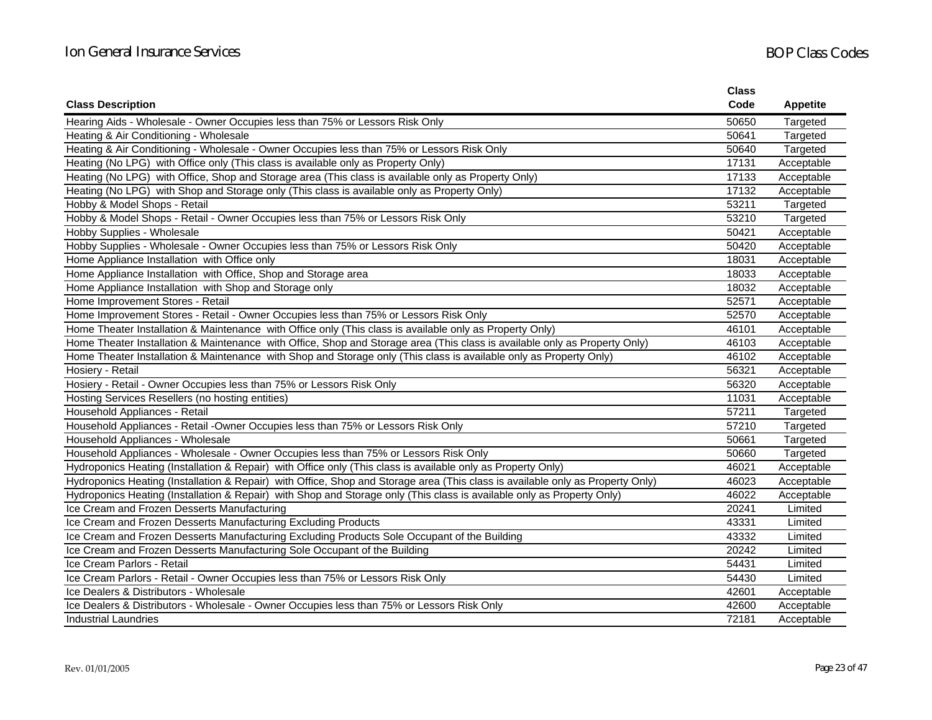|                                                                                                                                | <b>Class</b> |                 |
|--------------------------------------------------------------------------------------------------------------------------------|--------------|-----------------|
| <b>Class Description</b>                                                                                                       | Code         | <b>Appetite</b> |
| Hearing Aids - Wholesale - Owner Occupies less than 75% or Lessors Risk Only                                                   | 50650        | Targeted        |
| Heating & Air Conditioning - Wholesale                                                                                         | 50641        | Targeted        |
| Heating & Air Conditioning - Wholesale - Owner Occupies less than 75% or Lessors Risk Only                                     | 50640        | Targeted        |
| Heating (No LPG) with Office only (This class is available only as Property Only)                                              | 17131        | Acceptable      |
| Heating (No LPG) with Office, Shop and Storage area (This class is available only as Property Only)                            | 17133        | Acceptable      |
| Heating (No LPG) with Shop and Storage only (This class is available only as Property Only)                                    | 17132        | Acceptable      |
| Hobby & Model Shops - Retail                                                                                                   | 53211        | Targeted        |
| Hobby & Model Shops - Retail - Owner Occupies less than 75% or Lessors Risk Only                                               | 53210        | Targeted        |
| Hobby Supplies - Wholesale                                                                                                     | 50421        | Acceptable      |
| Hobby Supplies - Wholesale - Owner Occupies less than 75% or Lessors Risk Only                                                 | 50420        | Acceptable      |
| Home Appliance Installation with Office only                                                                                   | 18031        | Acceptable      |
| Home Appliance Installation with Office, Shop and Storage area                                                                 | 18033        | Acceptable      |
| Home Appliance Installation with Shop and Storage only                                                                         | 18032        | Acceptable      |
| Home Improvement Stores - Retail                                                                                               | 52571        | Acceptable      |
| Home Improvement Stores - Retail - Owner Occupies less than 75% or Lessors Risk Only                                           | 52570        | Acceptable      |
| Home Theater Installation & Maintenance with Office only (This class is available only as Property Only)                       | 46101        | Acceptable      |
| Home Theater Installation & Maintenance with Office, Shop and Storage area (This class is available only as Property Only)     | 46103        | Acceptable      |
| Home Theater Installation & Maintenance with Shop and Storage only (This class is available only as Property Only)             | 46102        | Acceptable      |
| Hosiery - Retail                                                                                                               | 56321        | Acceptable      |
| Hosiery - Retail - Owner Occupies less than 75% or Lessors Risk Only                                                           | 56320        | Acceptable      |
| Hosting Services Resellers (no hosting entities)                                                                               | 11031        | Acceptable      |
| Household Appliances - Retail                                                                                                  | 57211        | Targeted        |
| Household Appliances - Retail -Owner Occupies less than 75% or Lessors Risk Only                                               | 57210        | Targeted        |
| Household Appliances - Wholesale                                                                                               | 50661        | Targeted        |
| Household Appliances - Wholesale - Owner Occupies less than 75% or Lessors Risk Only                                           | 50660        | Targeted        |
| Hydroponics Heating (Installation & Repair) with Office only (This class is available only as Property Only)                   | 46021        | Acceptable      |
| Hydroponics Heating (Installation & Repair) with Office, Shop and Storage area (This class is available only as Property Only) | 46023        | Acceptable      |
| Hydroponics Heating (Installation & Repair) with Shop and Storage only (This class is available only as Property Only)         | 46022        | Acceptable      |
| Ice Cream and Frozen Desserts Manufacturing                                                                                    | 20241        | Limited         |
| Ice Cream and Frozen Desserts Manufacturing Excluding Products                                                                 | 43331        | Limited         |
| Ice Cream and Frozen Desserts Manufacturing Excluding Products Sole Occupant of the Building                                   | 43332        | Limited         |
| Ice Cream and Frozen Desserts Manufacturing Sole Occupant of the Building                                                      | 20242        | Limited         |
| Ice Cream Parlors - Retail                                                                                                     | 54431        | Limited         |
| Ice Cream Parlors - Retail - Owner Occupies less than 75% or Lessors Risk Only                                                 | 54430        | Limited         |
| Ice Dealers & Distributors - Wholesale                                                                                         | 42601        | Acceptable      |
| Ice Dealers & Distributors - Wholesale - Owner Occupies less than 75% or Lessors Risk Only                                     | 42600        | Acceptable      |
| Industrial Laundries                                                                                                           | 72181        | Acceptable      |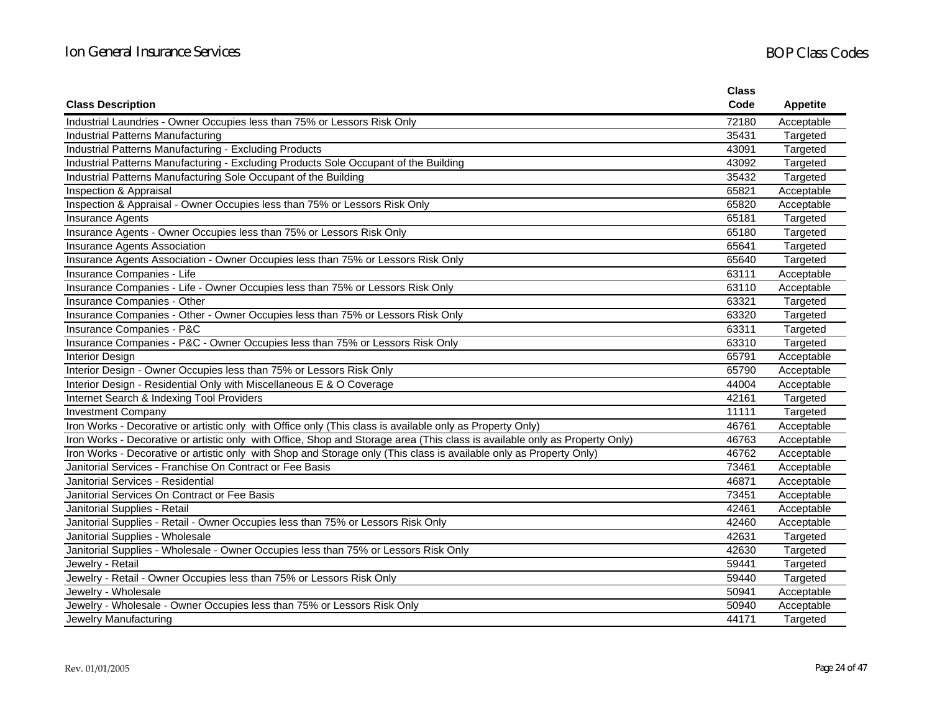|                                                                                                                             | <b>Class</b> |                 |
|-----------------------------------------------------------------------------------------------------------------------------|--------------|-----------------|
| <b>Class Description</b>                                                                                                    | Code         | <b>Appetite</b> |
| Industrial Laundries - Owner Occupies less than 75% or Lessors Risk Only                                                    | 72180        | Acceptable      |
| <b>Industrial Patterns Manufacturing</b>                                                                                    | 35431        | Targeted        |
| Industrial Patterns Manufacturing - Excluding Products                                                                      | 43091        | Targeted        |
| Industrial Patterns Manufacturing - Excluding Products Sole Occupant of the Building                                        | 43092        | Targeted        |
| Industrial Patterns Manufacturing Sole Occupant of the Building                                                             | 35432        | Targeted        |
| Inspection & Appraisal                                                                                                      | 65821        | Acceptable      |
| Inspection & Appraisal - Owner Occupies less than 75% or Lessors Risk Only                                                  | 65820        | Acceptable      |
| <b>Insurance Agents</b>                                                                                                     | 65181        | Targeted        |
| Insurance Agents - Owner Occupies less than 75% or Lessors Risk Only                                                        | 65180        | Targeted        |
| Insurance Agents Association                                                                                                | 65641        | Targeted        |
| Insurance Agents Association - Owner Occupies less than 75% or Lessors Risk Only                                            | 65640        | Targeted        |
| Insurance Companies - Life                                                                                                  | 63111        | Acceptable      |
| Insurance Companies - Life - Owner Occupies less than 75% or Lessors Risk Only                                              | 63110        | Acceptable      |
| Insurance Companies - Other                                                                                                 | 63321        | Targeted        |
| Insurance Companies - Other - Owner Occupies less than 75% or Lessors Risk Only                                             | 63320        | Targeted        |
| Insurance Companies - P&C                                                                                                   | 63311        | Targeted        |
| Insurance Companies - P&C - Owner Occupies less than 75% or Lessors Risk Only                                               | 63310        | Targeted        |
| <b>Interior Design</b>                                                                                                      | 65791        | Acceptable      |
| Interior Design - Owner Occupies less than 75% or Lessors Risk Only                                                         | 65790        | Acceptable      |
| Interior Design - Residential Only with Miscellaneous E & O Coverage                                                        | 44004        | Acceptable      |
| Internet Search & Indexing Tool Providers                                                                                   | 42161        | Targeted        |
| <b>Investment Company</b>                                                                                                   | 11111        | Targeted        |
| Iron Works - Decorative or artistic only with Office only (This class is available only as Property Only)                   | 46761        | Acceptable      |
| Iron Works - Decorative or artistic only with Office, Shop and Storage area (This class is available only as Property Only) | 46763        | Acceptable      |
| Iron Works - Decorative or artistic only with Shop and Storage only (This class is available only as Property Only)         | 46762        | Acceptable      |
| Janitorial Services - Franchise On Contract or Fee Basis                                                                    | 73461        | Acceptable      |
| Janitorial Services - Residential                                                                                           | 46871        | Acceptable      |
| Janitorial Services On Contract or Fee Basis                                                                                | 73451        | Acceptable      |
| Janitorial Supplies - Retail                                                                                                | 42461        | Acceptable      |
| Janitorial Supplies - Retail - Owner Occupies less than 75% or Lessors Risk Only                                            | 42460        | Acceptable      |
| Janitorial Supplies - Wholesale                                                                                             | 42631        | Targeted        |
| Janitorial Supplies - Wholesale - Owner Occupies less than 75% or Lessors Risk Only                                         | 42630        | Targeted        |
| Jewelry - Retail                                                                                                            | 59441        | Targeted        |
| Jewelry - Retail - Owner Occupies less than 75% or Lessors Risk Only                                                        | 59440        | Targeted        |
| Jewelry - Wholesale                                                                                                         | 50941        | Acceptable      |
| Jewelry - Wholesale - Owner Occupies less than 75% or Lessors Risk Only                                                     | 50940        | Acceptable      |
| Jewelry Manufacturing                                                                                                       | 44171        | Targeted        |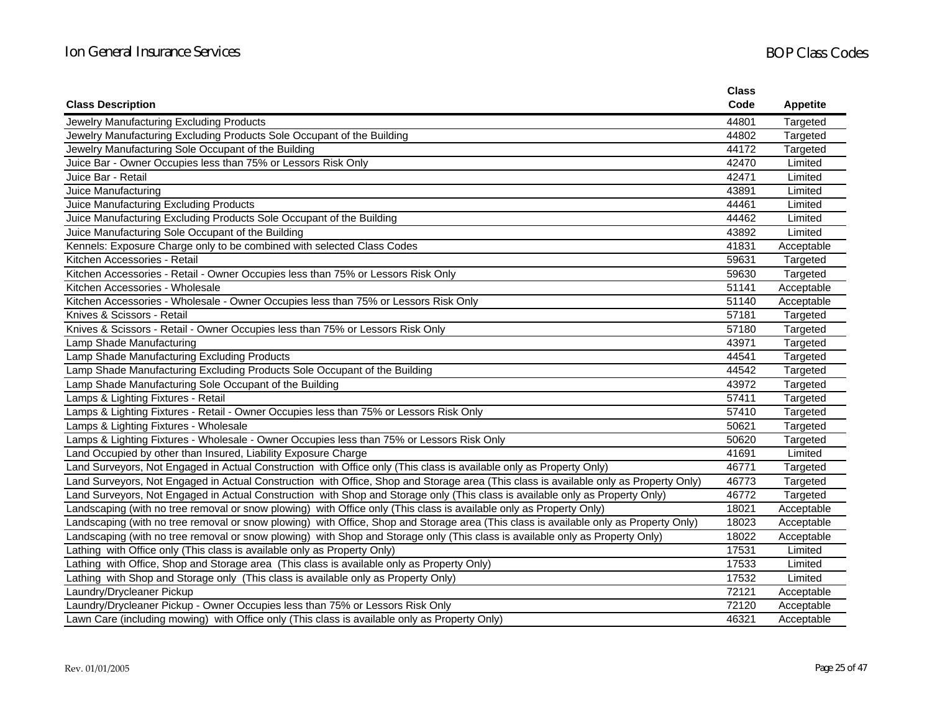|                                                                                                                                       | <b>Class</b> |                 |
|---------------------------------------------------------------------------------------------------------------------------------------|--------------|-----------------|
| <b>Class Description</b>                                                                                                              | Code         | <b>Appetite</b> |
| Jewelry Manufacturing Excluding Products                                                                                              | 44801        | Targeted        |
| Jewelry Manufacturing Excluding Products Sole Occupant of the Building                                                                | 44802        | Targeted        |
| Jewelry Manufacturing Sole Occupant of the Building                                                                                   | 44172        | Targeted        |
| Juice Bar - Owner Occupies less than 75% or Lessors Risk Only                                                                         | 42470        | Limited         |
| Juice Bar - Retail                                                                                                                    | 42471        | Limited         |
| Juice Manufacturing                                                                                                                   | 43891        | Limited         |
| Juice Manufacturing Excluding Products                                                                                                | 44461        | Limited         |
| Juice Manufacturing Excluding Products Sole Occupant of the Building                                                                  | 44462        | Limited         |
| Juice Manufacturing Sole Occupant of the Building                                                                                     | 43892        | Limited         |
| Kennels: Exposure Charge only to be combined with selected Class Codes                                                                | 41831        | Acceptable      |
| Kitchen Accessories - Retail                                                                                                          | 59631        | Targeted        |
| Kitchen Accessories - Retail - Owner Occupies less than 75% or Lessors Risk Only                                                      | 59630        | Targeted        |
| Kitchen Accessories - Wholesale                                                                                                       | 51141        | Acceptable      |
| Kitchen Accessories - Wholesale - Owner Occupies less than 75% or Lessors Risk Only                                                   | 51140        | Acceptable      |
| Knives & Scissors - Retail                                                                                                            | 57181        | Targeted        |
| Knives & Scissors - Retail - Owner Occupies less than 75% or Lessors Risk Only                                                        | 57180        | Targeted        |
| Lamp Shade Manufacturing                                                                                                              | 43971        | Targeted        |
| Lamp Shade Manufacturing Excluding Products                                                                                           | 44541        | Targeted        |
| Lamp Shade Manufacturing Excluding Products Sole Occupant of the Building                                                             | 44542        | Targeted        |
| Lamp Shade Manufacturing Sole Occupant of the Building                                                                                | 43972        | Targeted        |
| Lamps & Lighting Fixtures - Retail                                                                                                    | 57411        | Targeted        |
| Lamps & Lighting Fixtures - Retail - Owner Occupies less than 75% or Lessors Risk Only                                                | 57410        | Targeted        |
| Lamps & Lighting Fixtures - Wholesale                                                                                                 | 50621        | Targeted        |
| Lamps & Lighting Fixtures - Wholesale - Owner Occupies less than 75% or Lessors Risk Only                                             | 50620        | Targeted        |
| Land Occupied by other than Insured, Liability Exposure Charge                                                                        | 41691        | Limited         |
| Land Surveyors, Not Engaged in Actual Construction with Office only (This class is available only as Property Only)                   | 46771        | Targeted        |
| Land Surveyors, Not Engaged in Actual Construction with Office, Shop and Storage area (This class is available only as Property Only) | 46773        | Targeted        |
| Land Surveyors, Not Engaged in Actual Construction with Shop and Storage only (This class is available only as Property Only)         | 46772        | Targeted        |
| Landscaping (with no tree removal or snow plowing) with Office only (This class is available only as Property Only)                   | 18021        | Acceptable      |
| Landscaping (with no tree removal or snow plowing) with Office, Shop and Storage area (This class is available only as Property Only) | 18023        | Acceptable      |
| Landscaping (with no tree removal or snow plowing) with Shop and Storage only (This class is available only as Property Only)         | 18022        | Acceptable      |
| Lathing with Office only (This class is available only as Property Only)                                                              | 17531        | Limited         |
| Lathing with Office, Shop and Storage area (This class is available only as Property Only)                                            | 17533        | Limited         |
| Lathing with Shop and Storage only (This class is available only as Property Only)                                                    | 17532        | Limited         |
| Laundry/Drycleaner Pickup                                                                                                             | 72121        | Acceptable      |
| Laundry/Drycleaner Pickup - Owner Occupies less than 75% or Lessors Risk Only                                                         | 72120        | Acceptable      |
| Lawn Care (including mowing) with Office only (This class is available only as Property Only)                                         | 46321        | Acceptable      |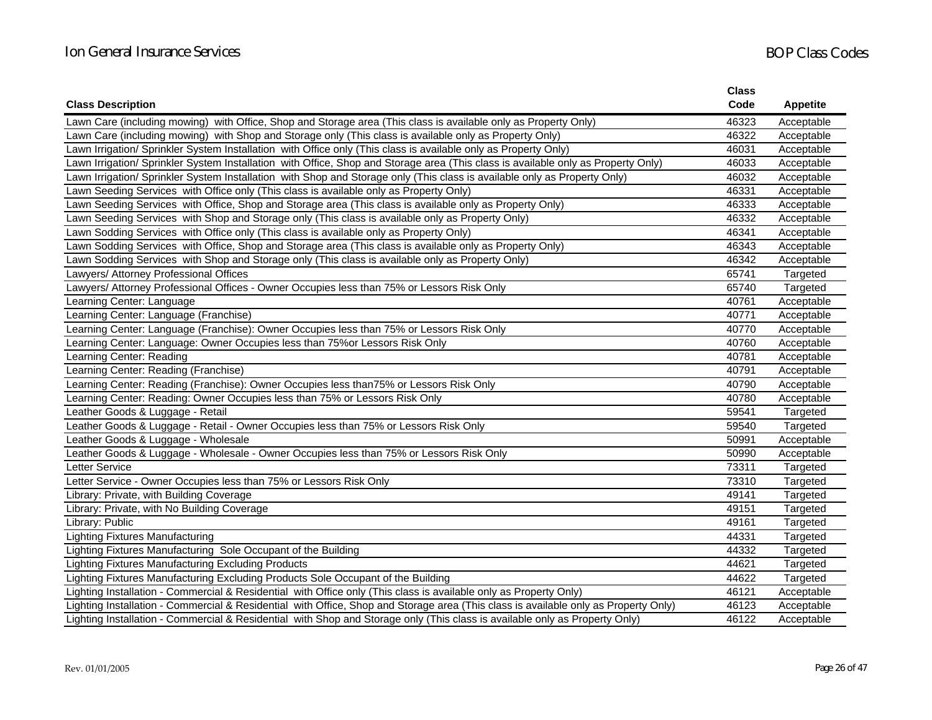|                                                                                                                                     | <b>Class</b> |                 |
|-------------------------------------------------------------------------------------------------------------------------------------|--------------|-----------------|
| <b>Class Description</b>                                                                                                            | Code         | <b>Appetite</b> |
| Lawn Care (including mowing) with Office, Shop and Storage area (This class is available only as Property Only)                     | 46323        | Acceptable      |
| Lawn Care (including mowing) with Shop and Storage only (This class is available only as Property Only)                             | 46322        | Acceptable      |
| Lawn Irrigation/ Sprinkler System Installation with Office only (This class is available only as Property Only)                     | 46031        | Acceptable      |
| Lawn Irrigation/ Sprinkler System Installation with Office, Shop and Storage area (This class is available only as Property Only)   | 46033        | Acceptable      |
| Lawn Irrigation/ Sprinkler System Installation with Shop and Storage only (This class is available only as Property Only)           | 46032        | Acceptable      |
| Lawn Seeding Services with Office only (This class is available only as Property Only)                                              | 46331        | Acceptable      |
| Lawn Seeding Services with Office, Shop and Storage area (This class is available only as Property Only)                            | 46333        | Acceptable      |
| Lawn Seeding Services with Shop and Storage only (This class is available only as Property Only)                                    | 46332        | Acceptable      |
| Lawn Sodding Services with Office only (This class is available only as Property Only)                                              | 46341        | Acceptable      |
| Lawn Sodding Services with Office, Shop and Storage area (This class is available only as Property Only)                            | 46343        | Acceptable      |
| Lawn Sodding Services with Shop and Storage only (This class is available only as Property Only)                                    | 46342        | Acceptable      |
| Lawyers/ Attorney Professional Offices                                                                                              | 65741        | Targeted        |
| Lawyers/ Attorney Professional Offices - Owner Occupies less than 75% or Lessors Risk Only                                          | 65740        | Targeted        |
| Learning Center: Language                                                                                                           | 40761        | Acceptable      |
| Learning Center: Language (Franchise)                                                                                               | 40771        | Acceptable      |
| Learning Center: Language (Franchise): Owner Occupies less than 75% or Lessors Risk Only                                            | 40770        | Acceptable      |
| Learning Center: Language: Owner Occupies less than 75% or Lessors Risk Only                                                        | 40760        | Acceptable      |
| Learning Center: Reading                                                                                                            | 40781        | Acceptable      |
| Learning Center: Reading (Franchise)                                                                                                | 40791        | Acceptable      |
| Learning Center: Reading (Franchise): Owner Occupies less than 75% or Lessors Risk Only                                             | 40790        | Acceptable      |
| Learning Center: Reading: Owner Occupies less than 75% or Lessors Risk Only                                                         | 40780        | Acceptable      |
| Leather Goods & Luggage - Retail                                                                                                    | 59541        | Targeted        |
| Leather Goods & Luggage - Retail - Owner Occupies less than 75% or Lessors Risk Only                                                | 59540        | Targeted        |
| Leather Goods & Luggage - Wholesale                                                                                                 | 50991        | Acceptable      |
| Leather Goods & Luggage - Wholesale - Owner Occupies less than 75% or Lessors Risk Only                                             | 50990        | Acceptable      |
| Letter Service                                                                                                                      | 73311        | Targeted        |
| Letter Service - Owner Occupies less than 75% or Lessors Risk Only                                                                  | 73310        | Targeted        |
| Library: Private, with Building Coverage                                                                                            | 49141        | Targeted        |
| Library: Private, with No Building Coverage                                                                                         | 49151        | Targeted        |
| Library: Public                                                                                                                     | 49161        | Targeted        |
| <b>Lighting Fixtures Manufacturing</b>                                                                                              | 44331        | Targeted        |
| Lighting Fixtures Manufacturing Sole Occupant of the Building                                                                       | 44332        | Targeted        |
| Lighting Fixtures Manufacturing Excluding Products                                                                                  | 44621        | Targeted        |
| Lighting Fixtures Manufacturing Excluding Products Sole Occupant of the Building                                                    | 44622        | Targeted        |
| Lighting Installation - Commercial & Residential with Office only (This class is available only as Property Only)                   | 46121        | Acceptable      |
| Lighting Installation - Commercial & Residential with Office, Shop and Storage area (This class is available only as Property Only) | 46123        | Acceptable      |
| Lighting Installation - Commercial & Residential with Shop and Storage only (This class is available only as Property Only)         | 46122        | Acceptable      |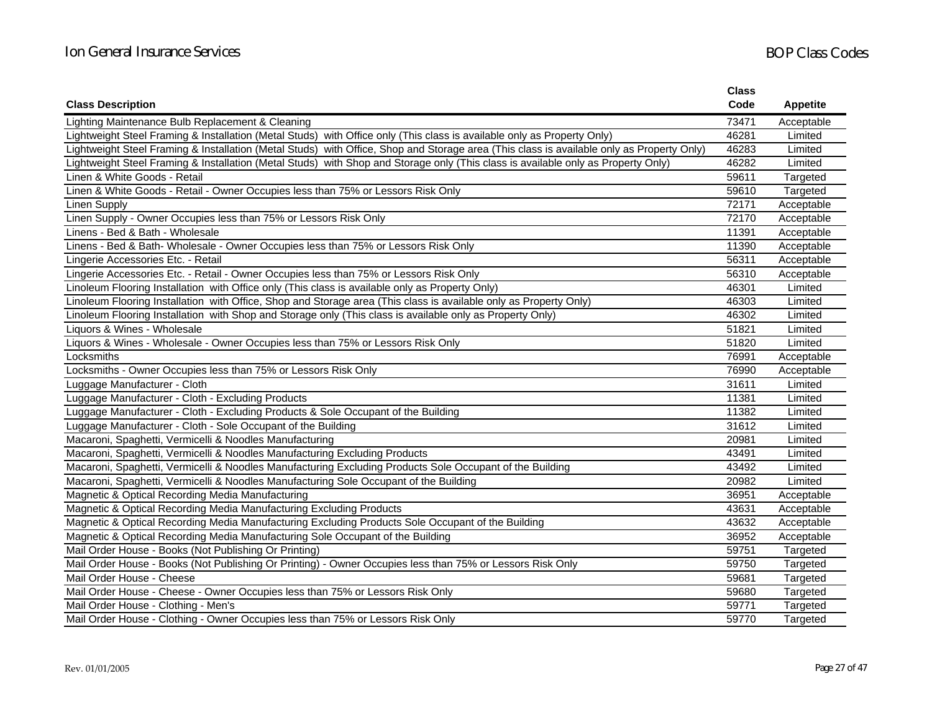|                                                                                                                                           | <b>Class</b><br>Code |                 |
|-------------------------------------------------------------------------------------------------------------------------------------------|----------------------|-----------------|
| <b>Class Description</b>                                                                                                                  |                      | <b>Appetite</b> |
| Lighting Maintenance Bulb Replacement & Cleaning                                                                                          | 73471                | Acceptable      |
| Lightweight Steel Framing & Installation (Metal Studs) with Office only (This class is available only as Property Only)                   | 46281                | Limited         |
| Lightweight Steel Framing & Installation (Metal Studs) with Office, Shop and Storage area (This class is available only as Property Only) | 46283                | Limited         |
| Lightweight Steel Framing & Installation (Metal Studs) with Shop and Storage only (This class is available only as Property Only)         | 46282                | Limited         |
| Linen & White Goods - Retail                                                                                                              | 59611                | Targeted        |
| Linen & White Goods - Retail - Owner Occupies less than 75% or Lessors Risk Only                                                          | 59610                | Targeted        |
| <b>Linen Supply</b>                                                                                                                       | 72171                | Acceptable      |
| Linen Supply - Owner Occupies less than 75% or Lessors Risk Only                                                                          | 72170                | Acceptable      |
| Linens - Bed & Bath - Wholesale                                                                                                           | 11391                | Acceptable      |
| Linens - Bed & Bath- Wholesale - Owner Occupies less than 75% or Lessors Risk Only                                                        | 11390                | Acceptable      |
| Lingerie Accessories Etc. - Retail                                                                                                        | 56311                | Acceptable      |
| Lingerie Accessories Etc. - Retail - Owner Occupies less than 75% or Lessors Risk Only                                                    | 56310                | Acceptable      |
| Linoleum Flooring Installation with Office only (This class is available only as Property Only)                                           | 46301                | Limited         |
| Linoleum Flooring Installation with Office, Shop and Storage area (This class is available only as Property Only)                         | 46303                | Limited         |
| Linoleum Flooring Installation with Shop and Storage only (This class is available only as Property Only)                                 | 46302                | Limited         |
| Liquors & Wines - Wholesale                                                                                                               | 51821                | Limited         |
| Liquors & Wines - Wholesale - Owner Occupies less than 75% or Lessors Risk Only                                                           | 51820                | Limited         |
| Locksmiths                                                                                                                                | 76991                | Acceptable      |
| Locksmiths - Owner Occupies less than 75% or Lessors Risk Only                                                                            | 76990                | Acceptable      |
| Luggage Manufacturer - Cloth                                                                                                              | 31611                | Limited         |
| Luggage Manufacturer - Cloth - Excluding Products                                                                                         | 11381                | Limited         |
| Luggage Manufacturer - Cloth - Excluding Products & Sole Occupant of the Building                                                         | 11382                | Limited         |
| Luggage Manufacturer - Cloth - Sole Occupant of the Building                                                                              | 31612                | Limited         |
| Macaroni, Spaghetti, Vermicelli & Noodles Manufacturing                                                                                   | 20981                | Limited         |
| Macaroni, Spaghetti, Vermicelli & Noodles Manufacturing Excluding Products                                                                | 43491                | Limited         |
| Macaroni, Spaghetti, Vermicelli & Noodles Manufacturing Excluding Products Sole Occupant of the Building                                  | 43492                | Limited         |
| Macaroni, Spaghetti, Vermicelli & Noodles Manufacturing Sole Occupant of the Building                                                     | 20982                | Limited         |
| Magnetic & Optical Recording Media Manufacturing                                                                                          | 36951                | Acceptable      |
| Magnetic & Optical Recording Media Manufacturing Excluding Products                                                                       | 43631                | Acceptable      |
| Magnetic & Optical Recording Media Manufacturing Excluding Products Sole Occupant of the Building                                         | 43632                | Acceptable      |
| Magnetic & Optical Recording Media Manufacturing Sole Occupant of the Building                                                            | 36952                | Acceptable      |
| Mail Order House - Books (Not Publishing Or Printing)                                                                                     | 59751                | Targeted        |
| Mail Order House - Books (Not Publishing Or Printing) - Owner Occupies less than 75% or Lessors Risk Only                                 | 59750                | Targeted        |
| Mail Order House - Cheese                                                                                                                 | 59681                | Targeted        |
| Mail Order House - Cheese - Owner Occupies less than 75% or Lessors Risk Only                                                             | 59680                | Targeted        |
| Mail Order House - Clothing - Men's                                                                                                       | 59771                | Targeted        |
| Mail Order House - Clothing - Owner Occupies less than 75% or Lessors Risk Only                                                           | 59770                | Targeted        |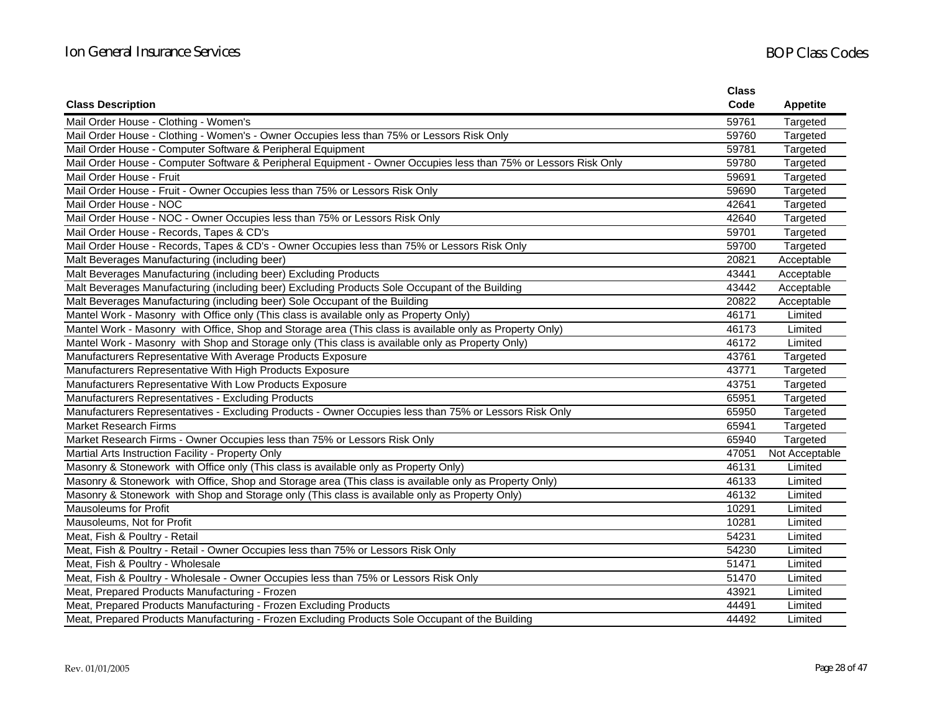|                                                                                                                 | <b>Class</b> |                 |
|-----------------------------------------------------------------------------------------------------------------|--------------|-----------------|
| <b>Class Description</b>                                                                                        | Code         | <b>Appetite</b> |
| Mail Order House - Clothing - Women's                                                                           | 59761        | Targeted        |
| Mail Order House - Clothing - Women's - Owner Occupies less than 75% or Lessors Risk Only                       | 59760        | Targeted        |
| Mail Order House - Computer Software & Peripheral Equipment                                                     | 59781        | Targeted        |
| Mail Order House - Computer Software & Peripheral Equipment - Owner Occupies less than 75% or Lessors Risk Only | 59780        | Targeted        |
| Mail Order House - Fruit                                                                                        | 59691        | Targeted        |
| Mail Order House - Fruit - Owner Occupies less than 75% or Lessors Risk Only                                    | 59690        | Targeted        |
| Mail Order House - NOC                                                                                          | 42641        | Targeted        |
| Mail Order House - NOC - Owner Occupies less than 75% or Lessors Risk Only                                      | 42640        | Targeted        |
| Mail Order House - Records, Tapes & CD's                                                                        | 59701        | Targeted        |
| Mail Order House - Records, Tapes & CD's - Owner Occupies less than 75% or Lessors Risk Only                    | 59700        | Targeted        |
| Malt Beverages Manufacturing (including beer)                                                                   | 20821        | Acceptable      |
| Malt Beverages Manufacturing (including beer) Excluding Products                                                | 43441        | Acceptable      |
| Malt Beverages Manufacturing (including beer) Excluding Products Sole Occupant of the Building                  | 43442        | Acceptable      |
| Malt Beverages Manufacturing (including beer) Sole Occupant of the Building                                     | 20822        | Acceptable      |
| Mantel Work - Masonry with Office only (This class is available only as Property Only)                          | 46171        | Limited         |
| Mantel Work - Masonry with Office, Shop and Storage area (This class is available only as Property Only)        | 46173        | Limited         |
| Mantel Work - Masonry with Shop and Storage only (This class is available only as Property Only)                | 46172        | Limited         |
| Manufacturers Representative With Average Products Exposure                                                     | 43761        | Targeted        |
| Manufacturers Representative With High Products Exposure                                                        | 43771        | Targeted        |
| Manufacturers Representative With Low Products Exposure                                                         | 43751        | Targeted        |
| Manufacturers Representatives - Excluding Products                                                              | 65951        | Targeted        |
| Manufacturers Representatives - Excluding Products - Owner Occupies less than 75% or Lessors Risk Only          | 65950        | Targeted        |
| <b>Market Research Firms</b>                                                                                    | 65941        | Targeted        |
| Market Research Firms - Owner Occupies less than 75% or Lessors Risk Only                                       | 65940        | Targeted        |
| Martial Arts Instruction Facility - Property Only                                                               | 47051        | Not Acceptable  |
| Masonry & Stonework with Office only (This class is available only as Property Only)                            | 46131        | Limited         |
| Masonry & Stonework with Office, Shop and Storage area (This class is available only as Property Only)          | 46133        | Limited         |
| Masonry & Stonework with Shop and Storage only (This class is available only as Property Only)                  | 46132        | Limited         |
| <b>Mausoleums for Profit</b>                                                                                    | 10291        | Limited         |
| Mausoleums, Not for Profit                                                                                      | 10281        | Limited         |
| Meat, Fish & Poultry - Retail                                                                                   | 54231        | Limited         |
| Meat, Fish & Poultry - Retail - Owner Occupies less than 75% or Lessors Risk Only                               | 54230        | Limited         |
| Meat, Fish & Poultry - Wholesale                                                                                | 51471        | Limited         |
| Meat, Fish & Poultry - Wholesale - Owner Occupies less than 75% or Lessors Risk Only                            | 51470        | Limited         |
| Meat, Prepared Products Manufacturing - Frozen                                                                  | 43921        | Limited         |
| Meat, Prepared Products Manufacturing - Frozen Excluding Products                                               | 44491        | Limited         |
| Meat, Prepared Products Manufacturing - Frozen Excluding Products Sole Occupant of the Building                 | 44492        | Limited         |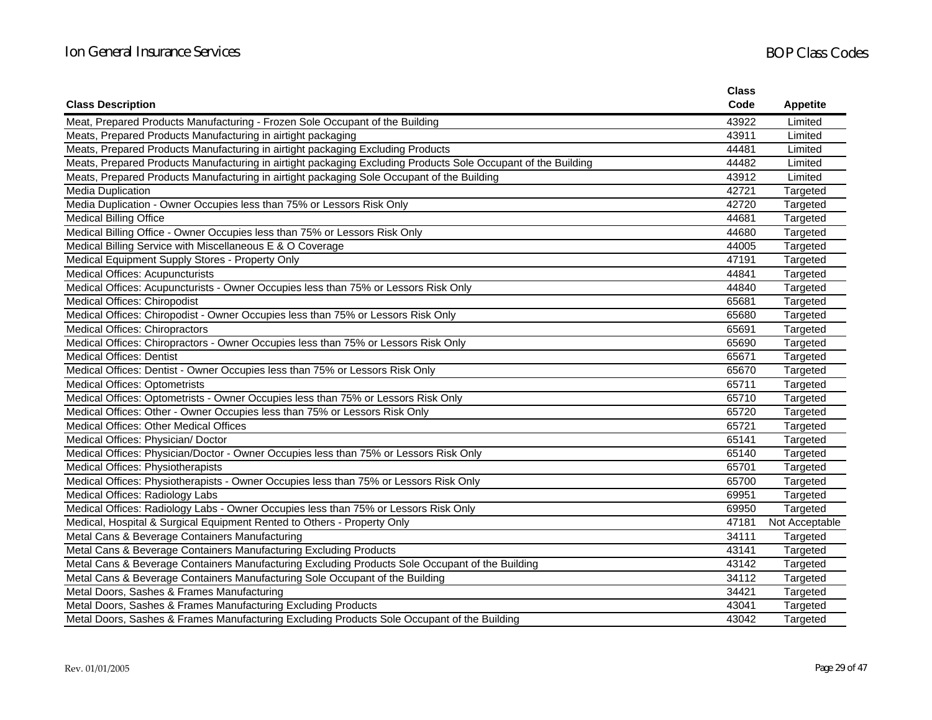|                                                                                                               | <b>Class</b> |                 |
|---------------------------------------------------------------------------------------------------------------|--------------|-----------------|
| <b>Class Description</b>                                                                                      | Code         | <b>Appetite</b> |
| Meat, Prepared Products Manufacturing - Frozen Sole Occupant of the Building                                  | 43922        | Limited         |
| Meats, Prepared Products Manufacturing in airtight packaging                                                  | 43911        | Limited         |
| Meats, Prepared Products Manufacturing in airtight packaging Excluding Products                               | 44481        | Limited         |
| Meats, Prepared Products Manufacturing in airtight packaging Excluding Products Sole Occupant of the Building | 44482        | Limited         |
| Meats, Prepared Products Manufacturing in airtight packaging Sole Occupant of the Building                    | 43912        | Limited         |
| <b>Media Duplication</b>                                                                                      | 42721        | Targeted        |
| Media Duplication - Owner Occupies less than 75% or Lessors Risk Only                                         | 42720        | Targeted        |
| <b>Medical Billing Office</b>                                                                                 | 44681        | Targeted        |
| Medical Billing Office - Owner Occupies less than 75% or Lessors Risk Only                                    | 44680        | Targeted        |
| Medical Billing Service with Miscellaneous E & O Coverage                                                     | 44005        | Targeted        |
| Medical Equipment Supply Stores - Property Only                                                               | 47191        | Targeted        |
| <b>Medical Offices: Acupuncturists</b>                                                                        | 44841        | Targeted        |
| Medical Offices: Acupuncturists - Owner Occupies less than 75% or Lessors Risk Only                           | 44840        | Targeted        |
| <b>Medical Offices: Chiropodist</b>                                                                           | 65681        | Targeted        |
| Medical Offices: Chiropodist - Owner Occupies less than 75% or Lessors Risk Only                              | 65680        | Targeted        |
| <b>Medical Offices: Chiropractors</b>                                                                         | 65691        | Targeted        |
| Medical Offices: Chiropractors - Owner Occupies less than 75% or Lessors Risk Only                            | 65690        | Targeted        |
| <b>Medical Offices: Dentist</b>                                                                               | 65671        | Targeted        |
| Medical Offices: Dentist - Owner Occupies less than 75% or Lessors Risk Only                                  | 65670        | Targeted        |
| <b>Medical Offices: Optometrists</b>                                                                          | 65711        | Targeted        |
| Medical Offices: Optometrists - Owner Occupies less than 75% or Lessors Risk Only                             | 65710        | Targeted        |
| Medical Offices: Other - Owner Occupies less than 75% or Lessors Risk Only                                    | 65720        | Targeted        |
| Medical Offices: Other Medical Offices                                                                        | 65721        | Targeted        |
| Medical Offices: Physician/ Doctor                                                                            | 65141        | Targeted        |
| Medical Offices: Physician/Doctor - Owner Occupies less than 75% or Lessors Risk Only                         | 65140        | Targeted        |
| Medical Offices: Physiotherapists                                                                             | 65701        | Targeted        |
| Medical Offices: Physiotherapists - Owner Occupies less than 75% or Lessors Risk Only                         | 65700        | Targeted        |
| Medical Offices: Radiology Labs                                                                               | 69951        | Targeted        |
| Medical Offices: Radiology Labs - Owner Occupies less than 75% or Lessors Risk Only                           | 69950        | Targeted        |
| Medical, Hospital & Surgical Equipment Rented to Others - Property Only                                       | 47181        | Not Acceptable  |
| Metal Cans & Beverage Containers Manufacturing                                                                | 34111        | Targeted        |
| Metal Cans & Beverage Containers Manufacturing Excluding Products                                             | 43141        | Targeted        |
| Metal Cans & Beverage Containers Manufacturing Excluding Products Sole Occupant of the Building               | 43142        | Targeted        |
| Metal Cans & Beverage Containers Manufacturing Sole Occupant of the Building                                  | 34112        | Targeted        |
| Metal Doors, Sashes & Frames Manufacturing                                                                    | 34421        | Targeted        |
| Metal Doors, Sashes & Frames Manufacturing Excluding Products                                                 | 43041        | Targeted        |
| Metal Doors, Sashes & Frames Manufacturing Excluding Products Sole Occupant of the Building                   | 43042        | Targeted        |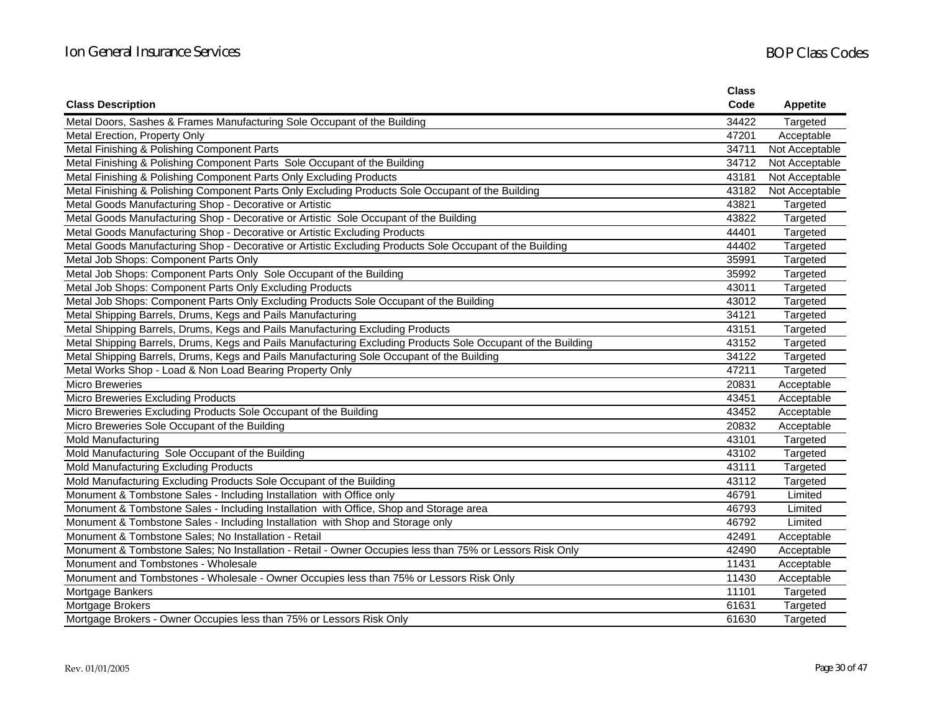|                                                                                                              | <b>Class</b> |                 |
|--------------------------------------------------------------------------------------------------------------|--------------|-----------------|
| <b>Class Description</b>                                                                                     | Code         | <b>Appetite</b> |
| Metal Doors, Sashes & Frames Manufacturing Sole Occupant of the Building                                     | 34422        | Targeted        |
| Metal Erection, Property Only                                                                                | 47201        | Acceptable      |
| Metal Finishing & Polishing Component Parts                                                                  | 34711        | Not Acceptable  |
| Metal Finishing & Polishing Component Parts Sole Occupant of the Building                                    | 34712        | Not Acceptable  |
| Metal Finishing & Polishing Component Parts Only Excluding Products                                          | 43181        | Not Acceptable  |
| Metal Finishing & Polishing Component Parts Only Excluding Products Sole Occupant of the Building            | 43182        | Not Acceptable  |
| Metal Goods Manufacturing Shop - Decorative or Artistic                                                      | 43821        | Targeted        |
| Metal Goods Manufacturing Shop - Decorative or Artistic Sole Occupant of the Building                        | 43822        | Targeted        |
| Metal Goods Manufacturing Shop - Decorative or Artistic Excluding Products                                   | 44401        | Targeted        |
| Metal Goods Manufacturing Shop - Decorative or Artistic Excluding Products Sole Occupant of the Building     | 44402        | Targeted        |
| Metal Job Shops: Component Parts Only                                                                        | 35991        | Targeted        |
| Metal Job Shops: Component Parts Only Sole Occupant of the Building                                          | 35992        | Targeted        |
| Metal Job Shops: Component Parts Only Excluding Products                                                     | 43011        | Targeted        |
| Metal Job Shops: Component Parts Only Excluding Products Sole Occupant of the Building                       | 43012        | Targeted        |
| Metal Shipping Barrels, Drums, Kegs and Pails Manufacturing                                                  | 34121        | Targeted        |
| Metal Shipping Barrels, Drums, Kegs and Pails Manufacturing Excluding Products                               | 43151        | Targeted        |
| Metal Shipping Barrels, Drums, Kegs and Pails Manufacturing Excluding Products Sole Occupant of the Building | 43152        | Targeted        |
| Metal Shipping Barrels, Drums, Kegs and Pails Manufacturing Sole Occupant of the Building                    | 34122        | Targeted        |
| Metal Works Shop - Load & Non Load Bearing Property Only                                                     | 47211        | Targeted        |
| <b>Micro Breweries</b>                                                                                       | 20831        | Acceptable      |
| <b>Micro Breweries Excluding Products</b>                                                                    | 43451        | Acceptable      |
| Micro Breweries Excluding Products Sole Occupant of the Building                                             | 43452        | Acceptable      |
| Micro Breweries Sole Occupant of the Building                                                                | 20832        | Acceptable      |
| Mold Manufacturing                                                                                           | 43101        | Targeted        |
| Mold Manufacturing Sole Occupant of the Building                                                             | 43102        | Targeted        |
| Mold Manufacturing Excluding Products                                                                        | 43111        | Targeted        |
| Mold Manufacturing Excluding Products Sole Occupant of the Building                                          | 43112        | Targeted        |
| Monument & Tombstone Sales - Including Installation with Office only                                         | 46791        | Limited         |
| Monument & Tombstone Sales - Including Installation with Office, Shop and Storage area                       | 46793        | Limited         |
| Monument & Tombstone Sales - Including Installation with Shop and Storage only                               | 46792        | Limited         |
| Monument & Tombstone Sales; No Installation - Retail                                                         | 42491        | Acceptable      |
| Monument & Tombstone Sales; No Installation - Retail - Owner Occupies less than 75% or Lessors Risk Only     | 42490        | Acceptable      |
| Monument and Tombstones - Wholesale                                                                          | 11431        | Acceptable      |
| Monument and Tombstones - Wholesale - Owner Occupies less than 75% or Lessors Risk Only                      | 11430        | Acceptable      |
| Mortgage Bankers                                                                                             | 11101        | Targeted        |
| Mortgage Brokers                                                                                             | 61631        | Targeted        |
| Mortgage Brokers - Owner Occupies less than 75% or Lessors Risk Only                                         | 61630        | Targeted        |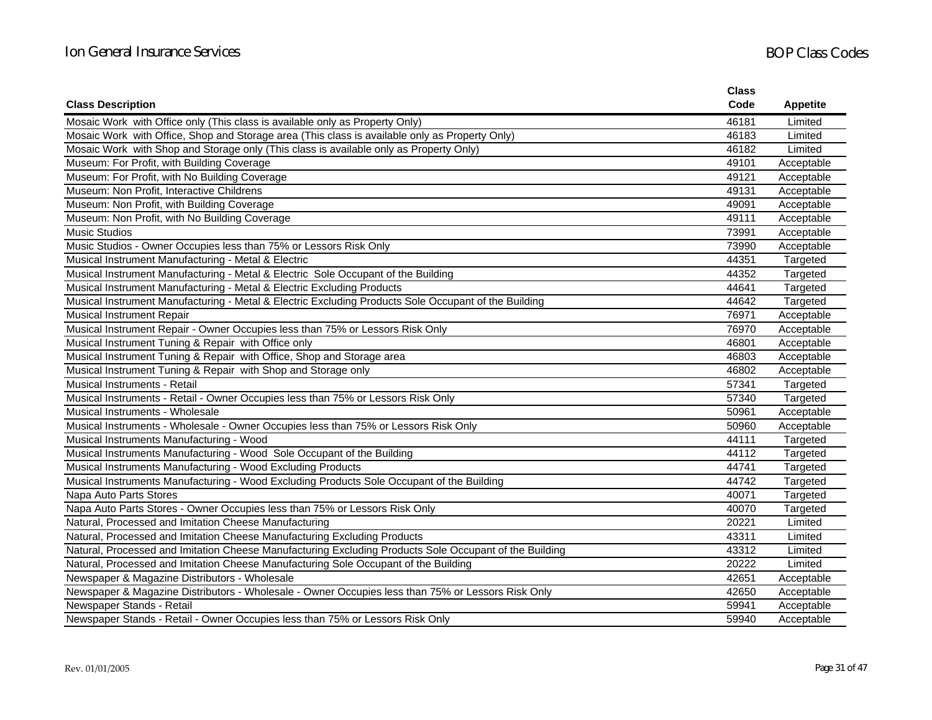|                                                                                                        | <b>Class</b> |                 |
|--------------------------------------------------------------------------------------------------------|--------------|-----------------|
| <b>Class Description</b>                                                                               | Code         | <b>Appetite</b> |
| Mosaic Work with Office only (This class is available only as Property Only)                           | 46181        | Limited         |
| Mosaic Work with Office, Shop and Storage area (This class is available only as Property Only)         | 46183        | Limited         |
| Mosaic Work with Shop and Storage only (This class is available only as Property Only)                 | 46182        | Limited         |
| Museum: For Profit, with Building Coverage                                                             | 49101        | Acceptable      |
| Museum: For Profit, with No Building Coverage                                                          | 49121        | Acceptable      |
| Museum: Non Profit, Interactive Childrens                                                              | 49131        | Acceptable      |
| Museum: Non Profit, with Building Coverage                                                             | 49091        | Acceptable      |
| Museum: Non Profit, with No Building Coverage                                                          | 49111        | Acceptable      |
| <b>Music Studios</b>                                                                                   | 73991        | Acceptable      |
| Music Studios - Owner Occupies less than 75% or Lessors Risk Only                                      | 73990        | Acceptable      |
| Musical Instrument Manufacturing - Metal & Electric                                                    | 44351        | Targeted        |
| Musical Instrument Manufacturing - Metal & Electric Sole Occupant of the Building                      | 44352        | Targeted        |
| Musical Instrument Manufacturing - Metal & Electric Excluding Products                                 | 44641        | Targeted        |
| Musical Instrument Manufacturing - Metal & Electric Excluding Products Sole Occupant of the Building   | 44642        | Targeted        |
| Musical Instrument Repair                                                                              | 76971        | Acceptable      |
| Musical Instrument Repair - Owner Occupies less than 75% or Lessors Risk Only                          | 76970        | Acceptable      |
| Musical Instrument Tuning & Repair with Office only                                                    | 46801        | Acceptable      |
| Musical Instrument Tuning & Repair with Office, Shop and Storage area                                  | 46803        | Acceptable      |
| Musical Instrument Tuning & Repair with Shop and Storage only                                          | 46802        | Acceptable      |
| Musical Instruments - Retail                                                                           | 57341        | Targeted        |
| Musical Instruments - Retail - Owner Occupies less than 75% or Lessors Risk Only                       | 57340        | Targeted        |
| Musical Instruments - Wholesale                                                                        | 50961        | Acceptable      |
| Musical Instruments - Wholesale - Owner Occupies less than 75% or Lessors Risk Only                    | 50960        | Acceptable      |
| Musical Instruments Manufacturing - Wood                                                               | 44111        | Targeted        |
| Musical Instruments Manufacturing - Wood Sole Occupant of the Building                                 | 44112        | Targeted        |
| Musical Instruments Manufacturing - Wood Excluding Products                                            | 44741        | Targeted        |
| Musical Instruments Manufacturing - Wood Excluding Products Sole Occupant of the Building              | 44742        | Targeted        |
| Napa Auto Parts Stores                                                                                 | 40071        | Targeted        |
| Napa Auto Parts Stores - Owner Occupies less than 75% or Lessors Risk Only                             | 40070        | Targeted        |
| Natural, Processed and Imitation Cheese Manufacturing                                                  | 20221        | Limited         |
| Natural, Processed and Imitation Cheese Manufacturing Excluding Products                               | 43311        | Limited         |
| Natural, Processed and Imitation Cheese Manufacturing Excluding Products Sole Occupant of the Building | 43312        | Limited         |
| Natural, Processed and Imitation Cheese Manufacturing Sole Occupant of the Building                    | 20222        | Limited         |
| Newspaper & Magazine Distributors - Wholesale                                                          | 42651        | Acceptable      |
| Newspaper & Magazine Distributors - Wholesale - Owner Occupies less than 75% or Lessors Risk Only      | 42650        | Acceptable      |
| Newspaper Stands - Retail                                                                              | 59941        | Acceptable      |
| Newspaper Stands - Retail - Owner Occupies less than 75% or Lessors Risk Only                          | 59940        | Acceptable      |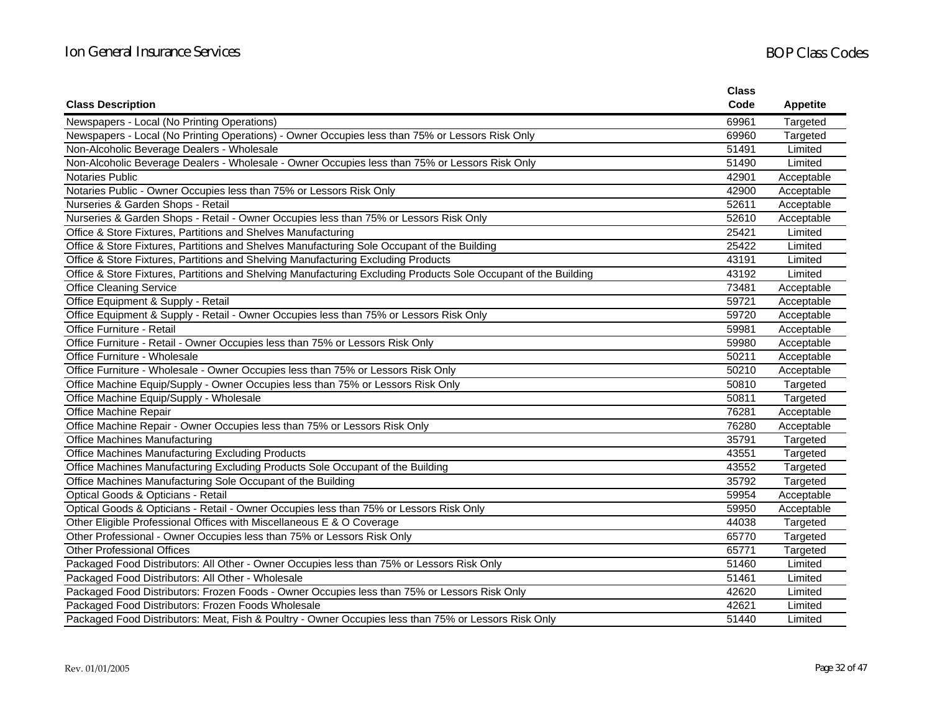|                                                                                                                 | <b>Class</b> |                 |
|-----------------------------------------------------------------------------------------------------------------|--------------|-----------------|
| <b>Class Description</b>                                                                                        | Code         | <b>Appetite</b> |
| Newspapers - Local (No Printing Operations)                                                                     | 69961        | Targeted        |
| Newspapers - Local (No Printing Operations) - Owner Occupies less than 75% or Lessors Risk Only                 | 69960        | Targeted        |
| Non-Alcoholic Beverage Dealers - Wholesale                                                                      | 51491        | Limited         |
| Non-Alcoholic Beverage Dealers - Wholesale - Owner Occupies less than 75% or Lessors Risk Only                  | 51490        | Limited         |
| <b>Notaries Public</b>                                                                                          | 42901        | Acceptable      |
| Notaries Public - Owner Occupies less than 75% or Lessors Risk Only                                             | 42900        | Acceptable      |
| Nurseries & Garden Shops - Retail                                                                               | 52611        | Acceptable      |
| Nurseries & Garden Shops - Retail - Owner Occupies less than 75% or Lessors Risk Only                           | 52610        | Acceptable      |
| Office & Store Fixtures, Partitions and Shelves Manufacturing                                                   | 25421        | Limited         |
| Office & Store Fixtures, Partitions and Shelves Manufacturing Sole Occupant of the Building                     | 25422        | Limited         |
| Office & Store Fixtures, Partitions and Shelving Manufacturing Excluding Products                               | 43191        | Limited         |
| Office & Store Fixtures, Partitions and Shelving Manufacturing Excluding Products Sole Occupant of the Building | 43192        | Limited         |
| <b>Office Cleaning Service</b>                                                                                  | 73481        | Acceptable      |
| Office Equipment & Supply - Retail                                                                              | 59721        | Acceptable      |
| Office Equipment & Supply - Retail - Owner Occupies less than 75% or Lessors Risk Only                          | 59720        | Acceptable      |
| Office Furniture - Retail                                                                                       | 59981        | Acceptable      |
| Office Furniture - Retail - Owner Occupies less than 75% or Lessors Risk Only                                   | 59980        | Acceptable      |
| Office Furniture - Wholesale                                                                                    | 50211        | Acceptable      |
| Office Furniture - Wholesale - Owner Occupies less than 75% or Lessors Risk Only                                | 50210        | Acceptable      |
| Office Machine Equip/Supply - Owner Occupies less than 75% or Lessors Risk Only                                 | 50810        | Targeted        |
| Office Machine Equip/Supply - Wholesale                                                                         | 50811        | Targeted        |
| Office Machine Repair                                                                                           | 76281        | Acceptable      |
| Office Machine Repair - Owner Occupies less than 75% or Lessors Risk Only                                       | 76280        | Acceptable      |
| <b>Office Machines Manufacturing</b>                                                                            | 35791        | Targeted        |
| Office Machines Manufacturing Excluding Products                                                                | 43551        | Targeted        |
| Office Machines Manufacturing Excluding Products Sole Occupant of the Building                                  | 43552        | Targeted        |
| Office Machines Manufacturing Sole Occupant of the Building                                                     | 35792        | Targeted        |
| Optical Goods & Opticians - Retail                                                                              | 59954        | Acceptable      |
| Optical Goods & Opticians - Retail - Owner Occupies less than 75% or Lessors Risk Only                          | 59950        | Acceptable      |
| Other Eligible Professional Offices with Miscellaneous E & O Coverage                                           | 44038        | Targeted        |
| Other Professional - Owner Occupies less than 75% or Lessors Risk Only                                          | 65770        | Targeted        |
| <b>Other Professional Offices</b>                                                                               | 65771        | Targeted        |
| Packaged Food Distributors: All Other - Owner Occupies less than 75% or Lessors Risk Only                       | 51460        | Limited         |
| Packaged Food Distributors: All Other - Wholesale                                                               | 51461        | Limited         |
| Packaged Food Distributors: Frozen Foods - Owner Occupies less than 75% or Lessors Risk Only                    | 42620        | Limited         |
| Packaged Food Distributors: Frozen Foods Wholesale                                                              | 42621        | Limited         |
| Packaged Food Distributors: Meat, Fish & Poultry - Owner Occupies less than 75% or Lessors Risk Only            | 51440        | Limited         |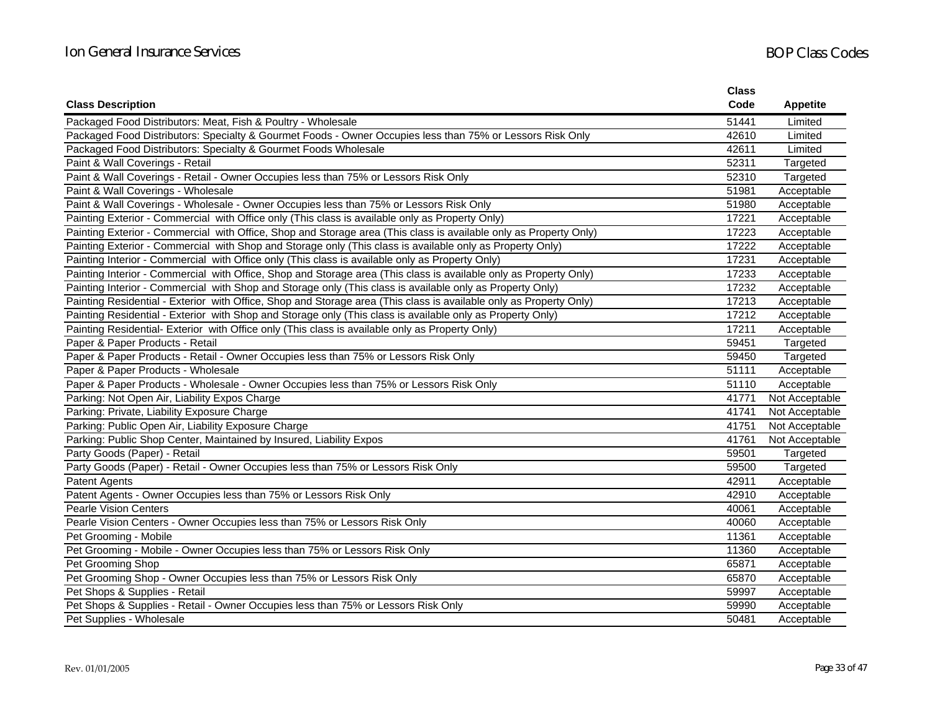|                                                                                                                    | <b>Class</b> |                 |
|--------------------------------------------------------------------------------------------------------------------|--------------|-----------------|
| <b>Class Description</b>                                                                                           | Code         | <b>Appetite</b> |
| Packaged Food Distributors: Meat, Fish & Poultry - Wholesale                                                       | 51441        | Limited         |
| Packaged Food Distributors: Specialty & Gourmet Foods - Owner Occupies less than 75% or Lessors Risk Only          | 42610        | Limited         |
| Packaged Food Distributors: Specialty & Gourmet Foods Wholesale                                                    | 42611        | Limited         |
| Paint & Wall Coverings - Retail                                                                                    | 52311        | Targeted        |
| Paint & Wall Coverings - Retail - Owner Occupies less than 75% or Lessors Risk Only                                | 52310        | Targeted        |
| Paint & Wall Coverings - Wholesale                                                                                 | 51981        | Acceptable      |
| Paint & Wall Coverings - Wholesale - Owner Occupies less than 75% or Lessors Risk Only                             | 51980        | Acceptable      |
| Painting Exterior - Commercial with Office only (This class is available only as Property Only)                    | 17221        | Acceptable      |
| Painting Exterior - Commercial with Office, Shop and Storage area (This class is available only as Property Only)  | 17223        | Acceptable      |
| Painting Exterior - Commercial with Shop and Storage only (This class is available only as Property Only)          | 17222        | Acceptable      |
| Painting Interior - Commercial with Office only (This class is available only as Property Only)                    | 17231        | Acceptable      |
| Painting Interior - Commercial with Office, Shop and Storage area (This class is available only as Property Only)  | 17233        | Acceptable      |
| Painting Interior - Commercial with Shop and Storage only (This class is available only as Property Only)          | 17232        | Acceptable      |
| Painting Residential - Exterior with Office, Shop and Storage area (This class is available only as Property Only) | 17213        | Acceptable      |
| Painting Residential - Exterior with Shop and Storage only (This class is available only as Property Only)         | 17212        | Acceptable      |
| Painting Residential- Exterior with Office only (This class is available only as Property Only)                    | 17211        | Acceptable      |
| Paper & Paper Products - Retail                                                                                    | 59451        | Targeted        |
| Paper & Paper Products - Retail - Owner Occupies less than 75% or Lessors Risk Only                                | 59450        | Targeted        |
| Paper & Paper Products - Wholesale                                                                                 | 51111        | Acceptable      |
| Paper & Paper Products - Wholesale - Owner Occupies less than 75% or Lessors Risk Only                             | 51110        | Acceptable      |
| Parking: Not Open Air, Liability Expos Charge                                                                      | 41771        | Not Acceptable  |
| Parking: Private, Liability Exposure Charge                                                                        | 41741        | Not Acceptable  |
| Parking: Public Open Air, Liability Exposure Charge                                                                | 41751        | Not Acceptable  |
| Parking: Public Shop Center, Maintained by Insured, Liability Expos                                                | 41761        | Not Acceptable  |
| Party Goods (Paper) - Retail                                                                                       | 59501        | Targeted        |
| Party Goods (Paper) - Retail - Owner Occupies less than 75% or Lessors Risk Only                                   | 59500        | Targeted        |
| <b>Patent Agents</b>                                                                                               | 42911        | Acceptable      |
| Patent Agents - Owner Occupies less than 75% or Lessors Risk Only                                                  | 42910        | Acceptable      |
| <b>Pearle Vision Centers</b>                                                                                       | 40061        | Acceptable      |
| Pearle Vision Centers - Owner Occupies less than 75% or Lessors Risk Only                                          | 40060        | Acceptable      |
| Pet Grooming - Mobile                                                                                              | 11361        | Acceptable      |
| Pet Grooming - Mobile - Owner Occupies less than 75% or Lessors Risk Only                                          | 11360        | Acceptable      |
| Pet Grooming Shop                                                                                                  | 65871        | Acceptable      |
| Pet Grooming Shop - Owner Occupies less than 75% or Lessors Risk Only                                              | 65870        | Acceptable      |
| Pet Shops & Supplies - Retail                                                                                      | 59997        | Acceptable      |
| Pet Shops & Supplies - Retail - Owner Occupies less than 75% or Lessors Risk Only                                  | 59990        | Acceptable      |
| Pet Supplies - Wholesale                                                                                           | 50481        | Acceptable      |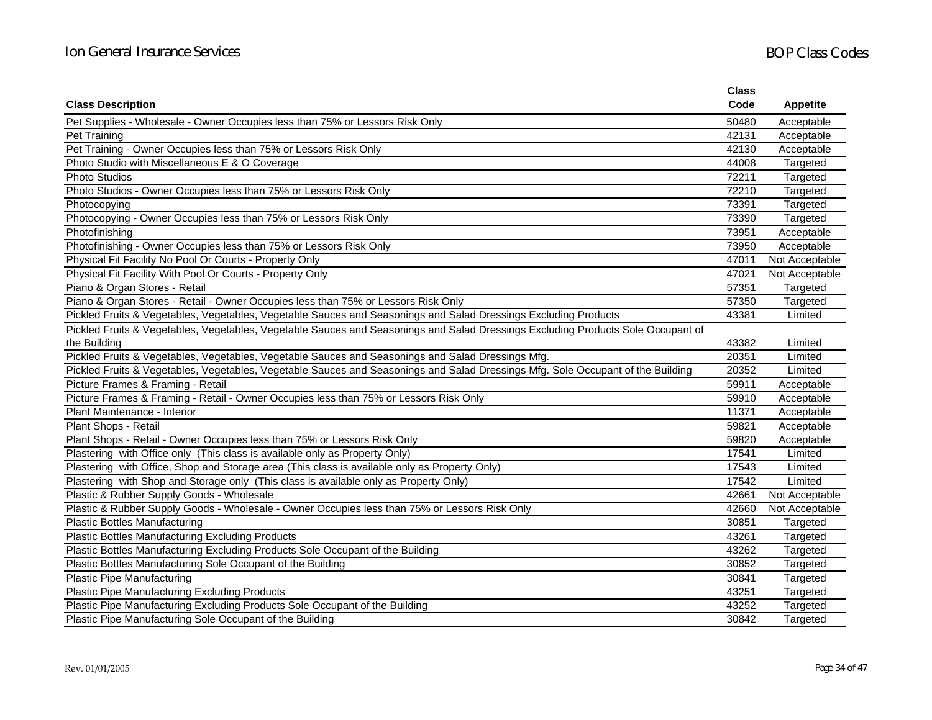|                                                                                                                                  | <b>Class</b> |                 |
|----------------------------------------------------------------------------------------------------------------------------------|--------------|-----------------|
| <b>Class Description</b>                                                                                                         | Code         | <b>Appetite</b> |
| Pet Supplies - Wholesale - Owner Occupies less than 75% or Lessors Risk Only                                                     | 50480        | Acceptable      |
| Pet Training                                                                                                                     | 42131        | Acceptable      |
| Pet Training - Owner Occupies less than 75% or Lessors Risk Only                                                                 | 42130        | Acceptable      |
| Photo Studio with Miscellaneous E & O Coverage                                                                                   | 44008        | Targeted        |
| <b>Photo Studios</b>                                                                                                             | 72211        | Targeted        |
| Photo Studios - Owner Occupies less than 75% or Lessors Risk Only                                                                | 72210        | Targeted        |
| Photocopying                                                                                                                     | 73391        | Targeted        |
| Photocopying - Owner Occupies less than 75% or Lessors Risk Only                                                                 | 73390        | Targeted        |
| Photofinishing                                                                                                                   | 73951        | Acceptable      |
| Photofinishing - Owner Occupies less than 75% or Lessors Risk Only                                                               | 73950        | Acceptable      |
| Physical Fit Facility No Pool Or Courts - Property Only                                                                          | 47011        | Not Acceptable  |
| Physical Fit Facility With Pool Or Courts - Property Only                                                                        | 47021        | Not Acceptable  |
| Piano & Organ Stores - Retail                                                                                                    | 57351        | Targeted        |
| Piano & Organ Stores - Retail - Owner Occupies less than 75% or Lessors Risk Only                                                | 57350        | Targeted        |
| Pickled Fruits & Vegetables, Vegetables, Vegetable Sauces and Seasonings and Salad Dressings Excluding Products                  | 43381        | Limited         |
| Pickled Fruits & Vegetables, Vegetables, Vegetable Sauces and Seasonings and Salad Dressings Excluding Products Sole Occupant of |              |                 |
| the Building                                                                                                                     | 43382        | Limited         |
| Pickled Fruits & Vegetables, Vegetables, Vegetable Sauces and Seasonings and Salad Dressings Mfg.                                | 20351        | Limited         |
| Pickled Fruits & Vegetables, Vegetables, Vegetable Sauces and Seasonings and Salad Dressings Mfg. Sole Occupant of the Building  | 20352        | Limited         |
| Picture Frames & Framing - Retail                                                                                                | 59911        | Acceptable      |
| Picture Frames & Framing - Retail - Owner Occupies less than 75% or Lessors Risk Only                                            | 59910        | Acceptable      |
| Plant Maintenance - Interior                                                                                                     | 11371        | Acceptable      |
| Plant Shops - Retail                                                                                                             | 59821        | Acceptable      |
| Plant Shops - Retail - Owner Occupies less than 75% or Lessors Risk Only                                                         | 59820        | Acceptable      |
| Plastering with Office only (This class is available only as Property Only)                                                      | 17541        | Limited         |
| Plastering with Office, Shop and Storage area (This class is available only as Property Only)                                    | 17543        | Limited         |
| Plastering with Shop and Storage only (This class is available only as Property Only)                                            | 17542        | Limited         |
| Plastic & Rubber Supply Goods - Wholesale                                                                                        | 42661        | Not Acceptable  |
| Plastic & Rubber Supply Goods - Wholesale - Owner Occupies less than 75% or Lessors Risk Only                                    | 42660        | Not Acceptable  |
| <b>Plastic Bottles Manufacturing</b>                                                                                             | 30851        | Targeted        |
| <b>Plastic Bottles Manufacturing Excluding Products</b>                                                                          | 43261        | Targeted        |
| Plastic Bottles Manufacturing Excluding Products Sole Occupant of the Building                                                   | 43262        | Targeted        |
| Plastic Bottles Manufacturing Sole Occupant of the Building                                                                      | 30852        | Targeted        |
| <b>Plastic Pipe Manufacturing</b>                                                                                                | 30841        | Targeted        |
| Plastic Pipe Manufacturing Excluding Products                                                                                    | 43251        | Targeted        |
| Plastic Pipe Manufacturing Excluding Products Sole Occupant of the Building                                                      | 43252        | Targeted        |
| Plastic Pipe Manufacturing Sole Occupant of the Building                                                                         | 30842        | Targeted        |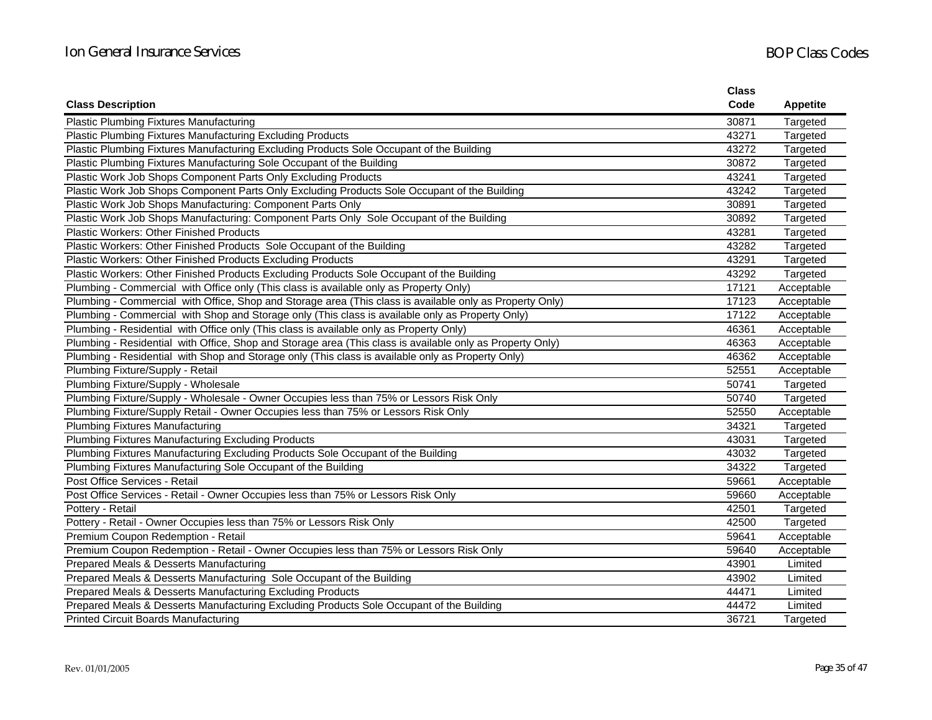|                                                                                                           | <b>Class</b> |                 |
|-----------------------------------------------------------------------------------------------------------|--------------|-----------------|
| <b>Class Description</b>                                                                                  | Code         | <b>Appetite</b> |
| <b>Plastic Plumbing Fixtures Manufacturing</b>                                                            | 30871        | Targeted        |
| Plastic Plumbing Fixtures Manufacturing Excluding Products                                                | 43271        | Targeted        |
| Plastic Plumbing Fixtures Manufacturing Excluding Products Sole Occupant of the Building                  | 43272        | Targeted        |
| Plastic Plumbing Fixtures Manufacturing Sole Occupant of the Building                                     | 30872        | Targeted        |
| Plastic Work Job Shops Component Parts Only Excluding Products                                            | 43241        | Targeted        |
| Plastic Work Job Shops Component Parts Only Excluding Products Sole Occupant of the Building              | 43242        | Targeted        |
| Plastic Work Job Shops Manufacturing: Component Parts Only                                                | 30891        | Targeted        |
| Plastic Work Job Shops Manufacturing: Component Parts Only Sole Occupant of the Building                  | 30892        | Targeted        |
| <b>Plastic Workers: Other Finished Products</b>                                                           | 43281        | Targeted        |
| Plastic Workers: Other Finished Products Sole Occupant of the Building                                    | 43282        | Targeted        |
| Plastic Workers: Other Finished Products Excluding Products                                               | 43291        | Targeted        |
| Plastic Workers: Other Finished Products Excluding Products Sole Occupant of the Building                 | 43292        | Targeted        |
| Plumbing - Commercial with Office only (This class is available only as Property Only)                    | 17121        | Acceptable      |
| Plumbing - Commercial with Office, Shop and Storage area (This class is available only as Property Only)  | 17123        | Acceptable      |
| Plumbing - Commercial with Shop and Storage only (This class is available only as Property Only)          | 17122        | Acceptable      |
| Plumbing - Residential with Office only (This class is available only as Property Only)                   | 46361        | Acceptable      |
| Plumbing - Residential with Office, Shop and Storage area (This class is available only as Property Only) | 46363        | Acceptable      |
| Plumbing - Residential with Shop and Storage only (This class is available only as Property Only)         | 46362        | Acceptable      |
| Plumbing Fixture/Supply - Retail                                                                          | 52551        | Acceptable      |
| Plumbing Fixture/Supply - Wholesale                                                                       | 50741        | Targeted        |
| Plumbing Fixture/Supply - Wholesale - Owner Occupies less than 75% or Lessors Risk Only                   | 50740        | Targeted        |
| Plumbing Fixture/Supply Retail - Owner Occupies less than 75% or Lessors Risk Only                        | 52550        | Acceptable      |
| <b>Plumbing Fixtures Manufacturing</b>                                                                    | 34321        | Targeted        |
| Plumbing Fixtures Manufacturing Excluding Products                                                        | 43031        | Targeted        |
| Plumbing Fixtures Manufacturing Excluding Products Sole Occupant of the Building                          | 43032        | Targeted        |
| Plumbing Fixtures Manufacturing Sole Occupant of the Building                                             | 34322        | Targeted        |
| Post Office Services - Retail                                                                             | 59661        | Acceptable      |
| Post Office Services - Retail - Owner Occupies less than 75% or Lessors Risk Only                         | 59660        | Acceptable      |
| Pottery - Retail                                                                                          | 42501        | Targeted        |
| Pottery - Retail - Owner Occupies less than 75% or Lessors Risk Only                                      | 42500        | Targeted        |
| Premium Coupon Redemption - Retail                                                                        | 59641        | Acceptable      |
| Premium Coupon Redemption - Retail - Owner Occupies less than 75% or Lessors Risk Only                    | 59640        | Acceptable      |
| Prepared Meals & Desserts Manufacturing                                                                   | 43901        | Limited         |
| Prepared Meals & Desserts Manufacturing Sole Occupant of the Building                                     | 43902        | Limited         |
| Prepared Meals & Desserts Manufacturing Excluding Products                                                | 44471        | Limited         |
| Prepared Meals & Desserts Manufacturing Excluding Products Sole Occupant of the Building                  | 44472        | Limited         |
| <b>Printed Circuit Boards Manufacturing</b>                                                               | 36721        | Targeted        |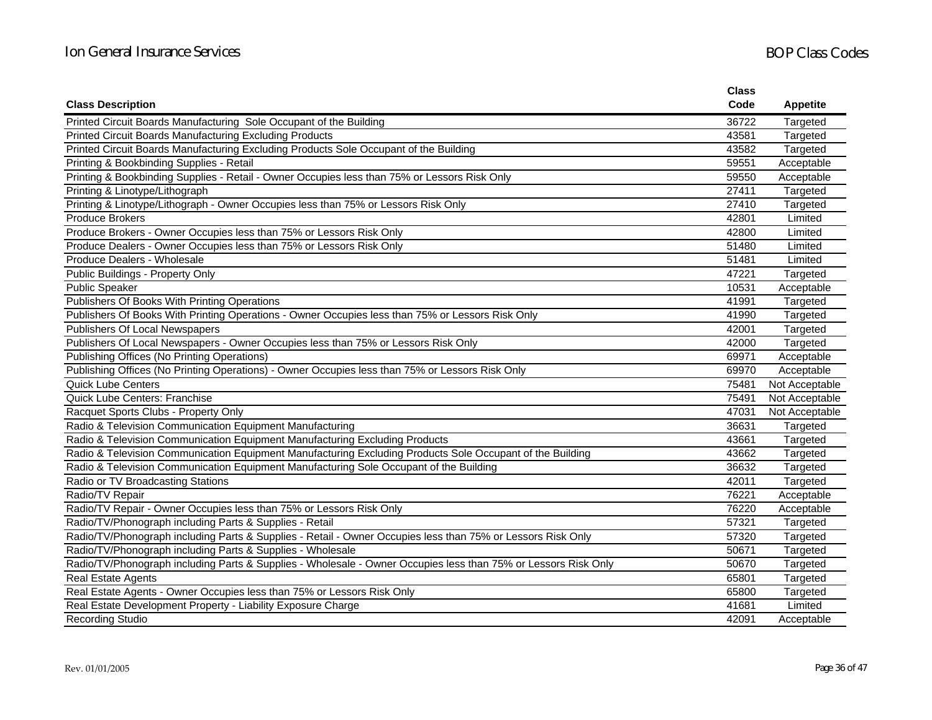|                                                                                                                | <b>Class</b> |                 |
|----------------------------------------------------------------------------------------------------------------|--------------|-----------------|
| <b>Class Description</b>                                                                                       | Code         | <b>Appetite</b> |
| Printed Circuit Boards Manufacturing Sole Occupant of the Building                                             | 36722        | Targeted        |
| <b>Printed Circuit Boards Manufacturing Excluding Products</b>                                                 | 43581        | Targeted        |
| Printed Circuit Boards Manufacturing Excluding Products Sole Occupant of the Building                          | 43582        | Targeted        |
| Printing & Bookbinding Supplies - Retail                                                                       | 59551        | Acceptable      |
| Printing & Bookbinding Supplies - Retail - Owner Occupies less than 75% or Lessors Risk Only                   | 59550        | Acceptable      |
| Printing & Linotype/Lithograph                                                                                 | 27411        | Targeted        |
| Printing & Linotype/Lithograph - Owner Occupies less than 75% or Lessors Risk Only                             | 27410        | Targeted        |
| <b>Produce Brokers</b>                                                                                         | 42801        | Limited         |
| Produce Brokers - Owner Occupies less than 75% or Lessors Risk Only                                            | 42800        | Limited         |
| Produce Dealers - Owner Occupies less than 75% or Lessors Risk Only                                            | 51480        | Limited         |
| Produce Dealers - Wholesale                                                                                    | 51481        | Limited         |
| Public Buildings - Property Only                                                                               | 47221        | Targeted        |
| <b>Public Speaker</b>                                                                                          | 10531        | Acceptable      |
| Publishers Of Books With Printing Operations                                                                   | 41991        | Targeted        |
| Publishers Of Books With Printing Operations - Owner Occupies less than 75% or Lessors Risk Only               | 41990        | Targeted        |
| Publishers Of Local Newspapers                                                                                 | 42001        | Targeted        |
| Publishers Of Local Newspapers - Owner Occupies less than 75% or Lessors Risk Only                             | 42000        | Targeted        |
| Publishing Offices (No Printing Operations)                                                                    | 69971        | Acceptable      |
| Publishing Offices (No Printing Operations) - Owner Occupies less than 75% or Lessors Risk Only                | 69970        | Acceptable      |
| <b>Quick Lube Centers</b>                                                                                      | 75481        | Not Acceptable  |
| Quick Lube Centers: Franchise                                                                                  | 75491        | Not Acceptable  |
| Racquet Sports Clubs - Property Only                                                                           | 47031        | Not Acceptable  |
| Radio & Television Communication Equipment Manufacturing                                                       | 36631        | Targeted        |
| Radio & Television Communication Equipment Manufacturing Excluding Products                                    | 43661        | Targeted        |
| Radio & Television Communication Equipment Manufacturing Excluding Products Sole Occupant of the Building      | 43662        | Targeted        |
| Radio & Television Communication Equipment Manufacturing Sole Occupant of the Building                         | 36632        | Targeted        |
| Radio or TV Broadcasting Stations                                                                              | 42011        | Targeted        |
| Radio/TV Repair                                                                                                | 76221        | Acceptable      |
| Radio/TV Repair - Owner Occupies less than 75% or Lessors Risk Only                                            | 76220        | Acceptable      |
| Radio/TV/Phonograph including Parts & Supplies - Retail                                                        | 57321        | Targeted        |
| Radio/TV/Phonograph including Parts & Supplies - Retail - Owner Occupies less than 75% or Lessors Risk Only    | 57320        | Targeted        |
| Radio/TV/Phonograph including Parts & Supplies - Wholesale                                                     | 50671        | Targeted        |
| Radio/TV/Phonograph including Parts & Supplies - Wholesale - Owner Occupies less than 75% or Lessors Risk Only | 50670        | Targeted        |
| <b>Real Estate Agents</b>                                                                                      | 65801        | Targeted        |
| Real Estate Agents - Owner Occupies less than 75% or Lessors Risk Only                                         | 65800        | Targeted        |
| Real Estate Development Property - Liability Exposure Charge                                                   | 41681        | Limited         |
| <b>Recording Studio</b>                                                                                        | 42091        | Acceptable      |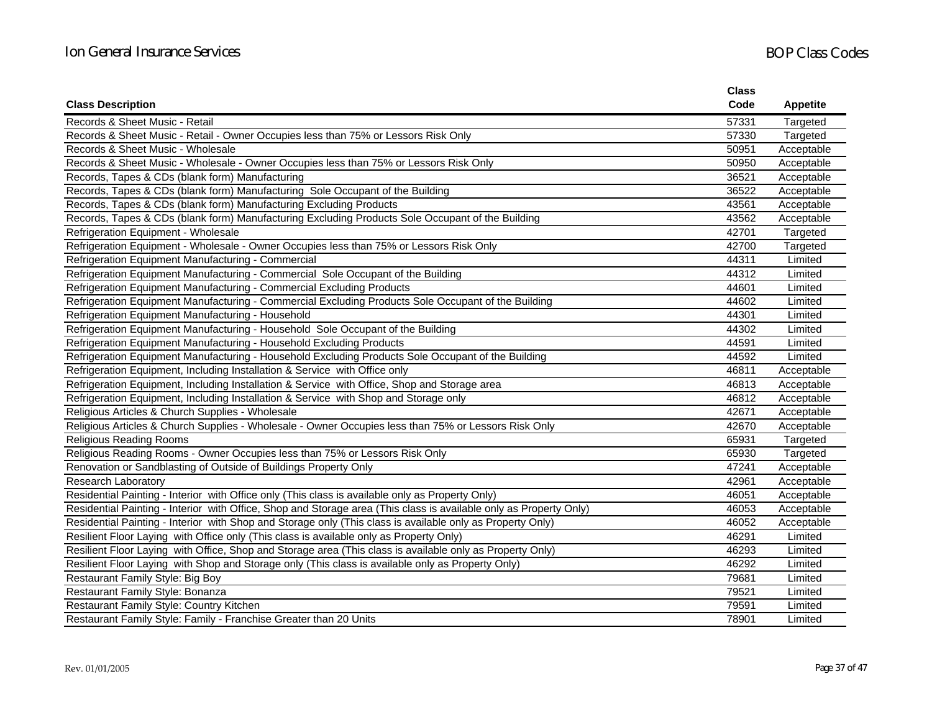|                                                                                                                    | <b>Class</b> |                 |
|--------------------------------------------------------------------------------------------------------------------|--------------|-----------------|
| <b>Class Description</b>                                                                                           | Code         | <b>Appetite</b> |
| Records & Sheet Music - Retail                                                                                     | 57331        | Targeted        |
| Records & Sheet Music - Retail - Owner Occupies less than 75% or Lessors Risk Only                                 | 57330        | Targeted        |
| Records & Sheet Music - Wholesale                                                                                  | 50951        | Acceptable      |
| Records & Sheet Music - Wholesale - Owner Occupies less than 75% or Lessors Risk Only                              | 50950        | Acceptable      |
| Records, Tapes & CDs (blank form) Manufacturing                                                                    | 36521        | Acceptable      |
| Records, Tapes & CDs (blank form) Manufacturing Sole Occupant of the Building                                      | 36522        | Acceptable      |
| Records, Tapes & CDs (blank form) Manufacturing Excluding Products                                                 | 43561        | Acceptable      |
| Records, Tapes & CDs (blank form) Manufacturing Excluding Products Sole Occupant of the Building                   | 43562        | Acceptable      |
| Refrigeration Equipment - Wholesale                                                                                | 42701        | Targeted        |
| Refrigeration Equipment - Wholesale - Owner Occupies less than 75% or Lessors Risk Only                            | 42700        | Targeted        |
| Refrigeration Equipment Manufacturing - Commercial                                                                 | 44311        | Limited         |
| Refrigeration Equipment Manufacturing - Commercial Sole Occupant of the Building                                   | 44312        | Limited         |
| Refrigeration Equipment Manufacturing - Commercial Excluding Products                                              | 44601        | Limited         |
| Refrigeration Equipment Manufacturing - Commercial Excluding Products Sole Occupant of the Building                | 44602        | Limited         |
| Refrigeration Equipment Manufacturing - Household                                                                  | 44301        | Limited         |
| Refrigeration Equipment Manufacturing - Household Sole Occupant of the Building                                    | 44302        | Limited         |
| Refrigeration Equipment Manufacturing - Household Excluding Products                                               | 44591        | Limited         |
| Refrigeration Equipment Manufacturing - Household Excluding Products Sole Occupant of the Building                 | 44592        | Limited         |
| Refrigeration Equipment, Including Installation & Service with Office only                                         | 46811        | Acceptable      |
| Refrigeration Equipment, Including Installation & Service with Office, Shop and Storage area                       | 46813        | Acceptable      |
| Refrigeration Equipment, Including Installation & Service with Shop and Storage only                               | 46812        | Acceptable      |
| Religious Articles & Church Supplies - Wholesale                                                                   | 42671        | Acceptable      |
| Religious Articles & Church Supplies - Wholesale - Owner Occupies less than 75% or Lessors Risk Only               | 42670        | Acceptable      |
| <b>Religious Reading Rooms</b>                                                                                     | 65931        | Targeted        |
| Religious Reading Rooms - Owner Occupies less than 75% or Lessors Risk Only                                        | 65930        | Targeted        |
| Renovation or Sandblasting of Outside of Buildings Property Only                                                   | 47241        | Acceptable      |
| <b>Research Laboratory</b>                                                                                         | 42961        | Acceptable      |
| Residential Painting - Interior with Office only (This class is available only as Property Only)                   | 46051        | Acceptable      |
| Residential Painting - Interior with Office, Shop and Storage area (This class is available only as Property Only) | 46053        | Acceptable      |
| Residential Painting - Interior with Shop and Storage only (This class is available only as Property Only)         | 46052        | Acceptable      |
| Resilient Floor Laying with Office only (This class is available only as Property Only)                            | 46291        | Limited         |
| Resilient Floor Laying with Office, Shop and Storage area (This class is available only as Property Only)          | 46293        | Limited         |
| Resilient Floor Laying with Shop and Storage only (This class is available only as Property Only)                  | 46292        | Limited         |
| Restaurant Family Style: Big Boy                                                                                   | 79681        | Limited         |
| Restaurant Family Style: Bonanza                                                                                   | 79521        | Limited         |
| Restaurant Family Style: Country Kitchen                                                                           | 79591        | Limited         |
| Restaurant Family Style: Family - Franchise Greater than 20 Units                                                  | 78901        | Limited         |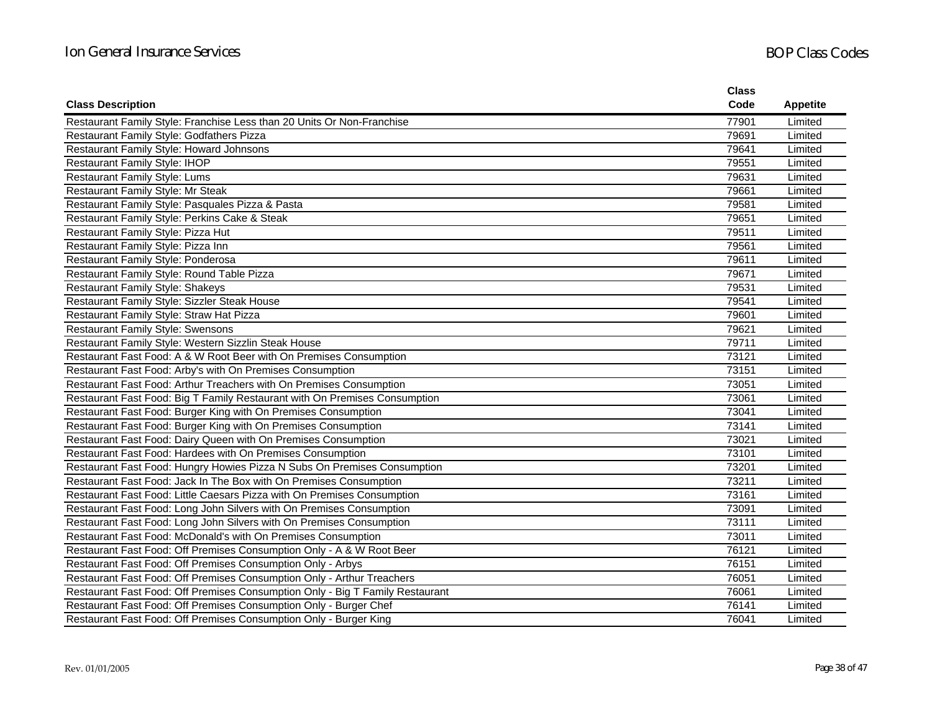|                                                                               | <b>Class</b> |                 |
|-------------------------------------------------------------------------------|--------------|-----------------|
| <b>Class Description</b>                                                      | Code         | <b>Appetite</b> |
| Restaurant Family Style: Franchise Less than 20 Units Or Non-Franchise        | 77901        | Limited         |
| Restaurant Family Style: Godfathers Pizza                                     | 79691        | Limited         |
| Restaurant Family Style: Howard Johnsons                                      | 79641        | Limited         |
| <b>Restaurant Family Style: IHOP</b>                                          | 79551        | Limited         |
| <b>Restaurant Family Style: Lums</b>                                          | 79631        | Limited         |
| Restaurant Family Style: Mr Steak                                             | 79661        | Limited         |
| Restaurant Family Style: Pasquales Pizza & Pasta                              | 79581        | Limited         |
| Restaurant Family Style: Perkins Cake & Steak                                 | 79651        | Limited         |
| Restaurant Family Style: Pizza Hut                                            | 79511        | Limited         |
| Restaurant Family Style: Pizza Inn                                            | 79561        | Limited         |
| Restaurant Family Style: Ponderosa                                            | 79611        | Limited         |
| Restaurant Family Style: Round Table Pizza                                    | 79671        | Limited         |
| <b>Restaurant Family Style: Shakeys</b>                                       | 79531        | Limited         |
| Restaurant Family Style: Sizzler Steak House                                  | 79541        | Limited         |
| Restaurant Family Style: Straw Hat Pizza                                      | 79601        | Limited         |
| <b>Restaurant Family Style: Swensons</b>                                      | 79621        | Limited         |
| Restaurant Family Style: Western Sizzlin Steak House                          | 79711        | Limited         |
| Restaurant Fast Food: A & W Root Beer with On Premises Consumption            | 73121        | Limited         |
| Restaurant Fast Food: Arby's with On Premises Consumption                     | 73151        | Limited         |
| Restaurant Fast Food: Arthur Treachers with On Premises Consumption           | 73051        | Limited         |
| Restaurant Fast Food: Big T Family Restaurant with On Premises Consumption    | 73061        | Limited         |
| Restaurant Fast Food: Burger King with On Premises Consumption                | 73041        | Limited         |
| Restaurant Fast Food: Burger King with On Premises Consumption                | 73141        | Limited         |
| Restaurant Fast Food: Dairy Queen with On Premises Consumption                | 73021        | Limited         |
| Restaurant Fast Food: Hardees with On Premises Consumption                    | 73101        | Limited         |
| Restaurant Fast Food: Hungry Howies Pizza N Subs On Premises Consumption      | 73201        | Limited         |
| Restaurant Fast Food: Jack In The Box with On Premises Consumption            | 73211        | Limited         |
| Restaurant Fast Food: Little Caesars Pizza with On Premises Consumption       | 73161        | Limited         |
| Restaurant Fast Food: Long John Silvers with On Premises Consumption          | 73091        | Limited         |
| Restaurant Fast Food: Long John Silvers with On Premises Consumption          | 73111        | Limited         |
| Restaurant Fast Food: McDonald's with On Premises Consumption                 | 73011        | Limited         |
| Restaurant Fast Food: Off Premises Consumption Only - A & W Root Beer         | 76121        | Limited         |
| Restaurant Fast Food: Off Premises Consumption Only - Arbys                   | 76151        | Limited         |
| Restaurant Fast Food: Off Premises Consumption Only - Arthur Treachers        | 76051        | Limited         |
| Restaurant Fast Food: Off Premises Consumption Only - Big T Family Restaurant | 76061        | Limited         |
| Restaurant Fast Food: Off Premises Consumption Only - Burger Chef             | 76141        | Limited         |
| Restaurant Fast Food: Off Premises Consumption Only - Burger King             | 76041        | Limited         |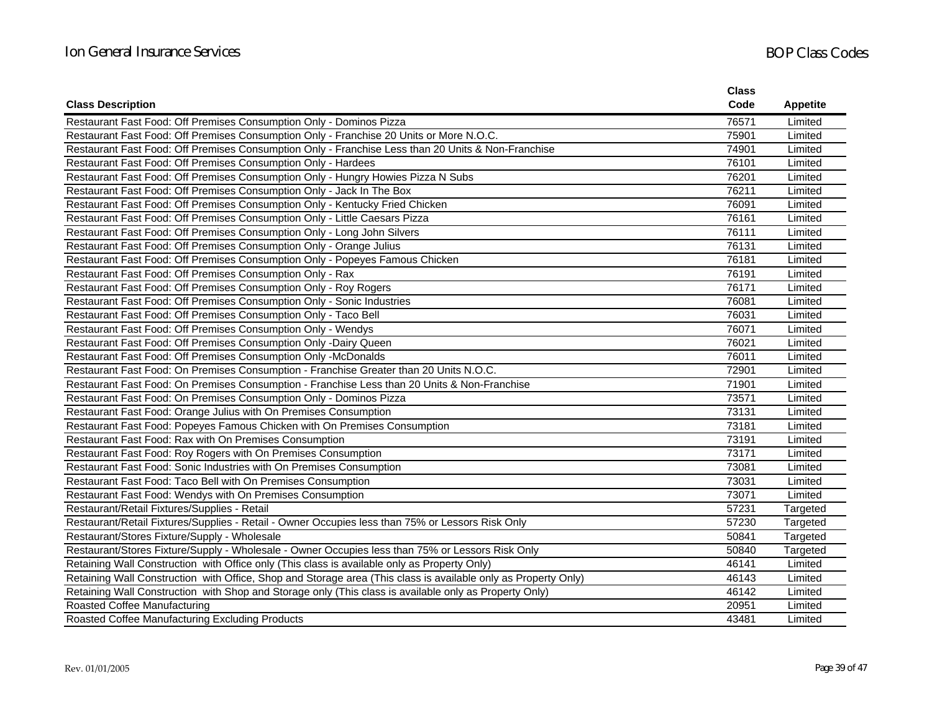|                                                                                                                | <b>Class</b> |                 |
|----------------------------------------------------------------------------------------------------------------|--------------|-----------------|
| <b>Class Description</b>                                                                                       | Code         | <b>Appetite</b> |
| Restaurant Fast Food: Off Premises Consumption Only - Dominos Pizza                                            | 76571        | Limited         |
| Restaurant Fast Food: Off Premises Consumption Only - Franchise 20 Units or More N.O.C.                        | 75901        | Limited         |
| Restaurant Fast Food: Off Premises Consumption Only - Franchise Less than 20 Units & Non-Franchise             | 74901        | Limited         |
| Restaurant Fast Food: Off Premises Consumption Only - Hardees                                                  | 76101        | Limited         |
| Restaurant Fast Food: Off Premises Consumption Only - Hungry Howies Pizza N Subs                               | 76201        | Limited         |
| Restaurant Fast Food: Off Premises Consumption Only - Jack In The Box                                          | 76211        | Limited         |
| Restaurant Fast Food: Off Premises Consumption Only - Kentucky Fried Chicken                                   | 76091        | Limited         |
| Restaurant Fast Food: Off Premises Consumption Only - Little Caesars Pizza                                     | 76161        | Limited         |
| Restaurant Fast Food: Off Premises Consumption Only - Long John Silvers                                        | 76111        | Limited         |
| Restaurant Fast Food: Off Premises Consumption Only - Orange Julius                                            | 76131        | Limited         |
| Restaurant Fast Food: Off Premises Consumption Only - Popeyes Famous Chicken                                   | 76181        | Limited         |
| Restaurant Fast Food: Off Premises Consumption Only - Rax                                                      | 76191        | Limited         |
| Restaurant Fast Food: Off Premises Consumption Only - Roy Rogers                                               | 76171        | Limited         |
| Restaurant Fast Food: Off Premises Consumption Only - Sonic Industries                                         | 76081        | Limited         |
| Restaurant Fast Food: Off Premises Consumption Only - Taco Bell                                                | 76031        | Limited         |
| Restaurant Fast Food: Off Premises Consumption Only - Wendys                                                   | 76071        | Limited         |
| Restaurant Fast Food: Off Premises Consumption Only -Dairy Queen                                               | 76021        | Limited         |
| Restaurant Fast Food: Off Premises Consumption Only -McDonalds                                                 | 76011        | Limited         |
| Restaurant Fast Food: On Premises Consumption - Franchise Greater than 20 Units N.O.C.                         | 72901        | Limited         |
| Restaurant Fast Food: On Premises Consumption - Franchise Less than 20 Units & Non-Franchise                   | 71901        | Limited         |
| Restaurant Fast Food: On Premises Consumption Only - Dominos Pizza                                             | 73571        | Limited         |
| Restaurant Fast Food: Orange Julius with On Premises Consumption                                               | 73131        | Limited         |
| Restaurant Fast Food: Popeyes Famous Chicken with On Premises Consumption                                      | 73181        | Limited         |
| Restaurant Fast Food: Rax with On Premises Consumption                                                         | 73191        | Limited         |
| Restaurant Fast Food: Roy Rogers with On Premises Consumption                                                  | 73171        | Limited         |
| Restaurant Fast Food: Sonic Industries with On Premises Consumption                                            | 73081        | Limited         |
| Restaurant Fast Food: Taco Bell with On Premises Consumption                                                   | 73031        | Limited         |
| Restaurant Fast Food: Wendys with On Premises Consumption                                                      | 73071        | Limited         |
| Restaurant/Retail Fixtures/Supplies - Retail                                                                   | 57231        | Targeted        |
| Restaurant/Retail Fixtures/Supplies - Retail - Owner Occupies less than 75% or Lessors Risk Only               | 57230        | Targeted        |
| Restaurant/Stores Fixture/Supply - Wholesale                                                                   | 50841        | Targeted        |
| Restaurant/Stores Fixture/Supply - Wholesale - Owner Occupies less than 75% or Lessors Risk Only               | 50840        | Targeted        |
| Retaining Wall Construction with Office only (This class is available only as Property Only)                   | 46141        | Limited         |
| Retaining Wall Construction with Office, Shop and Storage area (This class is available only as Property Only) | 46143        | Limited         |
| Retaining Wall Construction with Shop and Storage only (This class is available only as Property Only)         | 46142        | Limited         |
| Roasted Coffee Manufacturing                                                                                   | 20951        | Limited         |
| Roasted Coffee Manufacturing Excluding Products                                                                | 43481        | Limited         |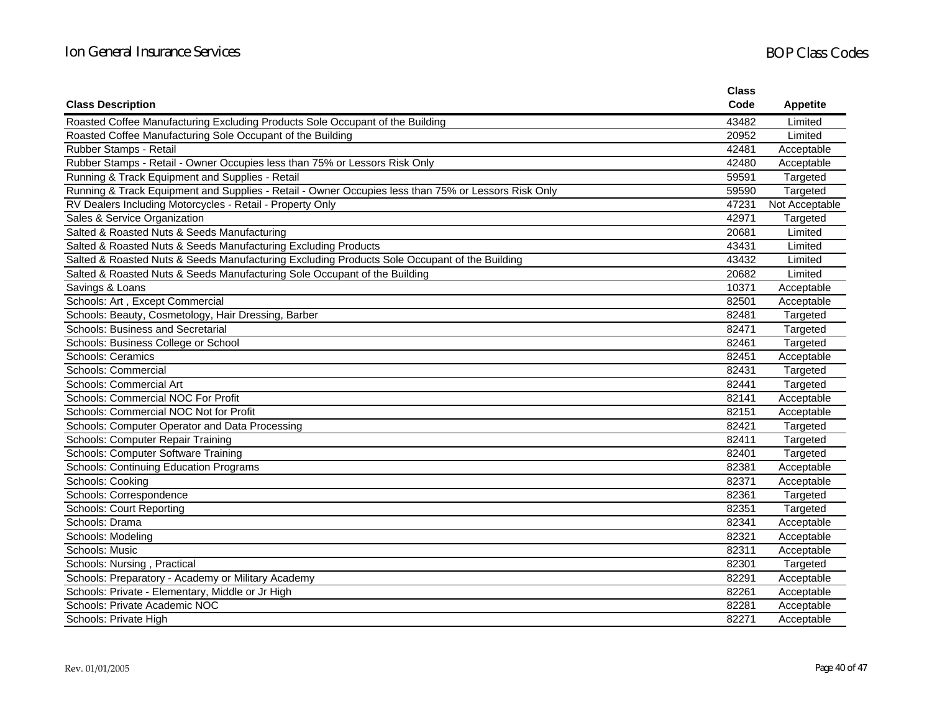|                                                                                                     | <b>Class</b> |                 |
|-----------------------------------------------------------------------------------------------------|--------------|-----------------|
| <b>Class Description</b>                                                                            | Code         | <b>Appetite</b> |
| Roasted Coffee Manufacturing Excluding Products Sole Occupant of the Building                       | 43482        | Limited         |
| Roasted Coffee Manufacturing Sole Occupant of the Building                                          | 20952        | Limited         |
| Rubber Stamps - Retail                                                                              | 42481        | Acceptable      |
| Rubber Stamps - Retail - Owner Occupies less than 75% or Lessors Risk Only                          | 42480        | Acceptable      |
| Running & Track Equipment and Supplies - Retail                                                     | 59591        | Targeted        |
| Running & Track Equipment and Supplies - Retail - Owner Occupies less than 75% or Lessors Risk Only | 59590        | Targeted        |
| RV Dealers Including Motorcycles - Retail - Property Only                                           | 47231        | Not Acceptable  |
| Sales & Service Organization                                                                        | 42971        | Targeted        |
| Salted & Roasted Nuts & Seeds Manufacturing                                                         | 20681        | Limited         |
| Salted & Roasted Nuts & Seeds Manufacturing Excluding Products                                      | 43431        | Limited         |
| Salted & Roasted Nuts & Seeds Manufacturing Excluding Products Sole Occupant of the Building        | 43432        | Limited         |
| Salted & Roasted Nuts & Seeds Manufacturing Sole Occupant of the Building                           | 20682        | Limited         |
| Savings & Loans                                                                                     | 10371        | Acceptable      |
| Schools: Art, Except Commercial                                                                     | 82501        | Acceptable      |
| Schools: Beauty, Cosmetology, Hair Dressing, Barber                                                 | 82481        | Targeted        |
| Schools: Business and Secretarial                                                                   | 82471        | Targeted        |
| Schools: Business College or School                                                                 | 82461        | Targeted        |
| Schools: Ceramics                                                                                   | 82451        | Acceptable      |
| Schools: Commercial                                                                                 | 82431        | Targeted        |
| Schools: Commercial Art                                                                             | 82441        | Targeted        |
| Schools: Commercial NOC For Profit                                                                  | 82141        | Acceptable      |
| Schools: Commercial NOC Not for Profit                                                              | 82151        | Acceptable      |
| Schools: Computer Operator and Data Processing                                                      | 82421        | Targeted        |
| Schools: Computer Repair Training                                                                   | 82411        | Targeted        |
| Schools: Computer Software Training                                                                 | 82401        | Targeted        |
| Schools: Continuing Education Programs                                                              | 82381        | Acceptable      |
| Schools: Cooking                                                                                    | 82371        | Acceptable      |
| Schools: Correspondence                                                                             | 82361        | Targeted        |
| <b>Schools: Court Reporting</b>                                                                     | 82351        | Targeted        |
| Schools: Drama                                                                                      | 82341        | Acceptable      |
| Schools: Modeling                                                                                   | 82321        | Acceptable      |
| Schools: Music                                                                                      | 82311        | Acceptable      |
| Schools: Nursing, Practical                                                                         | 82301        | Targeted        |
| Schools: Preparatory - Academy or Military Academy                                                  | 82291        | Acceptable      |
| Schools: Private - Elementary, Middle or Jr High                                                    | 82261        | Acceptable      |
| Schools: Private Academic NOC                                                                       | 82281        | Acceptable      |
| Schools: Private High                                                                               | 82271        | Acceptable      |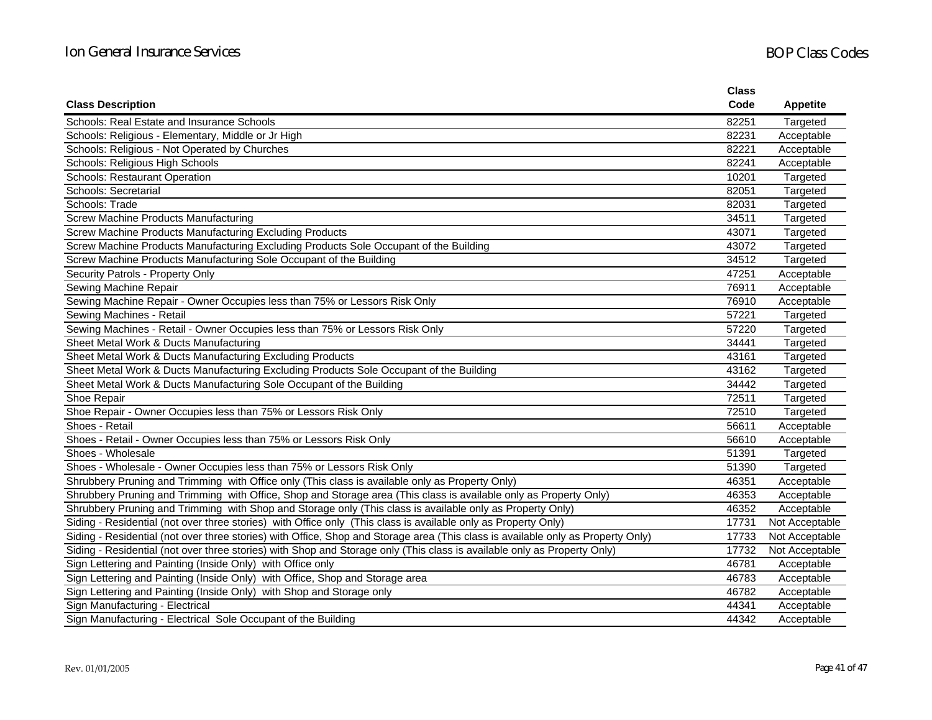|                                                                                                                                  | <b>Class</b> |                 |
|----------------------------------------------------------------------------------------------------------------------------------|--------------|-----------------|
| <b>Class Description</b>                                                                                                         | Code         | <b>Appetite</b> |
| Schools: Real Estate and Insurance Schools                                                                                       | 82251        | Targeted        |
| Schools: Religious - Elementary, Middle or Jr High                                                                               | 82231        | Acceptable      |
| Schools: Religious - Not Operated by Churches                                                                                    | 82221        | Acceptable      |
| Schools: Religious High Schools                                                                                                  | 82241        | Acceptable      |
| <b>Schools: Restaurant Operation</b>                                                                                             | 10201        | Targeted        |
| Schools: Secretarial                                                                                                             | 82051        | Targeted        |
| Schools: Trade                                                                                                                   | 82031        | Targeted        |
| <b>Screw Machine Products Manufacturing</b>                                                                                      | 34511        | Targeted        |
| Screw Machine Products Manufacturing Excluding Products                                                                          | 43071        | Targeted        |
| Screw Machine Products Manufacturing Excluding Products Sole Occupant of the Building                                            | 43072        | Targeted        |
| Screw Machine Products Manufacturing Sole Occupant of the Building                                                               | 34512        | Targeted        |
| Security Patrols - Property Only                                                                                                 | 47251        | Acceptable      |
| Sewing Machine Repair                                                                                                            | 76911        | Acceptable      |
| Sewing Machine Repair - Owner Occupies less than 75% or Lessors Risk Only                                                        | 76910        | Acceptable      |
| Sewing Machines - Retail                                                                                                         | 57221        | Targeted        |
| Sewing Machines - Retail - Owner Occupies less than 75% or Lessors Risk Only                                                     | 57220        | Targeted        |
| Sheet Metal Work & Ducts Manufacturing                                                                                           | 34441        | Targeted        |
| Sheet Metal Work & Ducts Manufacturing Excluding Products                                                                        | 43161        | Targeted        |
| Sheet Metal Work & Ducts Manufacturing Excluding Products Sole Occupant of the Building                                          | 43162        | Targeted        |
| Sheet Metal Work & Ducts Manufacturing Sole Occupant of the Building                                                             | 34442        | Targeted        |
| Shoe Repair                                                                                                                      | 72511        | Targeted        |
| Shoe Repair - Owner Occupies less than 75% or Lessors Risk Only                                                                  | 72510        | Targeted        |
| Shoes - Retail                                                                                                                   | 56611        | Acceptable      |
| Shoes - Retail - Owner Occupies less than 75% or Lessors Risk Only                                                               | 56610        | Acceptable      |
| Shoes - Wholesale                                                                                                                | 51391        | Targeted        |
| Shoes - Wholesale - Owner Occupies less than 75% or Lessors Risk Only                                                            | 51390        | Targeted        |
| Shrubbery Pruning and Trimming with Office only (This class is available only as Property Only)                                  | 46351        | Acceptable      |
| Shrubbery Pruning and Trimming with Office, Shop and Storage area (This class is available only as Property Only)                | 46353        | Acceptable      |
| Shrubbery Pruning and Trimming with Shop and Storage only (This class is available only as Property Only)                        | 46352        | Acceptable      |
| Siding - Residential (not over three stories) with Office only (This class is available only as Property Only)                   | 17731        | Not Acceptable  |
| Siding - Residential (not over three stories) with Office, Shop and Storage area (This class is available only as Property Only) | 17733        | Not Acceptable  |
| Siding - Residential (not over three stories) with Shop and Storage only (This class is available only as Property Only)         | 17732        | Not Acceptable  |
| Sign Lettering and Painting (Inside Only) with Office only                                                                       | 46781        | Acceptable      |
| Sign Lettering and Painting (Inside Only) with Office, Shop and Storage area                                                     | 46783        | Acceptable      |
| Sign Lettering and Painting (Inside Only) with Shop and Storage only                                                             | 46782        | Acceptable      |
| Sign Manufacturing - Electrical                                                                                                  | 44341        | Acceptable      |
| Sign Manufacturing - Electrical Sole Occupant of the Building                                                                    | 44342        | Acceptable      |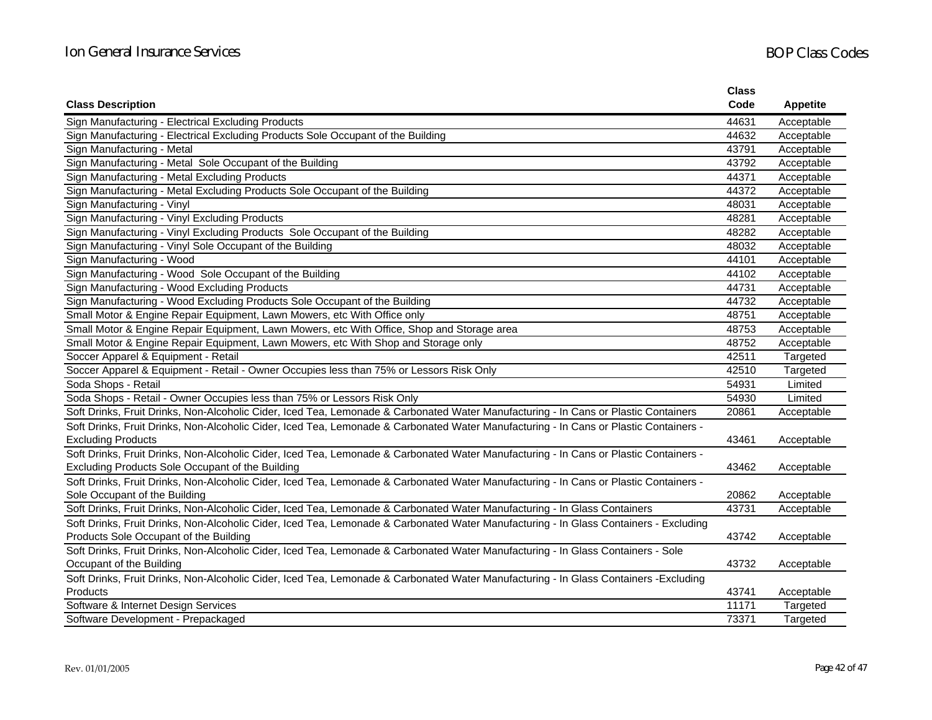|                                                                                                                                                                        | <b>Class</b> |                 |
|------------------------------------------------------------------------------------------------------------------------------------------------------------------------|--------------|-----------------|
| <b>Class Description</b>                                                                                                                                               | Code         | <b>Appetite</b> |
| Sign Manufacturing - Electrical Excluding Products                                                                                                                     | 44631        | Acceptable      |
| Sign Manufacturing - Electrical Excluding Products Sole Occupant of the Building                                                                                       | 44632        | Acceptable      |
| Sign Manufacturing - Metal                                                                                                                                             | 43791        | Acceptable      |
| Sign Manufacturing - Metal Sole Occupant of the Building                                                                                                               | 43792        | Acceptable      |
| Sign Manufacturing - Metal Excluding Products                                                                                                                          | 44371        | Acceptable      |
| Sign Manufacturing - Metal Excluding Products Sole Occupant of the Building                                                                                            | 44372        | Acceptable      |
| Sign Manufacturing - Vinyl                                                                                                                                             | 48031        | Acceptable      |
| Sign Manufacturing - Vinyl Excluding Products                                                                                                                          | 48281        | Acceptable      |
| Sign Manufacturing - Vinyl Excluding Products Sole Occupant of the Building                                                                                            | 48282        | Acceptable      |
| Sign Manufacturing - Vinyl Sole Occupant of the Building                                                                                                               | 48032        | Acceptable      |
| Sign Manufacturing - Wood                                                                                                                                              | 44101        | Acceptable      |
| Sign Manufacturing - Wood Sole Occupant of the Building                                                                                                                | 44102        | Acceptable      |
| Sign Manufacturing - Wood Excluding Products                                                                                                                           | 44731        | Acceptable      |
| Sign Manufacturing - Wood Excluding Products Sole Occupant of the Building                                                                                             | 44732        | Acceptable      |
| Small Motor & Engine Repair Equipment, Lawn Mowers, etc With Office only                                                                                               | 48751        | Acceptable      |
| Small Motor & Engine Repair Equipment, Lawn Mowers, etc With Office, Shop and Storage area                                                                             | 48753        | Acceptable      |
| Small Motor & Engine Repair Equipment, Lawn Mowers, etc With Shop and Storage only                                                                                     | 48752        | Acceptable      |
| Soccer Apparel & Equipment - Retail                                                                                                                                    | 42511        | Targeted        |
| Soccer Apparel & Equipment - Retail - Owner Occupies less than 75% or Lessors Risk Only                                                                                | 42510        | Targeted        |
| Soda Shops - Retail                                                                                                                                                    | 54931        | Limited         |
| Soda Shops - Retail - Owner Occupies less than 75% or Lessors Risk Only                                                                                                | 54930        | Limited         |
| Soft Drinks, Fruit Drinks, Non-Alcoholic Cider, Iced Tea, Lemonade & Carbonated Water Manufacturing - In Cans or Plastic Containers                                    | 20861        | Acceptable      |
| Soft Drinks, Fruit Drinks, Non-Alcoholic Cider, Iced Tea, Lemonade & Carbonated Water Manufacturing - In Cans or Plastic Containers -<br><b>Excluding Products</b>     | 43461        | Acceptable      |
| Soft Drinks, Fruit Drinks, Non-Alcoholic Cider, Iced Tea, Lemonade & Carbonated Water Manufacturing - In Cans or Plastic Containers -                                  |              |                 |
| Excluding Products Sole Occupant of the Building                                                                                                                       | 43462        | Acceptable      |
| Soft Drinks, Fruit Drinks, Non-Alcoholic Cider, Iced Tea, Lemonade & Carbonated Water Manufacturing - In Cans or Plastic Containers -<br>Sole Occupant of the Building | 20862        | Acceptable      |
| Soft Drinks, Fruit Drinks, Non-Alcoholic Cider, Iced Tea, Lemonade & Carbonated Water Manufacturing - In Glass Containers                                              | 43731        | Acceptable      |
| Soft Drinks, Fruit Drinks, Non-Alcoholic Cider, Iced Tea, Lemonade & Carbonated Water Manufacturing - In Glass Containers - Excluding                                  |              |                 |
| Products Sole Occupant of the Building                                                                                                                                 | 43742        | Acceptable      |
| Soft Drinks, Fruit Drinks, Non-Alcoholic Cider, Iced Tea, Lemonade & Carbonated Water Manufacturing - In Glass Containers - Sole                                       |              |                 |
| Occupant of the Building                                                                                                                                               | 43732        | Acceptable      |
| Soft Drinks, Fruit Drinks, Non-Alcoholic Cider, Iced Tea, Lemonade & Carbonated Water Manufacturing - In Glass Containers -Excluding                                   |              |                 |
| Products                                                                                                                                                               | 43741        | Acceptable      |
| Software & Internet Design Services                                                                                                                                    | 11171        | Targeted        |
| Software Development - Prepackaged                                                                                                                                     | 73371        | Targeted        |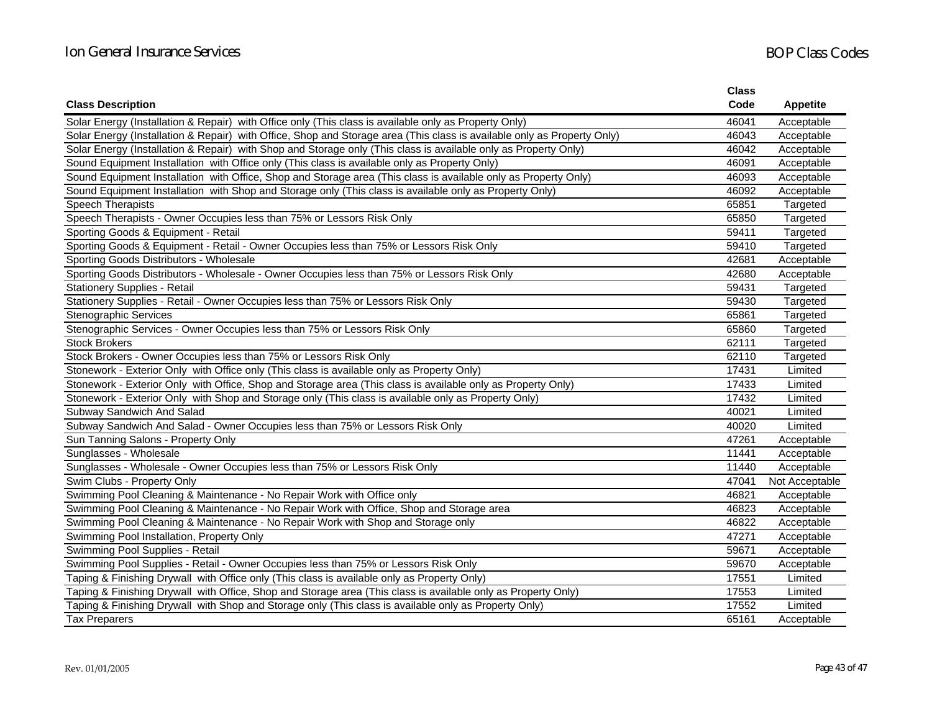|                                                                                                                         | <b>Class</b> |                 |
|-------------------------------------------------------------------------------------------------------------------------|--------------|-----------------|
| <b>Class Description</b>                                                                                                | Code         | <b>Appetite</b> |
| Solar Energy (Installation & Repair) with Office only (This class is available only as Property Only)                   | 46041        | Acceptable      |
| Solar Energy (Installation & Repair) with Office, Shop and Storage area (This class is available only as Property Only) | 46043        | Acceptable      |
| Solar Energy (Installation & Repair) with Shop and Storage only (This class is available only as Property Only)         | 46042        | Acceptable      |
| Sound Equipment Installation with Office only (This class is available only as Property Only)                           | 46091        | Acceptable      |
| Sound Equipment Installation with Office, Shop and Storage area (This class is available only as Property Only)         | 46093        | Acceptable      |
| Sound Equipment Installation with Shop and Storage only (This class is available only as Property Only)                 | 46092        | Acceptable      |
| Speech Therapists                                                                                                       | 65851        | Targeted        |
| Speech Therapists - Owner Occupies less than 75% or Lessors Risk Only                                                   | 65850        | Targeted        |
| Sporting Goods & Equipment - Retail                                                                                     | 59411        | Targeted        |
| Sporting Goods & Equipment - Retail - Owner Occupies less than 75% or Lessors Risk Only                                 | 59410        | Targeted        |
| Sporting Goods Distributors - Wholesale                                                                                 | 42681        | Acceptable      |
| Sporting Goods Distributors - Wholesale - Owner Occupies less than 75% or Lessors Risk Only                             | 42680        | Acceptable      |
| <b>Stationery Supplies - Retail</b>                                                                                     | 59431        | Targeted        |
| Stationery Supplies - Retail - Owner Occupies less than 75% or Lessors Risk Only                                        | 59430        | Targeted        |
| <b>Stenographic Services</b>                                                                                            | 65861        | Targeted        |
| Stenographic Services - Owner Occupies less than 75% or Lessors Risk Only                                               | 65860        | Targeted        |
| <b>Stock Brokers</b>                                                                                                    | 62111        | Targeted        |
| Stock Brokers - Owner Occupies less than 75% or Lessors Risk Only                                                       | 62110        | Targeted        |
| Stonework - Exterior Only with Office only (This class is available only as Property Only)                              | 17431        | Limited         |
| Stonework - Exterior Only with Office, Shop and Storage area (This class is available only as Property Only)            | 17433        | Limited         |
| Stonework - Exterior Only with Shop and Storage only (This class is available only as Property Only)                    | 17432        | Limited         |
| Subway Sandwich And Salad                                                                                               | 40021        | Limited         |
| Subway Sandwich And Salad - Owner Occupies less than 75% or Lessors Risk Only                                           | 40020        | Limited         |
| Sun Tanning Salons - Property Only                                                                                      | 47261        | Acceptable      |
| Sunglasses - Wholesale                                                                                                  | 11441        | Acceptable      |
| Sunglasses - Wholesale - Owner Occupies less than 75% or Lessors Risk Only                                              | 11440        | Acceptable      |
| Swim Clubs - Property Only                                                                                              | 47041        | Not Acceptable  |
| Swimming Pool Cleaning & Maintenance - No Repair Work with Office only                                                  | 46821        | Acceptable      |
| Swimming Pool Cleaning & Maintenance - No Repair Work with Office, Shop and Storage area                                | 46823        | Acceptable      |
| Swimming Pool Cleaning & Maintenance - No Repair Work with Shop and Storage only                                        | 46822        | Acceptable      |
| Swimming Pool Installation, Property Only                                                                               | 47271        | Acceptable      |
| Swimming Pool Supplies - Retail                                                                                         | 59671        | Acceptable      |
| Swimming Pool Supplies - Retail - Owner Occupies less than 75% or Lessors Risk Only                                     | 59670        | Acceptable      |
| Taping & Finishing Drywall with Office only (This class is available only as Property Only)                             | 17551        | Limited         |
| Taping & Finishing Drywall with Office, Shop and Storage area (This class is available only as Property Only)           | 17553        | Limited         |
| Taping & Finishing Drywall with Shop and Storage only (This class is available only as Property Only)                   | 17552        | Limited         |
| <b>Tax Preparers</b>                                                                                                    | 65161        | Acceptable      |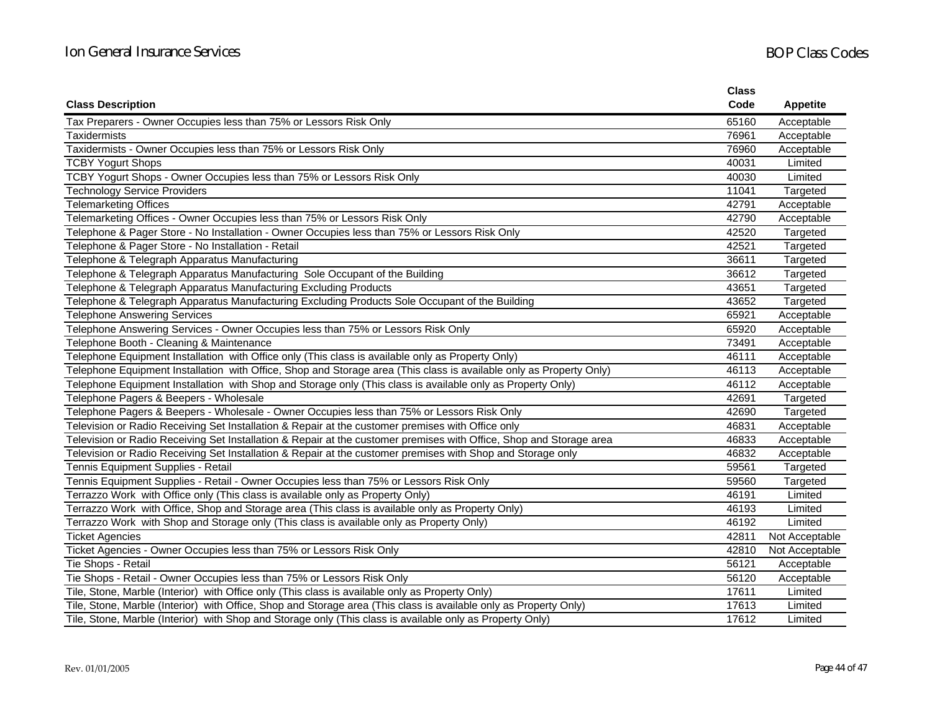|                                                                                                                     | <b>Class</b> |                 |
|---------------------------------------------------------------------------------------------------------------------|--------------|-----------------|
| <b>Class Description</b>                                                                                            | Code         | <b>Appetite</b> |
| Tax Preparers - Owner Occupies less than 75% or Lessors Risk Only                                                   | 65160        | Acceptable      |
| <b>Taxidermists</b>                                                                                                 | 76961        | Acceptable      |
| Taxidermists - Owner Occupies less than 75% or Lessors Risk Only                                                    | 76960        | Acceptable      |
| <b>TCBY Yogurt Shops</b>                                                                                            | 40031        | Limited         |
| TCBY Yogurt Shops - Owner Occupies less than 75% or Lessors Risk Only                                               | 40030        | Limited         |
| <b>Technology Service Providers</b>                                                                                 | 11041        | Targeted        |
| <b>Telemarketing Offices</b>                                                                                        | 42791        | Acceptable      |
| Telemarketing Offices - Owner Occupies less than 75% or Lessors Risk Only                                           | 42790        | Acceptable      |
| Telephone & Pager Store - No Installation - Owner Occupies less than 75% or Lessors Risk Only                       | 42520        | Targeted        |
| Telephone & Pager Store - No Installation - Retail                                                                  | 42521        | Targeted        |
| Telephone & Telegraph Apparatus Manufacturing                                                                       | 36611        | Targeted        |
| Telephone & Telegraph Apparatus Manufacturing Sole Occupant of the Building                                         | 36612        | Targeted        |
| Telephone & Telegraph Apparatus Manufacturing Excluding Products                                                    | 43651        | Targeted        |
| Telephone & Telegraph Apparatus Manufacturing Excluding Products Sole Occupant of the Building                      | 43652        | Targeted        |
| <b>Telephone Answering Services</b>                                                                                 | 65921        | Acceptable      |
| Telephone Answering Services - Owner Occupies less than 75% or Lessors Risk Only                                    | 65920        | Acceptable      |
| Telephone Booth - Cleaning & Maintenance                                                                            | 73491        | Acceptable      |
| Telephone Equipment Installation with Office only (This class is available only as Property Only)                   | 46111        | Acceptable      |
| Telephone Equipment Installation with Office, Shop and Storage area (This class is available only as Property Only) | 46113        | Acceptable      |
| Telephone Equipment Installation with Shop and Storage only (This class is available only as Property Only)         | 46112        | Acceptable      |
| Telephone Pagers & Beepers - Wholesale                                                                              | 42691        | Targeted        |
| Telephone Pagers & Beepers - Wholesale - Owner Occupies less than 75% or Lessors Risk Only                          | 42690        | Targeted        |
| Television or Radio Receiving Set Installation & Repair at the customer premises with Office only                   | 46831        | Acceptable      |
| Television or Radio Receiving Set Installation & Repair at the customer premises with Office, Shop and Storage area | 46833        | Acceptable      |
| Television or Radio Receiving Set Installation & Repair at the customer premises with Shop and Storage only         | 46832        | Acceptable      |
| Tennis Equipment Supplies - Retail                                                                                  | 59561        | Targeted        |
| Tennis Equipment Supplies - Retail - Owner Occupies less than 75% or Lessors Risk Only                              | 59560        | Targeted        |
| Terrazzo Work with Office only (This class is available only as Property Only)                                      | 46191        | Limited         |
| Terrazzo Work with Office, Shop and Storage area (This class is available only as Property Only)                    | 46193        | Limited         |
| Terrazzo Work with Shop and Storage only (This class is available only as Property Only)                            | 46192        | Limited         |
| <b>Ticket Agencies</b>                                                                                              | 42811        | Not Acceptable  |
| Ticket Agencies - Owner Occupies less than 75% or Lessors Risk Only                                                 | 42810        | Not Acceptable  |
| Tie Shops - Retail                                                                                                  | 56121        | Acceptable      |
| Tie Shops - Retail - Owner Occupies less than 75% or Lessors Risk Only                                              | 56120        | Acceptable      |
| Tile, Stone, Marble (Interior) with Office only (This class is available only as Property Only)                     | 17611        | Limited         |
| Tile, Stone, Marble (Interior) with Office, Shop and Storage area (This class is available only as Property Only)   | 17613        | Limited         |
| Tile, Stone, Marble (Interior) with Shop and Storage only (This class is available only as Property Only)           | 17612        | Limited         |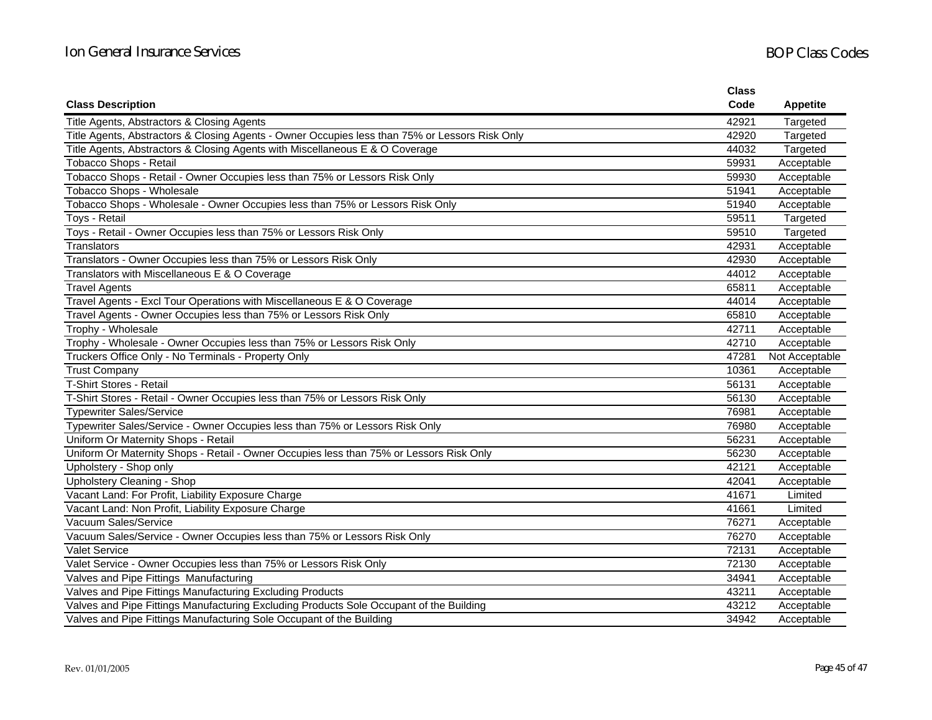|                                                                                                | Class |                 |
|------------------------------------------------------------------------------------------------|-------|-----------------|
| <b>Class Description</b>                                                                       | Code  | <b>Appetite</b> |
| Title Agents, Abstractors & Closing Agents                                                     | 42921 | Targeted        |
| Title Agents, Abstractors & Closing Agents - Owner Occupies less than 75% or Lessors Risk Only | 42920 | Targeted        |
| Title Agents, Abstractors & Closing Agents with Miscellaneous E & O Coverage                   | 44032 | Targeted        |
| Tobacco Shops - Retail                                                                         | 59931 | Acceptable      |
| Tobacco Shops - Retail - Owner Occupies less than 75% or Lessors Risk Only                     | 59930 | Acceptable      |
| Tobacco Shops - Wholesale                                                                      | 51941 | Acceptable      |
| Tobacco Shops - Wholesale - Owner Occupies less than 75% or Lessors Risk Only                  | 51940 | Acceptable      |
| Toys - Retail                                                                                  | 59511 | Targeted        |
| Toys - Retail - Owner Occupies less than 75% or Lessors Risk Only                              | 59510 | Targeted        |
| Translators                                                                                    | 42931 | Acceptable      |
| Translators - Owner Occupies less than 75% or Lessors Risk Only                                | 42930 | Acceptable      |
| Translators with Miscellaneous E & O Coverage                                                  | 44012 | Acceptable      |
| <b>Travel Agents</b>                                                                           | 65811 | Acceptable      |
| Travel Agents - Excl Tour Operations with Miscellaneous E & O Coverage                         | 44014 | Acceptable      |
| Travel Agents - Owner Occupies less than 75% or Lessors Risk Only                              | 65810 | Acceptable      |
| Trophy - Wholesale                                                                             | 42711 | Acceptable      |
| Trophy - Wholesale - Owner Occupies less than 75% or Lessors Risk Only                         | 42710 | Acceptable      |
| Truckers Office Only - No Terminals - Property Only                                            | 47281 | Not Acceptable  |
| <b>Trust Company</b>                                                                           | 10361 | Acceptable      |
| <b>T-Shirt Stores - Retail</b>                                                                 | 56131 | Acceptable      |
| T-Shirt Stores - Retail - Owner Occupies less than 75% or Lessors Risk Only                    | 56130 | Acceptable      |
| <b>Typewriter Sales/Service</b>                                                                | 76981 | Acceptable      |
| Typewriter Sales/Service - Owner Occupies less than 75% or Lessors Risk Only                   | 76980 | Acceptable      |
| Uniform Or Maternity Shops - Retail                                                            | 56231 | Acceptable      |
| Uniform Or Maternity Shops - Retail - Owner Occupies less than 75% or Lessors Risk Only        | 56230 | Acceptable      |
| Upholstery - Shop only                                                                         | 42121 | Acceptable      |
| Upholstery Cleaning - Shop                                                                     | 42041 | Acceptable      |
| Vacant Land: For Profit, Liability Exposure Charge                                             | 41671 | Limited         |
| Vacant Land: Non Profit, Liability Exposure Charge                                             | 41661 | Limited         |
| Vacuum Sales/Service                                                                           | 76271 | Acceptable      |
| Vacuum Sales/Service - Owner Occupies less than 75% or Lessors Risk Only                       | 76270 | Acceptable      |
| <b>Valet Service</b>                                                                           | 72131 | Acceptable      |
| Valet Service - Owner Occupies less than 75% or Lessors Risk Only                              | 72130 | Acceptable      |
| Valves and Pipe Fittings Manufacturing                                                         | 34941 | Acceptable      |
| Valves and Pipe Fittings Manufacturing Excluding Products                                      | 43211 | Acceptable      |
| Valves and Pipe Fittings Manufacturing Excluding Products Sole Occupant of the Building        | 43212 | Acceptable      |
| Valves and Pipe Fittings Manufacturing Sole Occupant of the Building                           | 34942 | Acceptable      |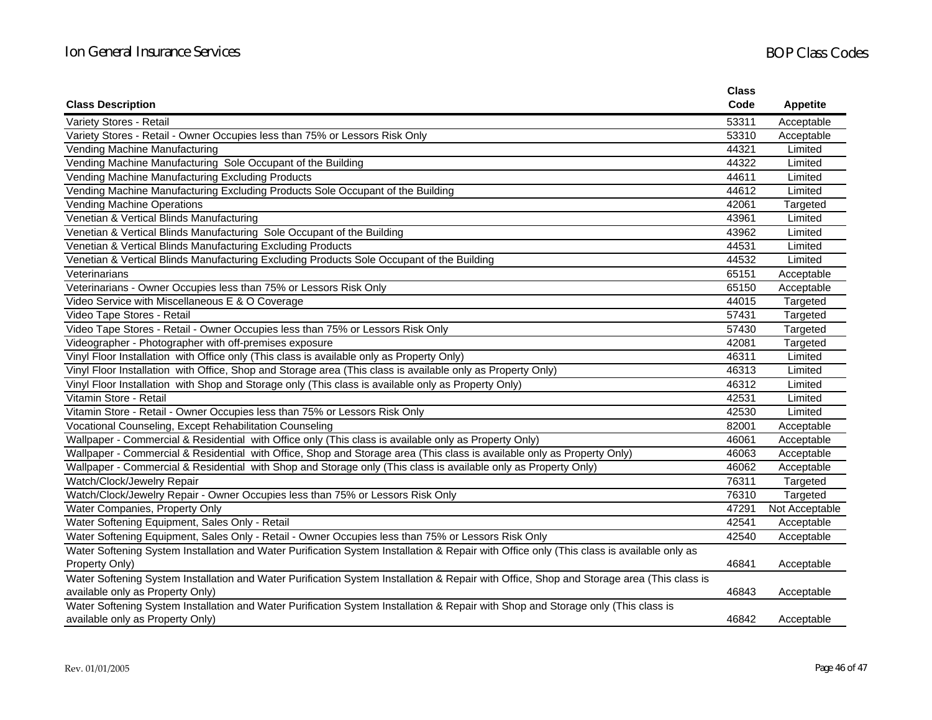|                                                                                                                                           | <b>Class</b> |                 |
|-------------------------------------------------------------------------------------------------------------------------------------------|--------------|-----------------|
| <b>Class Description</b>                                                                                                                  | Code         | <b>Appetite</b> |
| Variety Stores - Retail                                                                                                                   | 53311        | Acceptable      |
| Variety Stores - Retail - Owner Occupies less than 75% or Lessors Risk Only                                                               | 53310        | Acceptable      |
| Vending Machine Manufacturing                                                                                                             | 44321        | Limited         |
| Vending Machine Manufacturing Sole Occupant of the Building                                                                               | 44322        | Limited         |
| Vending Machine Manufacturing Excluding Products                                                                                          | 44611        | Limited         |
| Vending Machine Manufacturing Excluding Products Sole Occupant of the Building                                                            | 44612        | Limited         |
| <b>Vending Machine Operations</b>                                                                                                         | 42061        | Targeted        |
| Venetian & Vertical Blinds Manufacturing                                                                                                  | 43961        | Limited         |
| Venetian & Vertical Blinds Manufacturing Sole Occupant of the Building                                                                    | 43962        | Limited         |
| Venetian & Vertical Blinds Manufacturing Excluding Products                                                                               | 44531        | Limited         |
| Venetian & Vertical Blinds Manufacturing Excluding Products Sole Occupant of the Building                                                 | 44532        | Limited         |
| Veterinarians                                                                                                                             | 65151        | Acceptable      |
| Veterinarians - Owner Occupies less than 75% or Lessors Risk Only                                                                         | 65150        | Acceptable      |
| Video Service with Miscellaneous E & O Coverage                                                                                           | 44015        | Targeted        |
| Video Tape Stores - Retail                                                                                                                | 57431        | Targeted        |
| Video Tape Stores - Retail - Owner Occupies less than 75% or Lessors Risk Only                                                            | 57430        | Targeted        |
| Videographer - Photographer with off-premises exposure                                                                                    | 42081        | Targeted        |
| Vinyl Floor Installation with Office only (This class is available only as Property Only)                                                 | 46311        | Limited         |
| Vinyl Floor Installation with Office, Shop and Storage area (This class is available only as Property Only)                               | 46313        | Limited         |
| Vinyl Floor Installation with Shop and Storage only (This class is available only as Property Only)                                       | 46312        | Limited         |
| Vitamin Store - Retail                                                                                                                    | 42531        | Limited         |
| Vitamin Store - Retail - Owner Occupies less than 75% or Lessors Risk Only                                                                | 42530        | Limited         |
| Vocational Counseling, Except Rehabilitation Counseling                                                                                   | 82001        | Acceptable      |
| Wallpaper - Commercial & Residential with Office only (This class is available only as Property Only)                                     | 46061        | Acceptable      |
| Wallpaper - Commercial & Residential with Office, Shop and Storage area (This class is available only as Property Only)                   | 46063        | Acceptable      |
| Wallpaper - Commercial & Residential with Shop and Storage only (This class is available only as Property Only)                           | 46062        | Acceptable      |
| Watch/Clock/Jewelry Repair                                                                                                                | 76311        | Targeted        |
| Watch/Clock/Jewelry Repair - Owner Occupies less than 75% or Lessors Risk Only                                                            | 76310        | Targeted        |
| Water Companies, Property Only                                                                                                            | 47291        | Not Acceptable  |
| Water Softening Equipment, Sales Only - Retail                                                                                            | 42541        | Acceptable      |
| Water Softening Equipment, Sales Only - Retail - Owner Occupies less than 75% or Lessors Risk Only                                        | 42540        | Acceptable      |
| Water Softening System Installation and Water Purification System Installation & Repair with Office only (This class is available only as |              |                 |
| Property Only)                                                                                                                            | 46841        | Acceptable      |
| Water Softening System Installation and Water Purification System Installation & Repair with Office, Shop and Storage area (This class is |              |                 |
| available only as Property Only)                                                                                                          | 46843        | Acceptable      |
| Water Softening System Installation and Water Purification System Installation & Repair with Shop and Storage only (This class is         |              |                 |
| available only as Property Only)                                                                                                          | 46842        | Acceptable      |